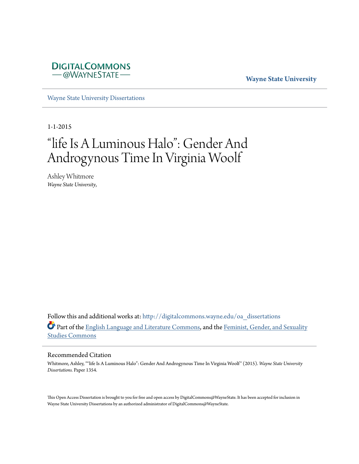

#### **Wayne State University**

[Wayne State University Dissertations](http://digitalcommons.wayne.edu/oa_dissertations?utm_source=digitalcommons.wayne.edu%2Foa_dissertations%2F1354&utm_medium=PDF&utm_campaign=PDFCoverPages)

1-1-2015

# "life Is A Luminous Halo": Gender And Androgynous Time In Virginia Woolf

Ashley Whitmore *Wayne State University*,

Follow this and additional works at: [http://digitalcommons.wayne.edu/oa\\_dissertations](http://digitalcommons.wayne.edu/oa_dissertations?utm_source=digitalcommons.wayne.edu%2Foa_dissertations%2F1354&utm_medium=PDF&utm_campaign=PDFCoverPages) Part of the [English Language and Literature Commons](http://network.bepress.com/hgg/discipline/455?utm_source=digitalcommons.wayne.edu%2Foa_dissertations%2F1354&utm_medium=PDF&utm_campaign=PDFCoverPages), and the [Feminist, Gender, and Sexuality](http://network.bepress.com/hgg/discipline/559?utm_source=digitalcommons.wayne.edu%2Foa_dissertations%2F1354&utm_medium=PDF&utm_campaign=PDFCoverPages) [Studies Commons](http://network.bepress.com/hgg/discipline/559?utm_source=digitalcommons.wayne.edu%2Foa_dissertations%2F1354&utm_medium=PDF&utm_campaign=PDFCoverPages)

#### Recommended Citation

Whitmore, Ashley, ""life Is A Luminous Halo": Gender And Androgynous Time In Virginia Woolf" (2015). *Wayne State University Dissertations.* Paper 1354.

This Open Access Dissertation is brought to you for free and open access by DigitalCommons@WayneState. It has been accepted for inclusion in Wayne State University Dissertations by an authorized administrator of DigitalCommons@WayneState.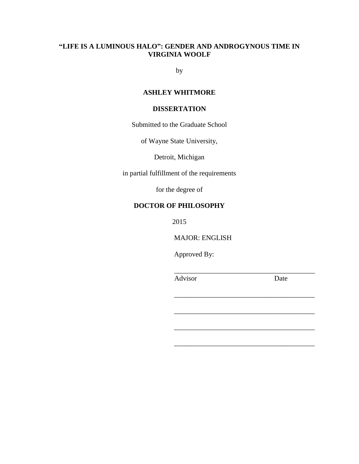## **"LIFE IS A LUMINOUS HALO": GENDER AND ANDROGYNOUS TIME IN VIRGINIA WOOLF**

by

## **ASHLEY WHITMORE**

## **DISSERTATION**

Submitted to the Graduate School

of Wayne State University,

Detroit, Michigan

in partial fulfillment of the requirements

for the degree of

## **DOCTOR OF PHILOSOPHY**

2015

MAJOR: ENGLISH

Approved By:

Advisor Date

\_\_\_\_\_\_\_\_\_\_\_\_\_\_\_\_\_\_\_\_\_\_\_\_\_\_\_\_\_\_\_\_\_\_\_\_\_\_\_\_

\_\_\_\_\_\_\_\_\_\_\_\_\_\_\_\_\_\_\_\_\_\_\_\_\_\_\_\_\_\_\_\_\_\_\_\_\_\_\_\_

\_\_\_\_\_\_\_\_\_\_\_\_\_\_\_\_\_\_\_\_\_\_\_\_\_\_\_\_\_\_\_\_\_\_\_\_\_\_\_\_

\_\_\_\_\_\_\_\_\_\_\_\_\_\_\_\_\_\_\_\_\_\_\_\_\_\_\_\_\_\_\_\_\_\_\_\_\_\_\_\_

\_\_\_\_\_\_\_\_\_\_\_\_\_\_\_\_\_\_\_\_\_\_\_\_\_\_\_\_\_\_\_\_\_\_\_\_\_\_\_\_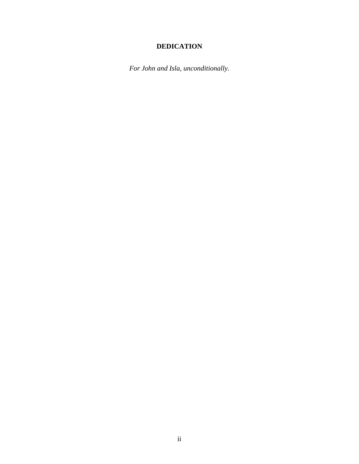# **DEDICATION**

*For John and Isla, unconditionally.*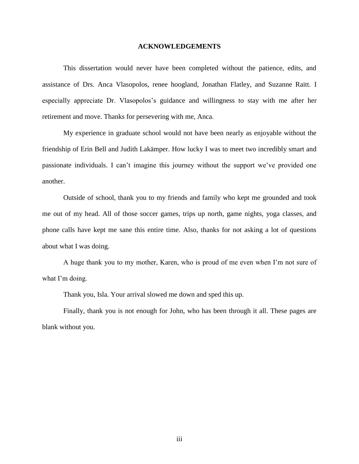#### **ACKNOWLEDGEMENTS**

This dissertation would never have been completed without the patience, edits, and assistance of Drs. Anca Vlasopolos, renee hoogland, Jonathan Flatley, and Suzanne Raitt. I especially appreciate Dr. Vlasopolos's guidance and willingness to stay with me after her retirement and move. Thanks for persevering with me, Anca.

My experience in graduate school would not have been nearly as enjoyable without the friendship of Erin Bell and Judith Lakämper. How lucky I was to meet two incredibly smart and passionate individuals. I can't imagine this journey without the support we've provided one another.

Outside of school, thank you to my friends and family who kept me grounded and took me out of my head. All of those soccer games, trips up north, game nights, yoga classes, and phone calls have kept me sane this entire time. Also, thanks for not asking a lot of questions about what I was doing.

A huge thank you to my mother, Karen, who is proud of me even when I'm not sure of what I'm doing.

Thank you, Isla. Your arrival slowed me down and sped this up.

Finally, thank you is not enough for John, who has been through it all. These pages are blank without you.

iii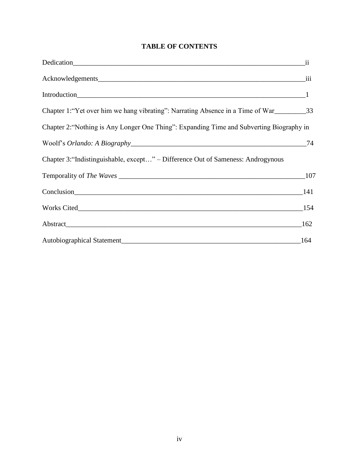# **TABLE OF CONTENTS**

| $\overline{\mathbf{ii}}$                                                                 |        |
|------------------------------------------------------------------------------------------|--------|
|                                                                                          |        |
|                                                                                          |        |
| Chapter 1: "Yet over him we hang vibrating": Narrating Absence in a Time of War          |        |
| Chapter 2: "Nothing is Any Longer One Thing": Expanding Time and Subverting Biography in |        |
|                                                                                          | 74     |
| Chapter 3: "Indistinguishable, except" – Difference Out of Sameness: Androgynous         |        |
|                                                                                          |        |
| Conclusion 141                                                                           |        |
|                                                                                          |        |
|                                                                                          | $-162$ |
|                                                                                          | 164    |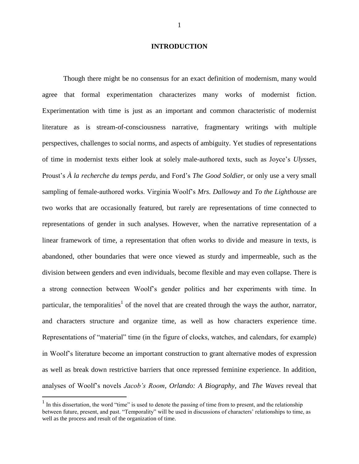#### **INTRODUCTION**

Though there might be no consensus for an exact definition of modernism, many would agree that formal experimentation characterizes many works of modernist fiction. Experimentation with time is just as an important and common characteristic of modernist literature as is stream-of-consciousness narrative, fragmentary writings with multiple perspectives, challenges to social norms, and aspects of ambiguity. Yet studies of representations of time in modernist texts either look at solely male-authored texts, such as Joyce's *Ulysses*, Proust's *À la recherche du temps perdu*, and Ford's *The Good Soldier*, or only use a very small sampling of female-authored works. Virginia Woolf's *Mrs. Dalloway* and *To the Lighthouse* are two works that are occasionally featured, but rarely are representations of time connected to representations of gender in such analyses. However, when the narrative representation of a linear framework of time, a representation that often works to divide and measure in texts, is abandoned, other boundaries that were once viewed as sturdy and impermeable, such as the division between genders and even individuals, become flexible and may even collapse. There is a strong connection between Woolf's gender politics and her experiments with time. In particular, the temporalities<sup>1</sup> of the novel that are created through the ways the author, narrator, and characters structure and organize time, as well as how characters experience time. Representations of "material" time (in the figure of clocks, watches, and calendars, for example) in Woolf's literature become an important construction to grant alternative modes of expression as well as break down restrictive barriers that once repressed feminine experience. In addition, analyses of Woolf's novels *Jacob's Room*, *Orlando: A Biography*, and *The Waves* reveal that

 $\overline{a}$ 

 $<sup>1</sup>$  In this dissertation, the word "time" is used to denote the passing of time from to present, and the relationship</sup> between future, present, and past. "Temporality" will be used in discussions of characters' relationships to time, as well as the process and result of the organization of time.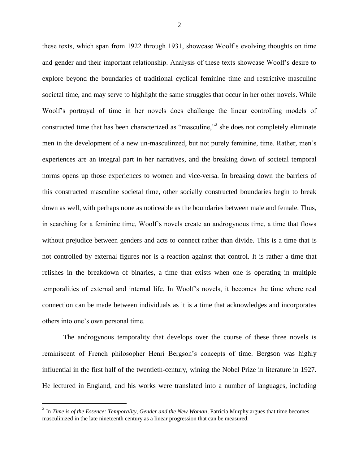these texts, which span from 1922 through 1931, showcase Woolf's evolving thoughts on time and gender and their important relationship. Analysis of these texts showcase Woolf's desire to explore beyond the boundaries of traditional cyclical feminine time and restrictive masculine societal time, and may serve to highlight the same struggles that occur in her other novels. While Woolf's portrayal of time in her novels does challenge the linear controlling models of constructed time that has been characterized as "masculine,"<sup>2</sup> she does not completely eliminate men in the development of a new un-masculinzed, but not purely feminine, time. Rather, men's experiences are an integral part in her narratives, and the breaking down of societal temporal norms opens up those experiences to women and vice-versa. In breaking down the barriers of this constructed masculine societal time, other socially constructed boundaries begin to break down as well, with perhaps none as noticeable as the boundaries between male and female. Thus, in searching for a feminine time, Woolf's novels create an androgynous time, a time that flows without prejudice between genders and acts to connect rather than divide. This is a time that is not controlled by external figures nor is a reaction against that control. It is rather a time that relishes in the breakdown of binaries, a time that exists when one is operating in multiple temporalities of external and internal life. In Woolf's novels, it becomes the time where real connection can be made between individuals as it is a time that acknowledges and incorporates others into one's own personal time.

The androgynous temporality that develops over the course of these three novels is reminiscent of French philosopher Henri Bergson's concepts of time. Bergson was highly influential in the first half of the twentieth-century, wining the Nobel Prize in literature in 1927. He lectured in England, and his works were translated into a number of languages, including

 2 In *Time is of the Essence: Temporality, Gender and the New Woman*, Patricia Murphy argues that time becomes masculinized in the late nineteenth century as a linear progression that can be measured.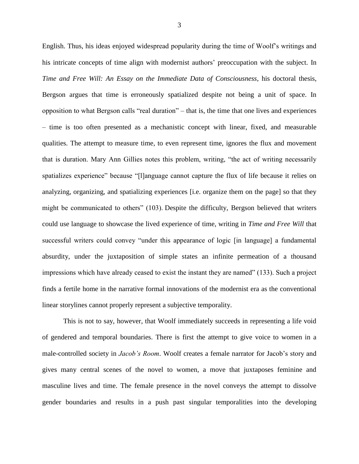English. Thus, his ideas enjoyed widespread popularity during the time of Woolf's writings and his intricate concepts of time align with modernist authors' preoccupation with the subject. In *Time and Free Will: An Essay on the Immediate Data of Consciousness*, his doctoral thesis, Bergson argues that time is erroneously spatialized despite not being a unit of space. In opposition to what Bergson calls "real duration" – that is, the time that one lives and experiences – time is too often presented as a mechanistic concept with linear, fixed, and measurable qualities. The attempt to measure time, to even represent time, ignores the flux and movement that is duration. Mary Ann Gillies notes this problem, writing, "the act of writing necessarily spatializes experience" because "[l]anguage cannot capture the flux of life because it relies on analyzing, organizing, and spatializing experiences [i.e. organize them on the page] so that they might be communicated to others" (103). Despite the difficulty, Bergson believed that writers could use language to showcase the lived experience of time, writing in *Time and Free Will* that successful writers could convey "under this appearance of logic [in language] a fundamental absurdity, under the juxtaposition of simple states an infinite permeation of a thousand impressions which have already ceased to exist the instant they are named" (133). Such a project finds a fertile home in the narrative formal innovations of the modernist era as the conventional linear storylines cannot properly represent a subjective temporality.

This is not to say, however, that Woolf immediately succeeds in representing a life void of gendered and temporal boundaries. There is first the attempt to give voice to women in a male-controlled society in *Jacob's Room*. Woolf creates a female narrator for Jacob's story and gives many central scenes of the novel to women, a move that juxtaposes feminine and masculine lives and time. The female presence in the novel conveys the attempt to dissolve gender boundaries and results in a push past singular temporalities into the developing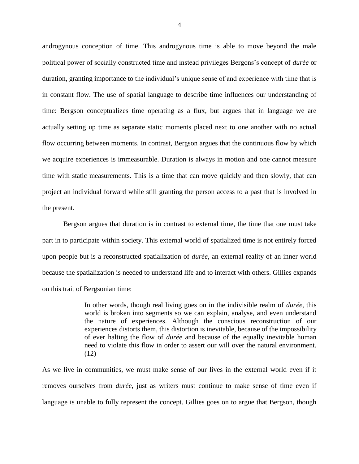androgynous conception of time. This androgynous time is able to move beyond the male political power of socially constructed time and instead privileges Bergons's concept of *durée* or duration, granting importance to the individual's unique sense of and experience with time that is in constant flow. The use of spatial language to describe time influences our understanding of time: Bergson conceptualizes time operating as a flux, but argues that in language we are actually setting up time as separate static moments placed next to one another with no actual flow occurring between moments. In contrast, Bergson argues that the continuous flow by which we acquire experiences is immeasurable. Duration is always in motion and one cannot measure time with static measurements. This is a time that can move quickly and then slowly, that can project an individual forward while still granting the person access to a past that is involved in the present.

Bergson argues that duration is in contrast to external time, the time that one must take part in to participate within society. This external world of spatialized time is not entirely forced upon people but is a reconstructed spatialization of *durée*, an external reality of an inner world because the spatialization is needed to understand life and to interact with others. Gillies expands on this trait of Bergsonian time:

> In other words, though real living goes on in the indivisible realm of *durée*, this world is broken into segments so we can explain, analyse, and even understand the nature of experiences. Although the conscious reconstruction of our experiences distorts them, this distortion is inevitable, because of the impossibility of ever halting the flow of *durée* and because of the equally inevitable human need to violate this flow in order to assert our will over the natural environment. (12)

As we live in communities, we must make sense of our lives in the external world even if it removes ourselves from *durée*, just as writers must continue to make sense of time even if language is unable to fully represent the concept. Gillies goes on to argue that Bergson, though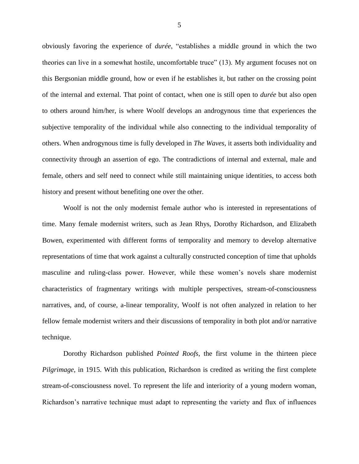obviously favoring the experience of *durée*, "establishes a middle ground in which the two theories can live in a somewhat hostile, uncomfortable truce" (13). My argument focuses not on this Bergsonian middle ground, how or even if he establishes it, but rather on the crossing point of the internal and external. That point of contact, when one is still open to *durée* but also open to others around him/her, is where Woolf develops an androgynous time that experiences the subjective temporality of the individual while also connecting to the individual temporality of others. When androgynous time is fully developed in *The Waves*, it asserts both individuality and connectivity through an assertion of ego. The contradictions of internal and external, male and female, others and self need to connect while still maintaining unique identities, to access both history and present without benefiting one over the other.

Woolf is not the only modernist female author who is interested in representations of time. Many female modernist writers, such as Jean Rhys, Dorothy Richardson, and Elizabeth Bowen, experimented with different forms of temporality and memory to develop alternative representations of time that work against a culturally constructed conception of time that upholds masculine and ruling-class power. However, while these women's novels share modernist characteristics of fragmentary writings with multiple perspectives, stream-of-consciousness narratives, and, of course, a-linear temporality, Woolf is not often analyzed in relation to her fellow female modernist writers and their discussions of temporality in both plot and/or narrative technique.

Dorothy Richardson published *Pointed Roofs*, the first volume in the thirteen piece *Pilgrimage*, in 1915. With this publication, Richardson is credited as writing the first complete stream-of-consciousness novel. To represent the life and interiority of a young modern woman, Richardson's narrative technique must adapt to representing the variety and flux of influences

5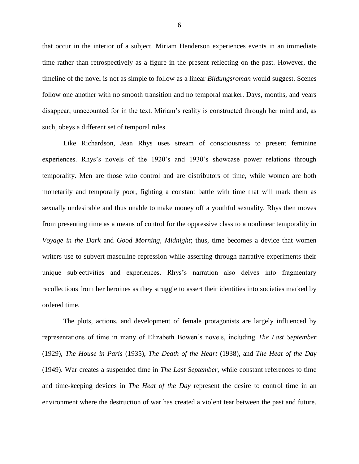that occur in the interior of a subject. Miriam Henderson experiences events in an immediate time rather than retrospectively as a figure in the present reflecting on the past. However, the timeline of the novel is not as simple to follow as a linear *Bildungsroman* would suggest. Scenes follow one another with no smooth transition and no temporal marker. Days, months, and years disappear, unaccounted for in the text. Miriam's reality is constructed through her mind and, as such, obeys a different set of temporal rules.

Like Richardson, Jean Rhys uses stream of consciousness to present feminine experiences. Rhys's novels of the 1920's and 1930's showcase power relations through temporality. Men are those who control and are distributors of time, while women are both monetarily and temporally poor, fighting a constant battle with time that will mark them as sexually undesirable and thus unable to make money off a youthful sexuality. Rhys then moves from presenting time as a means of control for the oppressive class to a nonlinear temporality in *Voyage in the Dark* and *Good Morning, Midnight*; thus, time becomes a device that women writers use to subvert masculine repression while asserting through narrative experiments their unique subjectivities and experiences. Rhys's narration also delves into fragmentary recollections from her heroines as they struggle to assert their identities into societies marked by ordered time.

The plots, actions, and development of female protagonists are largely influenced by representations of time in many of Elizabeth Bowen's novels, including *The Last September*  (1929), *The House in Paris* (1935), *The Death of the Heart* (1938), and *The Heat of the Day*  (1949). War creates a suspended time in *The Last September,* while constant references to time and time-keeping devices in *The Heat of the Day* represent the desire to control time in an environment where the destruction of war has created a violent tear between the past and future.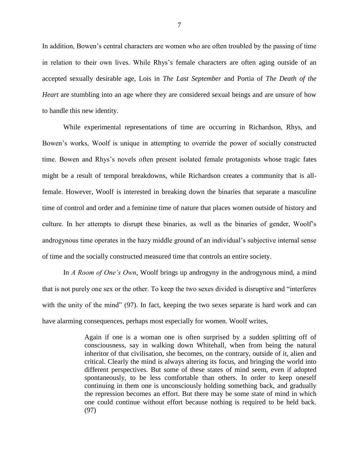In addition, Bowen's central characters are women who are often troubled by the passing of time in relation to their own lives. While Rhys's female characters are often aging outside of an accepted sexually desirable age, Lois in *The Last September* and Portia of *The Death of the Heart* are stumbling into an age where they are considered sexual beings and are unsure of how to handle this new identity.

While experimental representations of time are occurring in Richardson, Rhys, and Bowen's works, Woolf is unique in attempting to override the power of socially constructed time. Bowen and Rhys's novels often present isolated female protagonists whose tragic fates might be a result of temporal breakdowns, while Richardson creates a community that is allfemale. However, Woolf is interested in breaking down the binaries that separate a masculine time of control and order and a feminine time of nature that places women outside of history and culture. In her attempts to disrupt these binaries, as well as the binaries of gender, Woolf's androgynous time operates in the hazy middle ground of an individual's subjective internal sense of time and the socially constructed measured time that controls an entire society.

In *A Room of One's Own*, Woolf brings up androgyny in the androgynous mind, a mind that is not purely one sex or the other. To keep the two sexes divided is disruptive and "interferes with the unity of the mind" (97). In fact, keeping the two sexes separate is hard work and can have alarming consequences, perhaps most especially for women. Woolf writes,

> Again if one is a woman one is often surprised by a sudden splitting off of consciousness, say in walking down Whitehall, when from being the natural inheritor of that civilisation, she becomes, on the contrary, outside of it, alien and critical. Clearly the mind is always altering its focus, and bringing the world into different perspectives. But some of these states of mind seem, even if adopted spontaneously, to be less comfortable than others. In order to keep oneself continuing in them one is unconsciously holding something back, and gradually the repression becomes an effort. But there may be some state of mind in which one could continue without effort because nothing is required to be held back. (97)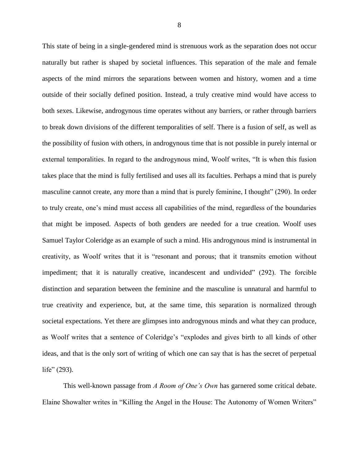This state of being in a single-gendered mind is strenuous work as the separation does not occur naturally but rather is shaped by societal influences. This separation of the male and female aspects of the mind mirrors the separations between women and history, women and a time outside of their socially defined position. Instead, a truly creative mind would have access to both sexes. Likewise, androgynous time operates without any barriers, or rather through barriers to break down divisions of the different temporalities of self. There is a fusion of self, as well as the possibility of fusion with others, in androgynous time that is not possible in purely internal or external temporalities. In regard to the androgynous mind, Woolf writes, "It is when this fusion takes place that the mind is fully fertilised and uses all its faculties. Perhaps a mind that is purely masculine cannot create, any more than a mind that is purely feminine, I thought" (290). In order to truly create, one's mind must access all capabilities of the mind, regardless of the boundaries that might be imposed. Aspects of both genders are needed for a true creation. Woolf uses Samuel Taylor Coleridge as an example of such a mind. His androgynous mind is instrumental in creativity, as Woolf writes that it is "resonant and porous; that it transmits emotion without impediment; that it is naturally creative, incandescent and undivided" (292). The forcible distinction and separation between the feminine and the masculine is unnatural and harmful to true creativity and experience, but, at the same time, this separation is normalized through societal expectations. Yet there are glimpses into androgynous minds and what they can produce, as Woolf writes that a sentence of Coleridge's "explodes and gives birth to all kinds of other ideas, and that is the only sort of writing of which one can say that is has the secret of perpetual life" (293).

This well-known passage from *A Room of One's Own* has garnered some critical debate. Elaine Showalter writes in "Killing the Angel in the House: The Autonomy of Women Writers"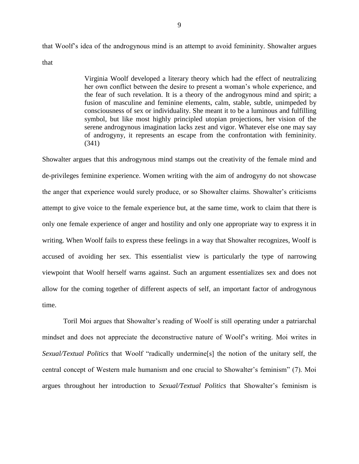that Woolf's idea of the androgynous mind is an attempt to avoid femininity. Showalter argues that

> Virginia Woolf developed a literary theory which had the effect of neutralizing her own conflict between the desire to present a woman's whole experience, and the fear of such revelation. It is a theory of the androgynous mind and spirit; a fusion of masculine and feminine elements, calm, stable, subtle, unimpeded by consciousness of sex or individuality. She meant it to be a luminous and fulfilling symbol, but like most highly principled utopian projections, her vision of the serene androgynous imagination lacks zest and vigor. Whatever else one may say of androgyny, it represents an escape from the confrontation with femininity. (341)

Showalter argues that this androgynous mind stamps out the creativity of the female mind and de-privileges feminine experience. Women writing with the aim of androgyny do not showcase the anger that experience would surely produce, or so Showalter claims. Showalter's criticisms attempt to give voice to the female experience but, at the same time, work to claim that there is only one female experience of anger and hostility and only one appropriate way to express it in writing. When Woolf fails to express these feelings in a way that Showalter recognizes, Woolf is accused of avoiding her sex. This essentialist view is particularly the type of narrowing viewpoint that Woolf herself warns against. Such an argument essentializes sex and does not allow for the coming together of different aspects of self, an important factor of androgynous time.

Toril Moi argues that Showalter's reading of Woolf is still operating under a patriarchal mindset and does not appreciate the deconstructive nature of Woolf's writing. Moi writes in *Sexual/Textual Politics* that Woolf "radically undermine[s] the notion of the unitary self, the central concept of Western male humanism and one crucial to Showalter's feminism" (7). Moi argues throughout her introduction to *Sexual/Textual Politics* that Showalter's feminism is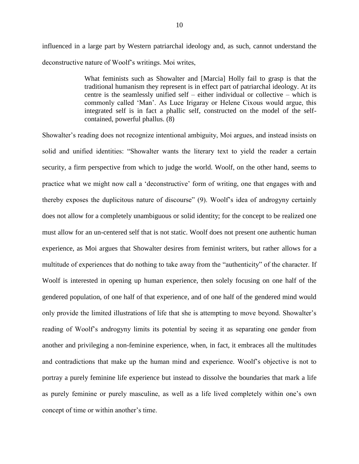influenced in a large part by Western patriarchal ideology and, as such, cannot understand the deconstructive nature of Woolf's writings. Moi writes,

> What feminists such as Showalter and [Marcia] Holly fail to grasp is that the traditional humanism they represent is in effect part of patriarchal ideology. At its centre is the seamlessly unified self – either individual or collective – which is commonly called 'Man'. As Luce Irigaray or Helene Cixous would argue, this integrated self is in fact a phallic self, constructed on the model of the selfcontained, powerful phallus. (8)

Showalter's reading does not recognize intentional ambiguity, Moi argues, and instead insists on solid and unified identities: "Showalter wants the literary text to yield the reader a certain security, a firm perspective from which to judge the world. Woolf, on the other hand, seems to practice what we might now call a 'deconstructive' form of writing, one that engages with and thereby exposes the duplicitous nature of discourse" (9). Woolf's idea of androgyny certainly does not allow for a completely unambiguous or solid identity; for the concept to be realized one must allow for an un-centered self that is not static. Woolf does not present one authentic human experience, as Moi argues that Showalter desires from feminist writers, but rather allows for a multitude of experiences that do nothing to take away from the "authenticity" of the character. If Woolf is interested in opening up human experience, then solely focusing on one half of the gendered population, of one half of that experience, and of one half of the gendered mind would only provide the limited illustrations of life that she is attempting to move beyond. Showalter's reading of Woolf's androgyny limits its potential by seeing it as separating one gender from another and privileging a non-feminine experience, when, in fact, it embraces all the multitudes and contradictions that make up the human mind and experience. Woolf's objective is not to portray a purely feminine life experience but instead to dissolve the boundaries that mark a life as purely feminine or purely masculine, as well as a life lived completely within one's own concept of time or within another's time.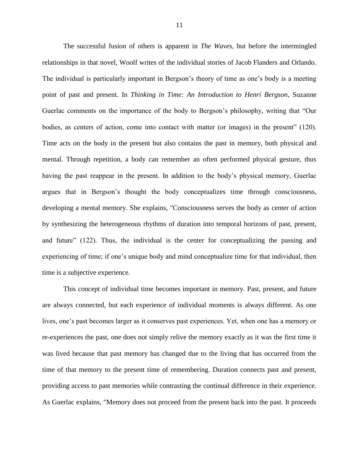The successful fusion of others is apparent in *The Waves*, but before the intermingled relationships in that novel, Woolf writes of the individual stories of Jacob Flanders and Orlando. The individual is particularly important in Bergson's theory of time as one's body is a meeting point of past and present. In *Thinking in Time: An Introduction to Henri Bergson*, Suzanne Guerlac comments on the importance of the body to Bergson's philosophy, writing that "Our bodies, as centers of action, come into contact with matter (or images) in the present" (120). Time acts on the body in the present but also contains the past in memory, both physical and mental. Through repetition, a body can remember an often performed physical gesture, thus having the past reappear in the present. In addition to the body's physical memory, Guerlac argues that in Bergson's thought the body conceptualizes time through consciousness, developing a mental memory. She explains, "Consciousness serves the body as center of action by synthesizing the heterogeneous rhythms of duration into temporal horizons of past, present, and future" (122). Thus, the individual is the center for conceptualizing the passing and experiencing of time; if one's unique body and mind conceptualize time for that individual, then time is a subjective experience.

This concept of individual time becomes important in memory. Past, present, and future are always connected, but each experience of individual moments is always different. As one lives, one's past becomes larger as it conserves past experiences. Yet, when one has a memory or re-experiences the past, one does not simply relive the memory exactly as it was the first time it was lived because that past memory has changed due to the living that has occurred from the time of that memory to the present time of remembering. Duration connects past and present, providing access to past memories while contrasting the continual difference in their experience. As Guerlac explains, "Memory does not proceed from the present back into the past. It proceeds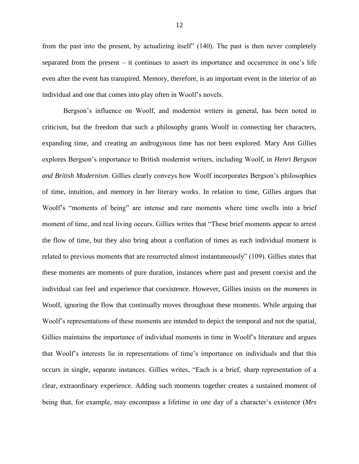from the past into the present, by actualizing itself" (140). The past is then never completely separated from the present – it continues to assert its importance and occurrence in one's life even after the event has transpired. Memory, therefore, is an important event in the interior of an individual and one that comes into play often in Woolf's novels.

Bergson's influence on Woolf, and modernist writers in general, has been noted in criticism, but the freedom that such a philosophy grants Woolf in connecting her characters, expanding time, and creating an androgynous time has not been explored. Mary Ann Gillies explores Bergson's importance to British modernist writers, including Woolf, in *Henri Bergson and British Modernism*. Gillies clearly conveys how Woolf incorporates Bergson's philosophies of time, intuition, and memory in her literary works. In relation to time, Gillies argues that Woolf's "moments of being" are intense and rare moments where time swells into a brief moment of time, and real living occurs. Gillies writes that "These brief moments appear to arrest the flow of time, but they also bring about a conflation of times as each individual moment is related to previous moments that are resurrected almost instantaneously" (109). Gillies states that these moments are moments of pure duration, instances where past and present coexist and the individual can feel and experience that coexistence. However, Gillies insists on the *moments* in Woolf, ignoring the flow that continually moves throughout these moments. While arguing that Woolf's representations of these moments are intended to depict the temporal and not the spatial, Gillies maintains the importance of individual moments in time in Woolf's literature and argues that Woolf's interests lie in representations of time's importance on individuals and that this occurs in single, separate instances. Gillies writes, "Each is a brief, sharp representation of a clear, extraordinary experience. Adding such moments together creates a sustained moment of being that, for example, may encompass a lifetime in one day of a character's existence (*Mrs*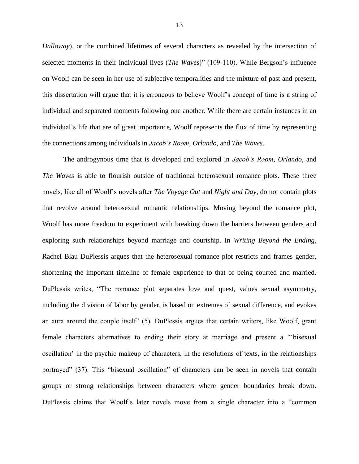*Dalloway*), or the combined lifetimes of several characters as revealed by the intersection of selected moments in their individual lives (*The Waves*)" (109-110). While Bergson's influence on Woolf can be seen in her use of subjective temporalities and the mixture of past and present, this dissertation will argue that it is erroneous to believe Woolf's concept of time is a string of individual and separated moments following one another. While there are certain instances in an individual's life that are of great importance, Woolf represents the flux of time by representing the connections among individuals in *Jacob's Room*, *Orlando*, and *The Waves*.

The androgynous time that is developed and explored in *Jacob's Room*, *Orlando*, and *The Waves* is able to flourish outside of traditional heterosexual romance plots. These three novels, like all of Woolf's novels after *The Voyage Out* and *Night and Day*, do not contain plots that revolve around heterosexual romantic relationships. Moving beyond the romance plot, Woolf has more freedom to experiment with breaking down the barriers between genders and exploring such relationships beyond marriage and courtship. In *Writing Beyond the Ending*, Rachel Blau DuPlessis argues that the heterosexual romance plot restricts and frames gender, shortening the important timeline of female experience to that of being courted and married. DuPlessis writes, "The romance plot separates love and quest, values sexual asymmetry, including the division of labor by gender, is based on extremes of sexual difference, and evokes an aura around the couple itself" (5). DuPlessis argues that certain writers, like Woolf, grant female characters alternatives to ending their story at marriage and present a "'bisexual oscillation' in the psychic makeup of characters, in the resolutions of texts, in the relationships portrayed" (37). This "bisexual oscillation" of characters can be seen in novels that contain groups or strong relationships between characters where gender boundaries break down. DuPlessis claims that Woolf's later novels move from a single character into a "common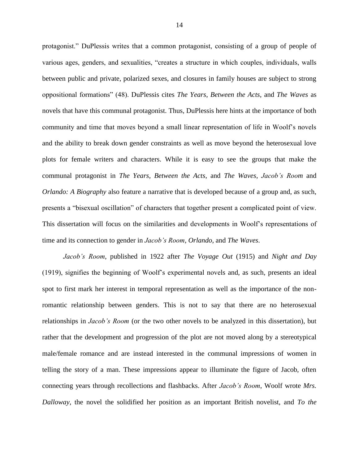protagonist." DuPlessis writes that a common protagonist, consisting of a group of people of various ages, genders, and sexualities, "creates a structure in which couples, individuals, walls between public and private, polarized sexes, and closures in family houses are subject to strong oppositional formations" (48). DuPlessis cites *The Years*, *Between the Acts*, and *The Waves* as novels that have this communal protagonist. Thus, DuPlessis here hints at the importance of both community and time that moves beyond a small linear representation of life in Woolf's novels and the ability to break down gender constraints as well as move beyond the heterosexual love plots for female writers and characters. While it is easy to see the groups that make the communal protagonist in *The Years*, *Between the Acts*, and *The Waves*, *Jacob's Room* and *Orlando: A Biography* also feature a narrative that is developed because of a group and, as such, presents a "bisexual oscillation" of characters that together present a complicated point of view. This dissertation will focus on the similarities and developments in Woolf's representations of time and its connection to gender in *Jacob's Room*, *Orlando*, and *The Waves*.

*Jacob's Room*, published in 1922 after *The Voyage Out* (1915) and *Night and Day* (1919), signifies the beginning of Woolf's experimental novels and, as such, presents an ideal spot to first mark her interest in temporal representation as well as the importance of the nonromantic relationship between genders. This is not to say that there are no heterosexual relationships in *Jacob's Room* (or the two other novels to be analyzed in this dissertation), but rather that the development and progression of the plot are not moved along by a stereotypical male/female romance and are instead interested in the communal impressions of women in telling the story of a man. These impressions appear to illuminate the figure of Jacob, often connecting years through recollections and flashbacks. After *Jacob's Room*, Woolf wrote *Mrs. Dalloway*, the novel the solidified her position as an important British novelist, and *To the*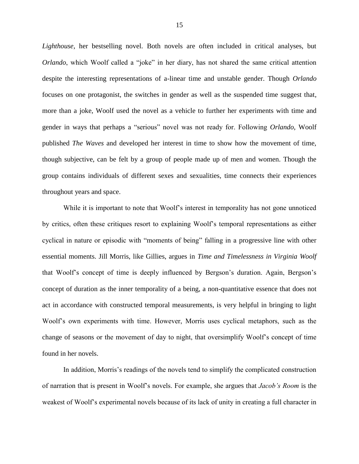*Lighthouse*, her bestselling novel. Both novels are often included in critical analyses, but *Orlando*, which Woolf called a "joke" in her diary, has not shared the same critical attention despite the interesting representations of a-linear time and unstable gender. Though *Orlando* focuses on one protagonist, the switches in gender as well as the suspended time suggest that, more than a joke, Woolf used the novel as a vehicle to further her experiments with time and gender in ways that perhaps a "serious" novel was not ready for. Following *Orlando*, Woolf published *The Waves* and developed her interest in time to show how the movement of time, though subjective, can be felt by a group of people made up of men and women. Though the group contains individuals of different sexes and sexualities, time connects their experiences throughout years and space.

While it is important to note that Woolf's interest in temporality has not gone unnoticed by critics, often these critiques resort to explaining Woolf's temporal representations as either cyclical in nature or episodic with "moments of being" falling in a progressive line with other essential moments. Jill Morris, like Gillies, argues in *Time and Timelessness in Virginia Woolf* that Woolf's concept of time is deeply influenced by Bergson's duration. Again, Bergson's concept of duration as the inner temporality of a being, a non-quantitative essence that does not act in accordance with constructed temporal measurements, is very helpful in bringing to light Woolf's own experiments with time. However, Morris uses cyclical metaphors, such as the change of seasons or the movement of day to night, that oversimplify Woolf's concept of time found in her novels.

In addition, Morris's readings of the novels tend to simplify the complicated construction of narration that is present in Woolf's novels. For example, she argues that *Jacob's Room* is the weakest of Woolf's experimental novels because of its lack of unity in creating a full character in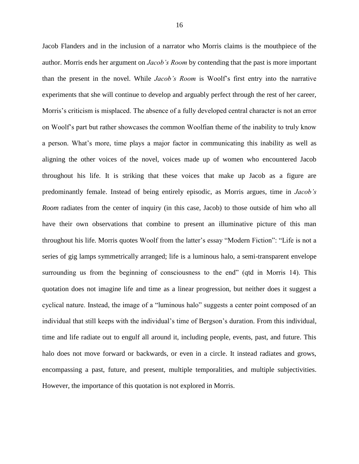Jacob Flanders and in the inclusion of a narrator who Morris claims is the mouthpiece of the author. Morris ends her argument on *Jacob's Room* by contending that the past is more important than the present in the novel. While *Jacob's Room* is Woolf's first entry into the narrative experiments that she will continue to develop and arguably perfect through the rest of her career, Morris's criticism is misplaced. The absence of a fully developed central character is not an error on Woolf's part but rather showcases the common Woolfian theme of the inability to truly know a person. What's more, time plays a major factor in communicating this inability as well as aligning the other voices of the novel, voices made up of women who encountered Jacob throughout his life. It is striking that these voices that make up Jacob as a figure are predominantly female. Instead of being entirely episodic, as Morris argues, time in *Jacob's Room* radiates from the center of inquiry (in this case, Jacob) to those outside of him who all have their own observations that combine to present an illuminative picture of this man throughout his life. Morris quotes Woolf from the latter's essay "Modern Fiction": "Life is not a series of gig lamps symmetrically arranged; life is a luminous halo, a semi-transparent envelope surrounding us from the beginning of consciousness to the end" (qtd in Morris 14). This quotation does not imagine life and time as a linear progression, but neither does it suggest a cyclical nature. Instead, the image of a "luminous halo" suggests a center point composed of an individual that still keeps with the individual's time of Bergson's duration. From this individual, time and life radiate out to engulf all around it, including people, events, past, and future. This halo does not move forward or backwards, or even in a circle. It instead radiates and grows, encompassing a past, future, and present, multiple temporalities, and multiple subjectivities. However, the importance of this quotation is not explored in Morris.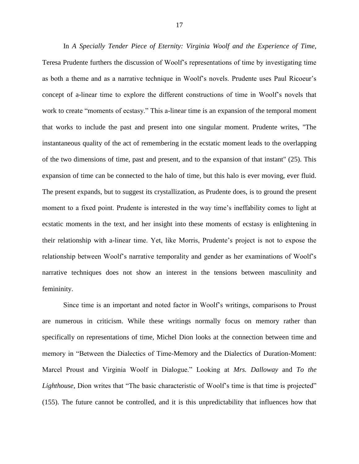In *A Specially Tender Piece of Eternity: Virginia Woolf and the Experience of Time,* Teresa Prudente furthers the discussion of Woolf's representations of time by investigating time as both a theme and as a narrative technique in Woolf's novels. Prudente uses Paul Ricoeur's concept of a-linear time to explore the different constructions of time in Woolf's novels that work to create "moments of ecstasy." This a-linear time is an expansion of the temporal moment that works to include the past and present into one singular moment. Prudente writes, "The instantaneous quality of the act of remembering in the ecstatic moment leads to the overlapping of the two dimensions of time, past and present, and to the expansion of that instant" (25). This expansion of time can be connected to the halo of time, but this halo is ever moving, ever fluid. The present expands, but to suggest its crystallization, as Prudente does, is to ground the present moment to a fixed point. Prudente is interested in the way time's ineffability comes to light at ecstatic moments in the text, and her insight into these moments of ecstasy is enlightening in their relationship with a-linear time. Yet, like Morris, Prudente's project is not to expose the relationship between Woolf's narrative temporality and gender as her examinations of Woolf's narrative techniques does not show an interest in the tensions between masculinity and femininity.

Since time is an important and noted factor in Woolf's writings, comparisons to Proust are numerous in criticism. While these writings normally focus on memory rather than specifically on representations of time, Michel Dion looks at the connection between time and memory in "Between the Dialectics of Time-Memory and the Dialectics of Duration-Moment: Marcel Proust and Virginia Woolf in Dialogue." Looking at *Mrs. Dalloway* and *To the Lighthouse*, Dion writes that "The basic characteristic of Woolf's time is that time is projected" (155). The future cannot be controlled, and it is this unpredictability that influences how that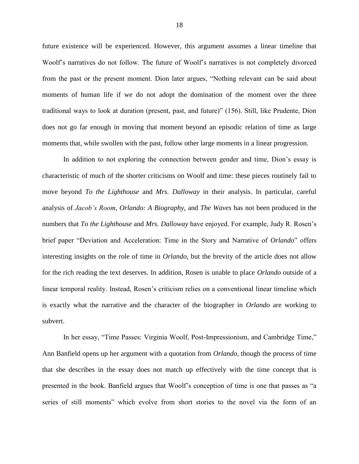future existence will be experienced. However, this argument assumes a linear timeline that Woolf's narratives do not follow. The future of Woolf's narratives is not completely divorced from the past or the present moment. Dion later argues, "Nothing relevant can be said about moments of human life if we do not adopt the domination of the moment over the three traditional ways to look at duration (present, past, and future)" (156). Still, like Prudente, Dion does not go far enough in moving that moment beyond an episodic relation of time as large moments that, while swollen with the past, follow other large moments in a linear progression.

In addition to not exploring the connection between gender and time, Dion's essay is characteristic of much of the shorter criticisms on Woolf and time: these pieces routinely fail to move beyond *To the Lighthouse* and *Mrs. Dalloway* in their analysis. In particular, careful analysis of *Jacob's Room*, *Orlando: A Biography,* and *The Waves* has not been produced in the numbers that *To the Lighthouse* and *Mrs. Dalloway* have enjoyed. For example, Judy R. Rosen's brief paper "Deviation and Acceleration: Time in the Story and Narrative of *Orlando*" offers interesting insights on the role of time in *Orlando,* but the brevity of the article does not allow for the rich reading the text deserves. In addition, Rosen is unable to place *Orlando* outside of a linear temporal reality. Instead, Rosen's criticism relies on a conventional linear timeline which is exactly what the narrative and the character of the biographer in *Orlando* are working to subvert.

In her essay, "Time Passes: Virginia Woolf, Post-Impressionism, and Cambridge Time," Ann Banfield opens up her argument with a quotation from *Orlando*, though the process of time that she describes in the essay does not match up effectively with the time concept that is presented in the book. Banfield argues that Woolf's conception of time is one that passes as "a series of still moments" which evolve from short stories to the novel via the form of an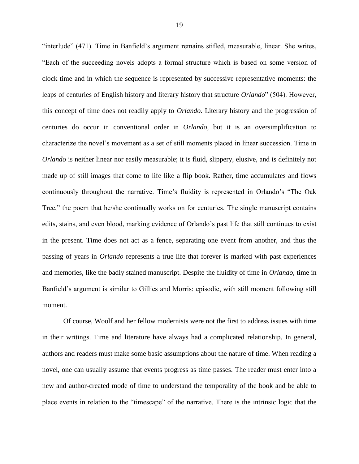"interlude" (471). Time in Banfield's argument remains stifled, measurable, linear. She writes, "Each of the succeeding novels adopts a formal structure which is based on some version of clock time and in which the sequence is represented by successive representative moments: the leaps of centuries of English history and literary history that structure *Orlando*" (504). However, this concept of time does not readily apply to *Orlando*. Literary history and the progression of centuries do occur in conventional order in *Orlando*, but it is an oversimplification to characterize the novel's movement as a set of still moments placed in linear succession. Time in *Orlando* is neither linear nor easily measurable; it is fluid, slippery, elusive, and is definitely not made up of still images that come to life like a flip book. Rather, time accumulates and flows continuously throughout the narrative. Time's fluidity is represented in Orlando's "The Oak Tree," the poem that he/she continually works on for centuries. The single manuscript contains edits, stains, and even blood, marking evidence of Orlando's past life that still continues to exist in the present. Time does not act as a fence, separating one event from another, and thus the passing of years in *Orlando* represents a true life that forever is marked with past experiences and memories, like the badly stained manuscript. Despite the fluidity of time in *Orlando*, time in Banfield's argument is similar to Gillies and Morris: episodic, with still moment following still moment.

Of course, Woolf and her fellow modernists were not the first to address issues with time in their writings. Time and literature have always had a complicated relationship. In general, authors and readers must make some basic assumptions about the nature of time. When reading a novel, one can usually assume that events progress as time passes. The reader must enter into a new and author-created mode of time to understand the temporality of the book and be able to place events in relation to the "timescape" of the narrative. There is the intrinsic logic that the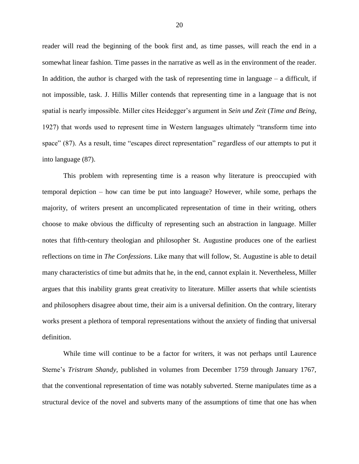reader will read the beginning of the book first and, as time passes, will reach the end in a somewhat linear fashion. Time passes in the narrative as well as in the environment of the reader. In addition, the author is charged with the task of representing time in language  $-$  a difficult, if not impossible, task. J. Hillis Miller contends that representing time in a language that is not spatial is nearly impossible. Miller cites Heidegger's argument in *Sein und Zeit* (*Time and Being*, 1927) that words used to represent time in Western languages ultimately "transform time into space" (87). As a result, time "escapes direct representation" regardless of our attempts to put it into language (87).

This problem with representing time is a reason why literature is preoccupied with temporal depiction – how can time be put into language? However, while some, perhaps the majority, of writers present an uncomplicated representation of time in their writing, others choose to make obvious the difficulty of representing such an abstraction in language. Miller notes that fifth-century theologian and philosopher St. Augustine produces one of the earliest reflections on time in *The Confessions*. Like many that will follow, St. Augustine is able to detail many characteristics of time but admits that he, in the end, cannot explain it. Nevertheless, Miller argues that this inability grants great creativity to literature. Miller asserts that while scientists and philosophers disagree about time, their aim is a universal definition. On the contrary, literary works present a plethora of temporal representations without the anxiety of finding that universal definition.

While time will continue to be a factor for writers, it was not perhaps until Laurence Sterne's *Tristram Shandy,* published in volumes from December 1759 through January 1767, that the conventional representation of time was notably subverted. Sterne manipulates time as a structural device of the novel and subverts many of the assumptions of time that one has when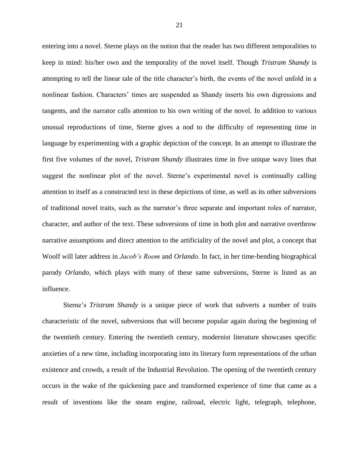entering into a novel. Sterne plays on the notion that the reader has two different temporalities to keep in mind: his/her own and the temporality of the novel itself. Though *Tristram Shandy* is attempting to tell the linear tale of the title character's birth, the events of the novel unfold in a nonlinear fashion. Characters' times are suspended as Shandy inserts his own digressions and tangents, and the narrator calls attention to his own writing of the novel. In addition to various unusual reproductions of time, Sterne gives a nod to the difficulty of representing time in language by experimenting with a graphic depiction of the concept. In an attempt to illustrate the first five volumes of the novel, *Tristram Shandy* illustrates time in five unique wavy lines that suggest the nonlinear plot of the novel. Sterne's experimental novel is continually calling attention to itself as a constructed text in these depictions of time, as well as its other subversions of traditional novel traits, such as the narrator's three separate and important roles of narrator, character, and author of the text. These subversions of time in both plot and narrative overthrow narrative assumptions and direct attention to the artificiality of the novel and plot, a concept that Woolf will later address in *Jacob's Room* and *Orlando*. In fact, in her time-bending biographical parody *Orlando*, which plays with many of these same subversions, Sterne is listed as an influence.

Sterne's *Tristram Shandy* is a unique piece of work that subverts a number of traits characteristic of the novel, subversions that will become popular again during the beginning of the twentieth century. Entering the twentieth century, modernist literature showcases specific anxieties of a new time, including incorporating into its literary form representations of the urban existence and crowds, a result of the Industrial Revolution. The opening of the twentieth century occurs in the wake of the quickening pace and transformed experience of time that came as a result of inventions like the steam engine, railroad, electric light, telegraph, telephone,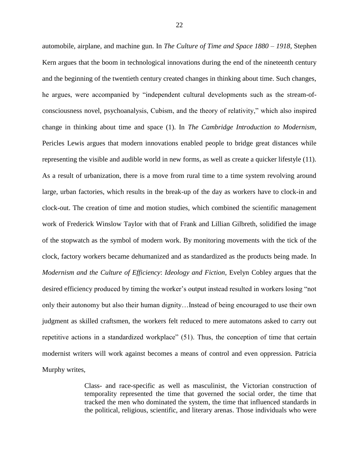automobile, airplane, and machine gun. In *The Culture of Time and Space 1880 – 1918*, Stephen Kern argues that the boom in technological innovations during the end of the nineteenth century and the beginning of the twentieth century created changes in thinking about time. Such changes, he argues, were accompanied by "independent cultural developments such as the stream-ofconsciousness novel, psychoanalysis, Cubism, and the theory of relativity," which also inspired change in thinking about time and space (1). In *The Cambridge Introduction to Modernism*, Pericles Lewis argues that modern innovations enabled people to bridge great distances while representing the visible and audible world in new forms, as well as create a quicker lifestyle (11). As a result of urbanization, there is a move from rural time to a time system revolving around large, urban factories, which results in the break-up of the day as workers have to clock-in and clock-out. The creation of time and motion studies, which combined the scientific management work of Frederick Winslow Taylor with that of Frank and Lillian Gilbreth, solidified the image of the stopwatch as the symbol of modern work. By monitoring movements with the tick of the clock, factory workers became dehumanized and as standardized as the products being made. In *Modernism and the Culture of Efficiency*: *Ideology and Fiction*, Evelyn Cobley argues that the desired efficiency produced by timing the worker's output instead resulted in workers losing "not only their autonomy but also their human dignity…Instead of being encouraged to use their own judgment as skilled craftsmen, the workers felt reduced to mere automatons asked to carry out repetitive actions in a standardized workplace" (51). Thus, the conception of time that certain modernist writers will work against becomes a means of control and even oppression. Patricia Murphy writes,

> Class- and race-specific as well as masculinist, the Victorian construction of temporality represented the time that governed the social order, the time that tracked the men who dominated the system, the time that influenced standards in the political, religious, scientific, and literary arenas. Those individuals who were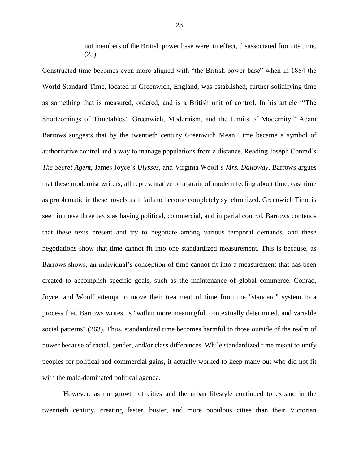not members of the British power base were, in effect, disassociated from its time. (23)

Constructed time becomes even more aligned with "the British power base" when in 1884 the World Standard Time, located in Greenwich, England, was established, further solidifying time as something that is measured, ordered, and is a British unit of control. In his article "'The Shortcomings of Timetables': Greenwich, Modernism, and the Limits of Modernity," Adam Barrows suggests that by the twentieth century Greenwich Mean Time became a symbol of authoritative control and a way to manage populations from a distance. Reading Joseph Conrad's *The Secret Agent*, James Joyce's *Ulysses*, and Virginia Woolf's *Mrs. Dalloway*, Barrows argues that these modernist writers, all representative of a strain of modern feeling about time, cast time as problematic in these novels as it fails to become completely synchronized. Greenwich Time is seen in these three texts as having political, commercial, and imperial control. Barrows contends that these texts present and try to negotiate among various temporal demands, and these negotiations show that time cannot fit into one standardized measurement. This is because, as Barrows shows, an individual's conception of time cannot fit into a measurement that has been created to accomplish specific goals, such as the maintenance of global commerce. Conrad, Joyce, and Woolf attempt to move their treatment of time from the "standard" system to a process that, Barrows writes, is "within more meaningful, contextually determined, and variable social patterns" (263). Thus, standardized time becomes harmful to those outside of the realm of power because of racial, gender, and/or class differences. While standardized time meant to unify peoples for political and commercial gains, it actually worked to keep many out who did not fit with the male-dominated political agenda.

However, as the growth of cities and the urban lifestyle continued to expand in the twentieth century, creating faster, busier, and more populous cities than their Victorian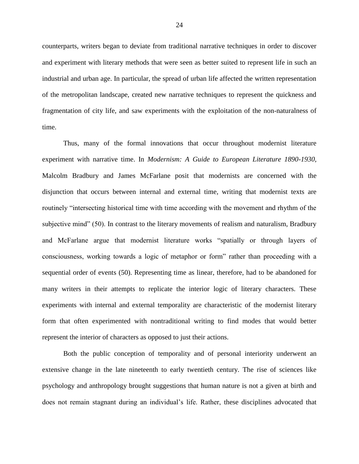counterparts, writers began to deviate from traditional narrative techniques in order to discover and experiment with literary methods that were seen as better suited to represent life in such an industrial and urban age. In particular, the spread of urban life affected the written representation of the metropolitan landscape, created new narrative techniques to represent the quickness and fragmentation of city life, and saw experiments with the exploitation of the non-naturalness of time.

Thus, many of the formal innovations that occur throughout modernist literature experiment with narrative time. In *Modernism: A Guide to European Literature 1890-1930,* Malcolm Bradbury and James McFarlane posit that modernists are concerned with the disjunction that occurs between internal and external time, writing that modernist texts are routinely "intersecting historical time with time according with the movement and rhythm of the subjective mind" (50). In contrast to the literary movements of realism and naturalism, Bradbury and McFarlane argue that modernist literature works "spatially or through layers of consciousness, working towards a logic of metaphor or form" rather than proceeding with a sequential order of events (50). Representing time as linear, therefore, had to be abandoned for many writers in their attempts to replicate the interior logic of literary characters. These experiments with internal and external temporality are characteristic of the modernist literary form that often experimented with nontraditional writing to find modes that would better represent the interior of characters as opposed to just their actions.

Both the public conception of temporality and of personal interiority underwent an extensive change in the late nineteenth to early twentieth century. The rise of sciences like psychology and anthropology brought suggestions that human nature is not a given at birth and does not remain stagnant during an individual's life. Rather, these disciplines advocated that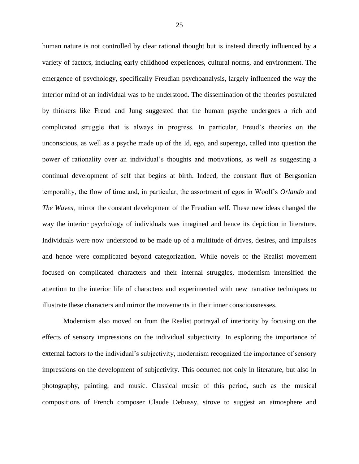human nature is not controlled by clear rational thought but is instead directly influenced by a variety of factors, including early childhood experiences, cultural norms, and environment. The emergence of psychology, specifically Freudian psychoanalysis, largely influenced the way the interior mind of an individual was to be understood. The dissemination of the theories postulated by thinkers like Freud and Jung suggested that the human psyche undergoes a rich and complicated struggle that is always in progress. In particular, Freud's theories on the unconscious, as well as a psyche made up of the Id, ego, and superego, called into question the power of rationality over an individual's thoughts and motivations, as well as suggesting a continual development of self that begins at birth. Indeed, the constant flux of Bergsonian temporality, the flow of time and, in particular, the assortment of egos in Woolf's *Orlando* and *The Waves*, mirror the constant development of the Freudian self. These new ideas changed the way the interior psychology of individuals was imagined and hence its depiction in literature. Individuals were now understood to be made up of a multitude of drives, desires, and impulses and hence were complicated beyond categorization. While novels of the Realist movement focused on complicated characters and their internal struggles, modernism intensified the attention to the interior life of characters and experimented with new narrative techniques to illustrate these characters and mirror the movements in their inner consciousnesses.

Modernism also moved on from the Realist portrayal of interiority by focusing on the effects of sensory impressions on the individual subjectivity. In exploring the importance of external factors to the individual's subjectivity, modernism recognized the importance of sensory impressions on the development of subjectivity. This occurred not only in literature, but also in photography, painting, and music. Classical music of this period, such as the musical compositions of French composer Claude Debussy, strove to suggest an atmosphere and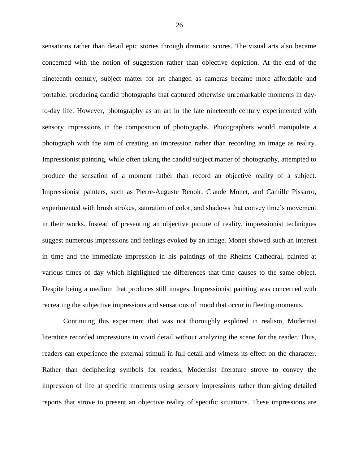sensations rather than detail epic stories through dramatic scores. The visual arts also became concerned with the notion of suggestion rather than objective depiction. At the end of the nineteenth century, subject matter for art changed as cameras became more affordable and portable, producing candid photographs that captured otherwise unremarkable moments in dayto-day life. However, photography as an art in the late nineteenth century experimented with sensory impressions in the composition of photographs. Photographers would manipulate a photograph with the aim of creating an impression rather than recording an image as reality. Impressionist painting, while often taking the candid subject matter of photography, attempted to produce the sensation of a moment rather than record an objective reality of a subject. Impressionist painters, such as Pierre-Auguste Renoir, Claude Monet, and Camille Pissarro, experimented with brush strokes, saturation of color, and shadows that convey time's movement in their works. Instead of presenting an objective picture of reality, impressionist techniques suggest numerous impressions and feelings evoked by an image. Monet showed such an interest in time and the immediate impression in his paintings of the Rheims Cathedral, painted at various times of day which highlighted the differences that time causes to the same object. Despite being a medium that produces still images, Impressionist painting was concerned with recreating the subjective impressions and sensations of mood that occur in fleeting moments.

Continuing this experiment that was not thoroughly explored in realism, Modernist literature recorded impressions in vivid detail without analyzing the scene for the reader. Thus, readers can experience the external stimuli in full detail and witness its effect on the character. Rather than deciphering symbols for readers, Modernist literature strove to convey the impression of life at specific moments using sensory impressions rather than giving detailed reports that strove to present an objective reality of specific situations. These impressions are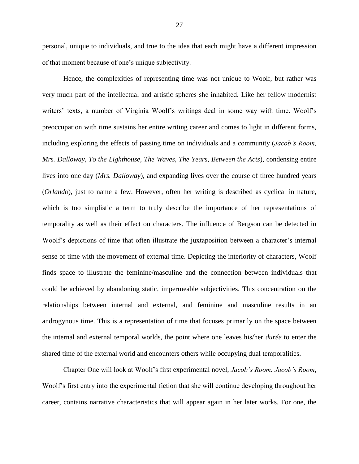personal, unique to individuals, and true to the idea that each might have a different impression of that moment because of one's unique subjectivity.

Hence, the complexities of representing time was not unique to Woolf, but rather was very much part of the intellectual and artistic spheres she inhabited. Like her fellow modernist writers' texts, a number of Virginia Woolf's writings deal in some way with time. Woolf's preoccupation with time sustains her entire writing career and comes to light in different forms, including exploring the effects of passing time on individuals and a community (*Jacob's Room, Mrs. Dalloway, To the Lighthouse, The Waves, The Years, Between the Acts*), condensing entire lives into one day (*Mrs. Dalloway*), and expanding lives over the course of three hundred years (*Orlando*), just to name a few. However, often her writing is described as cyclical in nature, which is too simplistic a term to truly describe the importance of her representations of temporality as well as their effect on characters. The influence of Bergson can be detected in Woolf's depictions of time that often illustrate the juxtaposition between a character's internal sense of time with the movement of external time. Depicting the interiority of characters, Woolf finds space to illustrate the feminine/masculine and the connection between individuals that could be achieved by abandoning static, impermeable subjectivities. This concentration on the relationships between internal and external, and feminine and masculine results in an androgynous time. This is a representation of time that focuses primarily on the space between the internal and external temporal worlds, the point where one leaves his/her *durée* to enter the shared time of the external world and encounters others while occupying dual temporalities.

Chapter One will look at Woolf's first experimental novel, *Jacob's Room. Jacob's Room*, Woolf's first entry into the experimental fiction that she will continue developing throughout her career, contains narrative characteristics that will appear again in her later works. For one, the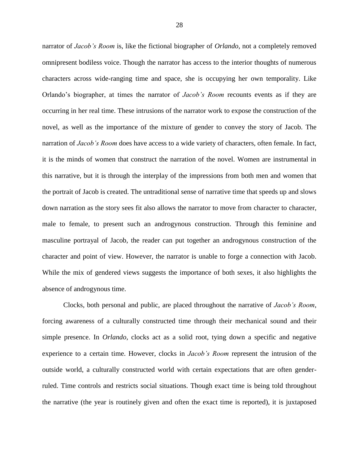narrator of *Jacob's Room* is, like the fictional biographer of *Orlando*, not a completely removed omnipresent bodiless voice. Though the narrator has access to the interior thoughts of numerous characters across wide-ranging time and space, she is occupying her own temporality. Like Orlando's biographer, at times the narrator of *Jacob's Room* recounts events as if they are occurring in her real time. These intrusions of the narrator work to expose the construction of the novel, as well as the importance of the mixture of gender to convey the story of Jacob. The narration of *Jacob's Room* does have access to a wide variety of characters, often female. In fact, it is the minds of women that construct the narration of the novel. Women are instrumental in this narrative, but it is through the interplay of the impressions from both men and women that the portrait of Jacob is created. The untraditional sense of narrative time that speeds up and slows down narration as the story sees fit also allows the narrator to move from character to character, male to female, to present such an androgynous construction. Through this feminine and masculine portrayal of Jacob, the reader can put together an androgynous construction of the character and point of view. However, the narrator is unable to forge a connection with Jacob. While the mix of gendered views suggests the importance of both sexes, it also highlights the absence of androgynous time.

Clocks, both personal and public, are placed throughout the narrative of *Jacob's Room*, forcing awareness of a culturally constructed time through their mechanical sound and their simple presence. In *Orlando*, clocks act as a solid root, tying down a specific and negative experience to a certain time. However, clocks in *Jacob's Room* represent the intrusion of the outside world, a culturally constructed world with certain expectations that are often genderruled. Time controls and restricts social situations. Though exact time is being told throughout the narrative (the year is routinely given and often the exact time is reported), it is juxtaposed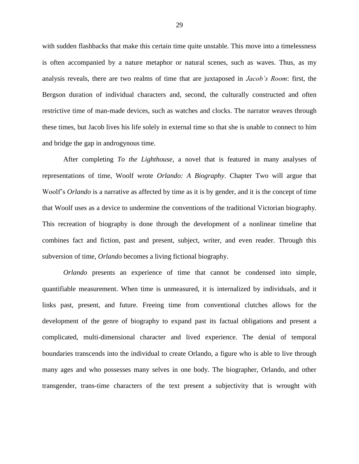with sudden flashbacks that make this certain time quite unstable. This move into a timelessness is often accompanied by a nature metaphor or natural scenes, such as waves. Thus, as my analysis reveals, there are two realms of time that are juxtaposed in *Jacob's Room*: first, the Bergson duration of individual characters and, second, the culturally constructed and often restrictive time of man-made devices, such as watches and clocks. The narrator weaves through these times, but Jacob lives his life solely in external time so that she is unable to connect to him and bridge the gap in androgynous time.

After completing *To the Lighthouse*, a novel that is featured in many analyses of representations of time, Woolf wrote *Orlando: A Biography*. Chapter Two will argue that Woolf's *Orlando* is a narrative as affected by time as it is by gender, and it is the concept of time that Woolf uses as a device to undermine the conventions of the traditional Victorian biography. This recreation of biography is done through the development of a nonlinear timeline that combines fact and fiction, past and present, subject, writer, and even reader. Through this subversion of time, *Orlando* becomes a living fictional biography.

*Orlando* presents an experience of time that cannot be condensed into simple, quantifiable measurement. When time is unmeasured, it is internalized by individuals, and it links past, present, and future. Freeing time from conventional clutches allows for the development of the genre of biography to expand past its factual obligations and present a complicated, multi-dimensional character and lived experience. The denial of temporal boundaries transcends into the individual to create Orlando, a figure who is able to live through many ages and who possesses many selves in one body. The biographer, Orlando, and other transgender, trans-time characters of the text present a subjectivity that is wrought with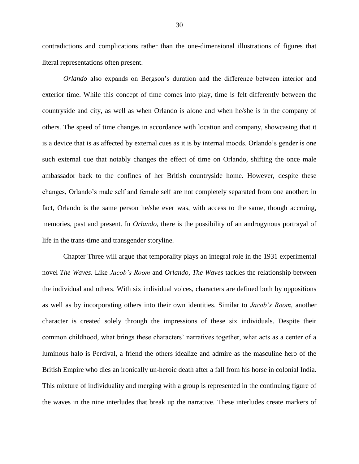contradictions and complications rather than the one-dimensional illustrations of figures that literal representations often present.

*Orlando* also expands on Bergson's duration and the difference between interior and exterior time. While this concept of time comes into play, time is felt differently between the countryside and city, as well as when Orlando is alone and when he/she is in the company of others. The speed of time changes in accordance with location and company, showcasing that it is a device that is as affected by external cues as it is by internal moods. Orlando's gender is one such external cue that notably changes the effect of time on Orlando, shifting the once male ambassador back to the confines of her British countryside home. However, despite these changes, Orlando's male self and female self are not completely separated from one another: in fact, Orlando is the same person he/she ever was, with access to the same, though accruing, memories, past and present. In *Orlando*, there is the possibility of an androgynous portrayal of life in the trans-time and transgender storyline.

Chapter Three will argue that temporality plays an integral role in the 1931 experimental novel *The Waves*. Like *Jacob's Room* and *Orlando*, *The Waves* tackles the relationship between the individual and others. With six individual voices, characters are defined both by oppositions as well as by incorporating others into their own identities. Similar to *Jacob's Room*, another character is created solely through the impressions of these six individuals. Despite their common childhood, what brings these characters' narratives together, what acts as a center of a luminous halo is Percival, a friend the others idealize and admire as the masculine hero of the British Empire who dies an ironically un-heroic death after a fall from his horse in colonial India. This mixture of individuality and merging with a group is represented in the continuing figure of the waves in the nine interludes that break up the narrative. These interludes create markers of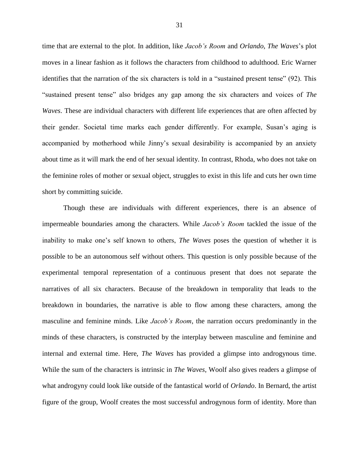time that are external to the plot. In addition, like *Jacob's Room* and *Orlando*, *The Waves*'s plot moves in a linear fashion as it follows the characters from childhood to adulthood. Eric Warner identifies that the narration of the six characters is told in a "sustained present tense" (92). This "sustained present tense" also bridges any gap among the six characters and voices of *The Waves*. These are individual characters with different life experiences that are often affected by their gender. Societal time marks each gender differently. For example, Susan's aging is accompanied by motherhood while Jinny's sexual desirability is accompanied by an anxiety about time as it will mark the end of her sexual identity. In contrast, Rhoda, who does not take on the feminine roles of mother or sexual object, struggles to exist in this life and cuts her own time short by committing suicide.

Though these are individuals with different experiences, there is an absence of impermeable boundaries among the characters. While *Jacob's Room* tackled the issue of the inability to make one's self known to others, *The Waves* poses the question of whether it is possible to be an autonomous self without others. This question is only possible because of the experimental temporal representation of a continuous present that does not separate the narratives of all six characters. Because of the breakdown in temporality that leads to the breakdown in boundaries, the narrative is able to flow among these characters, among the masculine and feminine minds. Like *Jacob's Room*, the narration occurs predominantly in the minds of these characters, is constructed by the interplay between masculine and feminine and internal and external time. Here, *The Waves* has provided a glimpse into androgynous time. While the sum of the characters is intrinsic in *The Waves*, Woolf also gives readers a glimpse of what androgyny could look like outside of the fantastical world of *Orlando*. In Bernard, the artist figure of the group, Woolf creates the most successful androgynous form of identity. More than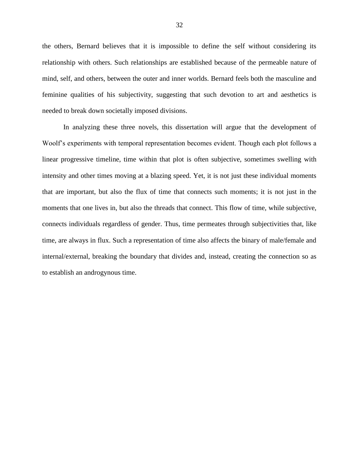the others, Bernard believes that it is impossible to define the self without considering its relationship with others. Such relationships are established because of the permeable nature of mind, self, and others, between the outer and inner worlds. Bernard feels both the masculine and feminine qualities of his subjectivity, suggesting that such devotion to art and aesthetics is needed to break down societally imposed divisions.

In analyzing these three novels, this dissertation will argue that the development of Woolf's experiments with temporal representation becomes evident. Though each plot follows a linear progressive timeline, time within that plot is often subjective, sometimes swelling with intensity and other times moving at a blazing speed. Yet, it is not just these individual moments that are important, but also the flux of time that connects such moments; it is not just in the moments that one lives in, but also the threads that connect. This flow of time, while subjective, connects individuals regardless of gender. Thus, time permeates through subjectivities that, like time, are always in flux. Such a representation of time also affects the binary of male/female and internal/external, breaking the boundary that divides and, instead, creating the connection so as to establish an androgynous time.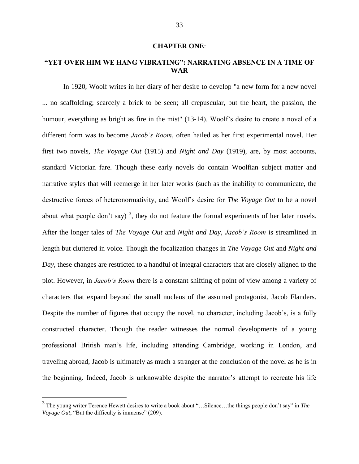## **CHAPTER ONE**:

## **"YET OVER HIM WE HANG VIBRATING": NARRATING ABSENCE IN A TIME OF WAR**

In 1920, Woolf writes in her diary of her desire to develop "a new form for a new novel ... no scaffolding; scarcely a brick to be seen; all crepuscular, but the heart, the passion, the humour, everything as bright as fire in the mist" (13-14). Woolf's desire to create a novel of a different form was to become *Jacob's Room*, often hailed as her first experimental novel. Her first two novels, *The Voyage Out* (1915) and *Night and Day* (1919), are, by most accounts, standard Victorian fare. Though these early novels do contain Woolfian subject matter and narrative styles that will reemerge in her later works (such as the inability to communicate, the destructive forces of heteronormativity, and Woolf's desire for *The Voyage Out* to be a novel about what people don't say)<sup>3</sup>, they do not feature the formal experiments of her later novels. After the longer tales of *The Voyage Out* and *Night and Day*, *Jacob's Room* is streamlined in length but cluttered in voice. Though the focalization changes in *The Voyage Out* and *Night and Day*, these changes are restricted to a handful of integral characters that are closely aligned to the plot. However, in *Jacob's Room* there is a constant shifting of point of view among a variety of characters that expand beyond the small nucleus of the assumed protagonist, Jacob Flanders. Despite the number of figures that occupy the novel, no character, including Jacob's, is a fully constructed character. Though the reader witnesses the normal developments of a young professional British man's life, including attending Cambridge, working in London, and traveling abroad, Jacob is ultimately as much a stranger at the conclusion of the novel as he is in the beginning. Indeed, Jacob is unknowable despite the narrator's attempt to recreate his life

 $\overline{a}$ 

<sup>3</sup> The young writer Terence Hewett desires to write a book about "…Silence…the things people don't say" in *The Voyage Out*; "But the difficulty is immense" (209).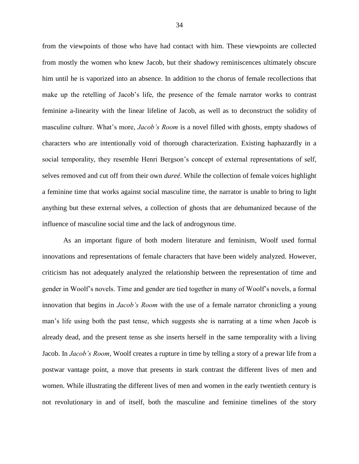from the viewpoints of those who have had contact with him. These viewpoints are collected from mostly the women who knew Jacob, but their shadowy reminiscences ultimately obscure him until he is vaporized into an absence. In addition to the chorus of female recollections that make up the retelling of Jacob's life, the presence of the female narrator works to contrast feminine a-linearity with the linear lifeline of Jacob, as well as to deconstruct the solidity of masculine culture. What's more, *Jacob's Room* is a novel filled with ghosts, empty shadows of characters who are intentionally void of thorough characterization. Existing haphazardly in a social temporality, they resemble Henri Bergson's concept of external representations of self, selves removed and cut off from their own *dureé*. While the collection of female voices highlight a feminine time that works against social masculine time, the narrator is unable to bring to light anything but these external selves, a collection of ghosts that are dehumanized because of the influence of masculine social time and the lack of androgynous time.

As an important figure of both modern literature and feminism, Woolf used formal innovations and representations of female characters that have been widely analyzed. However, criticism has not adequately analyzed the relationship between the representation of time and gender in Woolf's novels. Time and gender are tied together in many of Woolf's novels, a formal innovation that begins in *Jacob's Room* with the use of a female narrator chronicling a young man's life using both the past tense, which suggests she is narrating at a time when Jacob is already dead, and the present tense as she inserts herself in the same temporality with a living Jacob. In *Jacob's Room*, Woolf creates a rupture in time by telling a story of a prewar life from a postwar vantage point, a move that presents in stark contrast the different lives of men and women. While illustrating the different lives of men and women in the early twentieth century is not revolutionary in and of itself, both the masculine and feminine timelines of the story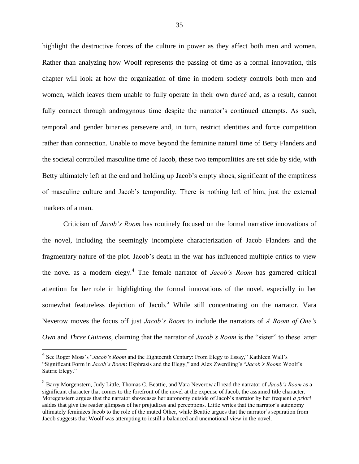highlight the destructive forces of the culture in power as they affect both men and women. Rather than analyzing how Woolf represents the passing of time as a formal innovation, this chapter will look at how the organization of time in modern society controls both men and women, which leaves them unable to fully operate in their own *dureé* and, as a result, cannot fully connect through androgynous time despite the narrator's continued attempts. As such, temporal and gender binaries persevere and, in turn, restrict identities and force competition rather than connection. Unable to move beyond the feminine natural time of Betty Flanders and the societal controlled masculine time of Jacob, these two temporalities are set side by side, with Betty ultimately left at the end and holding up Jacob's empty shoes, significant of the emptiness of masculine culture and Jacob's temporality. There is nothing left of him, just the external markers of a man.

Criticism of *Jacob's Room* has routinely focused on the formal narrative innovations of the novel, including the seemingly incomplete characterization of Jacob Flanders and the fragmentary nature of the plot. Jacob's death in the war has influenced multiple critics to view the novel as a modern elegy.<sup>4</sup> The female narrator of *Jacob's Room* has garnered critical attention for her role in highlighting the formal innovations of the novel, especially in her somewhat featureless depiction of Jacob.<sup>5</sup> While still concentrating on the narrator, Vara Neverow moves the focus off just *Jacob's Room* to include the narrators of *A Room of One's Own* and *Three Guineas*, claiming that the narrator of *Jacob's Room* is the "sister" to these latter

 $\overline{a}$ 

<sup>&</sup>lt;sup>4</sup> See Roger Moss's "*Jacob's Room* and the Eighteenth Century: From Elegy to Essay," Kathleen Wall's "Significant Form in *Jacob's Room*: Ekphrasis and the Elegy," and Alex Zwerdling's "*Jacob's Room*: Woolf's Satiric Elegy."

<sup>5</sup> Barry Morgenstern, Judy Little, Thomas C. Beattie, and Vara Neverow all read the narrator of *Jacob's Room* as a significant character that comes to the forefront of the novel at the expense of Jacob, the assumed title character. Moregenstern argues that the narrator showcases her autonomy outside of Jacob's narrator by her frequent *a priori*  asides that give the reader glimpses of her prejudices and perceptions. Little writes that the narrator's autonomy ultimately feminizes Jacob to the role of the muted Other, while Beattie argues that the narrator's separation from Jacob suggests that Woolf was attempting to instill a balanced and unemotional view in the novel.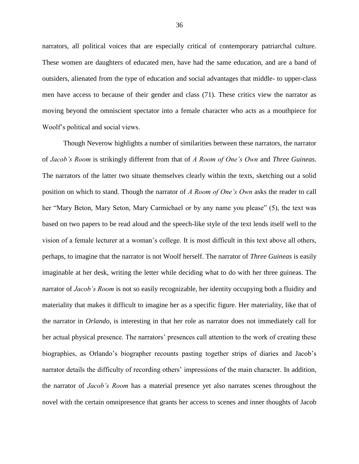narrators, all political voices that are especially critical of contemporary patriarchal culture. These women are daughters of educated men, have had the same education, and are a band of outsiders, alienated from the type of education and social advantages that middle- to upper-class men have access to because of their gender and class (71). These critics view the narrator as moving beyond the omniscient spectator into a female character who acts as a mouthpiece for Woolf's political and social views.

Though Neverow highlights a number of similarities between these narrators, the narrator of *Jacob's Room* is strikingly different from that of *A Room of One's Own* and *Three Guineas*. The narrators of the latter two situate themselves clearly within the texts, sketching out a solid position on which to stand. Though the narrator of *A Room of One's Own* asks the reader to call her "Mary Beton, Mary Seton, Mary Carmichael or by any name you please" (5), the text was based on two papers to be read aloud and the speech-like style of the text lends itself well to the vision of a female lecturer at a woman's college. It is most difficult in this text above all others, perhaps, to imagine that the narrator is not Woolf herself. The narrator of *Three Guineas* is easily imaginable at her desk, writing the letter while deciding what to do with her three guineas. The narrator of *Jacob's Room* is not so easily recognizable, her identity occupying both a fluidity and materiality that makes it difficult to imagine her as a specific figure. Her materiality, like that of the narrator in *Orlando*, is interesting in that her role as narrator does not immediately call for her actual physical presence. The narrators' presences call attention to the work of creating these biographies, as Orlando's biographer recounts pasting together strips of diaries and Jacob's narrator details the difficulty of recording others' impressions of the main character. In addition, the narrator of *Jacob's Room* has a material presence yet also narrates scenes throughout the novel with the certain omnipresence that grants her access to scenes and inner thoughts of Jacob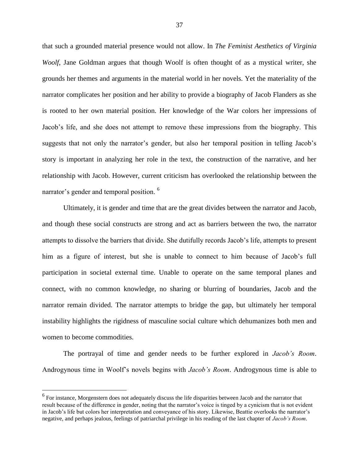that such a grounded material presence would not allow. In *The Feminist Aesthetics of Virginia Woolf*, Jane Goldman argues that though Woolf is often thought of as a mystical writer, she grounds her themes and arguments in the material world in her novels. Yet the materiality of the narrator complicates her position and her ability to provide a biography of Jacob Flanders as she is rooted to her own material position. Her knowledge of the War colors her impressions of Jacob's life, and she does not attempt to remove these impressions from the biography. This suggests that not only the narrator's gender, but also her temporal position in telling Jacob's story is important in analyzing her role in the text, the construction of the narrative, and her relationship with Jacob. However, current criticism has overlooked the relationship between the narrator's gender and temporal position.<sup>6</sup>

Ultimately, it is gender and time that are the great divides between the narrator and Jacob, and though these social constructs are strong and act as barriers between the two, the narrator attempts to dissolve the barriers that divide. She dutifully records Jacob's life, attempts to present him as a figure of interest, but she is unable to connect to him because of Jacob's full participation in societal external time. Unable to operate on the same temporal planes and connect, with no common knowledge, no sharing or blurring of boundaries, Jacob and the narrator remain divided. The narrator attempts to bridge the gap, but ultimately her temporal instability highlights the rigidness of masculine social culture which dehumanizes both men and women to become commodities.

The portrayal of time and gender needs to be further explored in *Jacob's Room*. Androgynous time in Woolf's novels begins with *Jacob's Room*. Androgynous time is able to

 $\overline{a}$ 

<sup>&</sup>lt;sup>6</sup> For instance, Morgenstern does not adequately discuss the life disparities between Jacob and the narrator that result because of the difference in gender, noting that the narrator's voice is tinged by a cynicism that is not evident in Jacob's life but colors her interpretation and conveyance of his story. Likewise, Beattie overlooks the narrator's negative, and perhaps jealous, feelings of patriarchal privilege in his reading of the last chapter of *Jacob's Room*.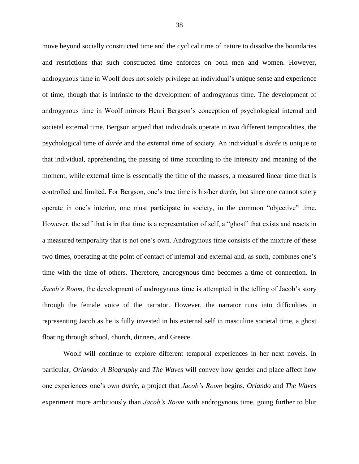move beyond socially constructed time and the cyclical time of nature to dissolve the boundaries and restrictions that such constructed time enforces on both men and women. However, androgynous time in Woolf does not solely privilege an individual's unique sense and experience of time, though that is intrinsic to the development of androgynous time. The development of androgynous time in Woolf mirrors Henri Bergson's conception of psychological internal and societal external time. Bergson argued that individuals operate in two different temporalities, the psychological time of *durée* and the external time of society. An individual's *durée* is unique to that individual, apprehending the passing of time according to the intensity and meaning of the moment, while external time is essentially the time of the masses, a measured linear time that is controlled and limited. For Bergson, one's true time is his/her *durée*, but since one cannot solely operate in one's interior, one must participate in society, in the common "objective" time. However, the self that is in that time is a representation of self, a "ghost" that exists and reacts in a measured temporality that is not one's own. Androgynous time consists of the mixture of these two times, operating at the point of contact of internal and external and, as such, combines one's time with the time of others. Therefore, androgynous time becomes a time of connection. In *Jacob's Room*, the development of androgynous time is attempted in the telling of Jacob's story through the female voice of the narrator. However, the narrator runs into difficulties in representing Jacob as he is fully invested in his external self in masculine societal time, a ghost floating through school, church, dinners, and Greece.

Woolf will continue to explore different temporal experiences in her next novels. In particular, *Orlando: A Biography* and *The Waves* will convey how gender and place affect how one experiences one's own *durée,* a project that *Jacob's Room* begins. *Orlando* and *The Waves* experiment more ambitiously than *Jacob's Room* with androgynous time, going further to blur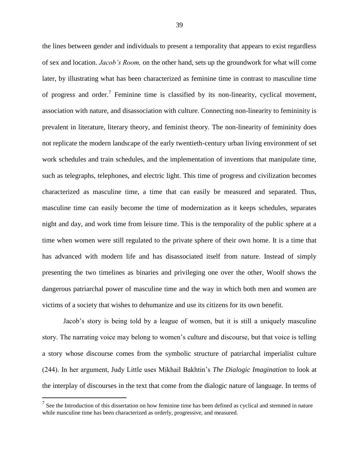the lines between gender and individuals to present a temporality that appears to exist regardless of sex and location. *Jacob's Room,* on the other hand, sets up the groundwork for what will come later, by illustrating what has been characterized as feminine time in contrast to masculine time of progress and order.<sup>7</sup> Feminine time is classified by its non-linearity, cyclical movement, association with nature, and disassociation with culture. Connecting non-linearity to femininity is prevalent in literature, literary theory, and feminist theory. The non-linearity of femininity does not replicate the modern landscape of the early twentieth-century urban living environment of set work schedules and train schedules, and the implementation of inventions that manipulate time, such as telegraphs, telephones, and electric light. This time of progress and civilization becomes characterized as masculine time, a time that can easily be measured and separated. Thus, masculine time can easily become the time of modernization as it keeps schedules, separates night and day, and work time from leisure time. This is the temporality of the public sphere at a time when women were still regulated to the private sphere of their own home. It is a time that has advanced with modern life and has disassociated itself from nature. Instead of simply presenting the two timelines as binaries and privileging one over the other, Woolf shows the dangerous patriarchal power of masculine time and the way in which both men and women are victims of a society that wishes to dehumanize and use its citizens for its own benefit.

Jacob's story is being told by a league of women, but it is still a uniquely masculine story. The narrating voice may belong to women's culture and discourse, but that voice is telling a story whose discourse comes from the symbolic structure of patriarchal imperialist culture (244). In her argument, Judy Little uses Mikhail Bakhtin's *The Dialogic Imagination* to look at the interplay of discourses in the text that come from the dialogic nature of language. In terms of

 $\overline{a}$ 

 $<sup>7</sup>$  See the Introduction of this dissertation on how feminine time has been defined as cyclical and stemmed in nature</sup> while masculine time has been characterized as orderly, progressive, and measured.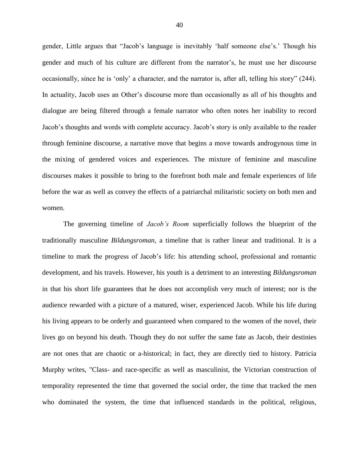gender, Little argues that "Jacob's language is inevitably 'half someone else's.' Though his gender and much of his culture are different from the narrator's, he must use her discourse occasionally, since he is 'only' a character, and the narrator is, after all, telling his story" (244). In actuality, Jacob uses an Other's discourse more than occasionally as all of his thoughts and dialogue are being filtered through a female narrator who often notes her inability to record Jacob's thoughts and words with complete accuracy. Jacob's story is only available to the reader through feminine discourse, a narrative move that begins a move towards androgynous time in the mixing of gendered voices and experiences. The mixture of feminine and masculine discourses makes it possible to bring to the forefront both male and female experiences of life before the war as well as convey the effects of a patriarchal militaristic society on both men and women.

The governing timeline of *Jacob's Room* superficially follows the blueprint of the traditionally masculine *Bildungsroman*, a timeline that is rather linear and traditional. It is a timeline to mark the progress of Jacob's life: his attending school, professional and romantic development, and his travels. However, his youth is a detriment to an interesting *Bildungsroman* in that his short life guarantees that he does not accomplish very much of interest; nor is the audience rewarded with a picture of a matured, wiser, experienced Jacob. While his life during his living appears to be orderly and guaranteed when compared to the women of the novel, their lives go on beyond his death. Though they do not suffer the same fate as Jacob, their destinies are not ones that are chaotic or a-historical; in fact, they are directly tied to history. Patricia Murphy writes, "Class- and race-specific as well as masculinist, the Victorian construction of temporality represented the time that governed the social order, the time that tracked the men who dominated the system, the time that influenced standards in the political, religious,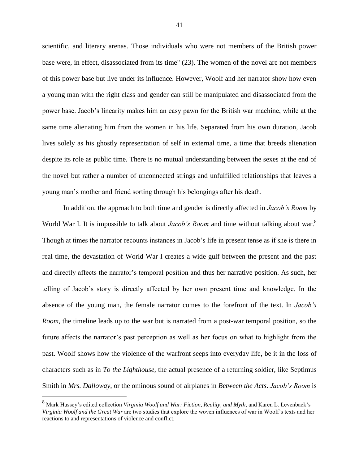scientific, and literary arenas. Those individuals who were not members of the British power base were, in effect, disassociated from its time" (23). The women of the novel are not members of this power base but live under its influence. However, Woolf and her narrator show how even a young man with the right class and gender can still be manipulated and disassociated from the power base. Jacob's linearity makes him an easy pawn for the British war machine, while at the same time alienating him from the women in his life. Separated from his own duration, Jacob lives solely as his ghostly representation of self in external time, a time that breeds alienation despite its role as public time. There is no mutual understanding between the sexes at the end of the novel but rather a number of unconnected strings and unfulfilled relationships that leaves a young man's mother and friend sorting through his belongings after his death.

In addition, the approach to both time and gender is directly affected in *Jacob's Room* by World War I. It is impossible to talk about *Jacob's Room* and time without talking about war.<sup>8</sup> Though at times the narrator recounts instances in Jacob's life in present tense as if she is there in real time, the devastation of World War I creates a wide gulf between the present and the past and directly affects the narrator's temporal position and thus her narrative position. As such, her telling of Jacob's story is directly affected by her own present time and knowledge. In the absence of the young man, the female narrator comes to the forefront of the text. In *Jacob's Room*, the timeline leads up to the war but is narrated from a post-war temporal position, so the future affects the narrator's past perception as well as her focus on what to highlight from the past. Woolf shows how the violence of the warfront seeps into everyday life, be it in the loss of characters such as in *To the Lighthouse*, the actual presence of a returning soldier, like Septimus Smith in *Mrs. Dalloway*, or the ominous sound of airplanes in *Between the Acts*. *Jacob's Room* is

 $\overline{a}$ 

<sup>8</sup> Mark Hussey's edited collection *Virginia Woolf and War: Fiction, Reality, and Myth*, and Karen L. Levenback's *Virginia Woolf and the Great War* are two studies that explore the woven influences of war in Woolf's texts and her reactions to and representations of violence and conflict.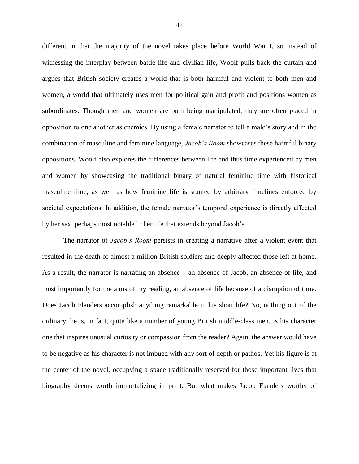different in that the majority of the novel takes place before World War I, so instead of witnessing the interplay between battle life and civilian life, Woolf pulls back the curtain and argues that British society creates a world that is both harmful and violent to both men and women, a world that ultimately uses men for political gain and profit and positions women as subordinates. Though men and women are both being manipulated, they are often placed in opposition to one another as enemies. By using a female narrator to tell a male's story and in the combination of masculine and feminine language, *Jacob's Room* showcases these harmful binary oppositions. Woolf also explores the differences between life and thus time experienced by men and women by showcasing the traditional binary of natural feminine time with historical masculine time, as well as how feminine life is stunted by arbitrary timelines enforced by societal expectations. In addition, the female narrator's temporal experience is directly affected by her sex, perhaps most notable in her life that extends beyond Jacob's.

The narrator of *Jacob's Room* persists in creating a narrative after a violent event that resulted in the death of almost a million British soldiers and deeply affected those left at home. As a result, the narrator is narrating an absence – an absence of Jacob, an absence of life, and most importantly for the aims of my reading, an absence of life because of a disruption of time. Does Jacob Flanders accomplish anything remarkable in his short life? No, nothing out of the ordinary; he is, in fact, quite like a number of young British middle-class men. Is his character one that inspires unusual curiosity or compassion from the reader? Again, the answer would have to be negative as his character is not imbued with any sort of depth or pathos. Yet his figure is at the center of the novel, occupying a space traditionally reserved for those important lives that biography deems worth immortalizing in print. But what makes Jacob Flanders worthy of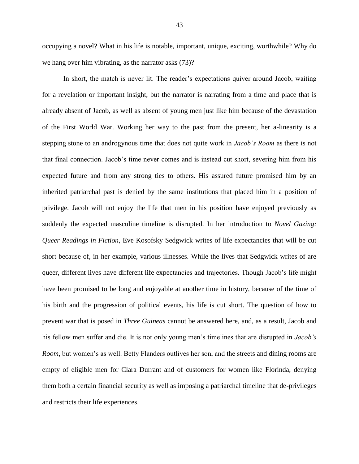occupying a novel? What in his life is notable, important, unique, exciting, worthwhile? Why do we hang over him vibrating, as the narrator asks (73)?

In short, the match is never lit. The reader's expectations quiver around Jacob, waiting for a revelation or important insight, but the narrator is narrating from a time and place that is already absent of Jacob, as well as absent of young men just like him because of the devastation of the First World War. Working her way to the past from the present, her a-linearity is a stepping stone to an androgynous time that does not quite work in *Jacob's Room* as there is not that final connection. Jacob's time never comes and is instead cut short, severing him from his expected future and from any strong ties to others. His assured future promised him by an inherited patriarchal past is denied by the same institutions that placed him in a position of privilege. Jacob will not enjoy the life that men in his position have enjoyed previously as suddenly the expected masculine timeline is disrupted. In her introduction to *Novel Gazing: Queer Readings in Fiction*, Eve Kosofsky Sedgwick writes of life expectancies that will be cut short because of, in her example, various illnesses. While the lives that Sedgwick writes of are queer, different lives have different life expectancies and trajectories. Though Jacob's life might have been promised to be long and enjoyable at another time in history, because of the time of his birth and the progression of political events, his life is cut short. The question of how to prevent war that is posed in *Three Guineas* cannot be answered here, and, as a result, Jacob and his fellow men suffer and die. It is not only young men's timelines that are disrupted in *Jacob's Room*, but women's as well. Betty Flanders outlives her son, and the streets and dining rooms are empty of eligible men for Clara Durrant and of customers for women like Florinda, denying them both a certain financial security as well as imposing a patriarchal timeline that de-privileges and restricts their life experiences.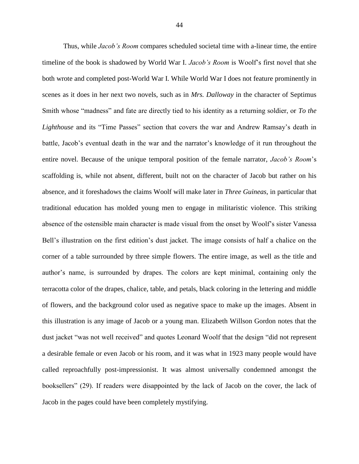Thus, while *Jacob's Room* compares scheduled societal time with a-linear time, the entire timeline of the book is shadowed by World War I. *Jacob's Room* is Woolf's first novel that she both wrote and completed post-World War I. While World War I does not feature prominently in scenes as it does in her next two novels, such as in *Mrs. Dalloway* in the character of Septimus Smith whose "madness" and fate are directly tied to his identity as a returning soldier, or *To the Lighthouse* and its "Time Passes" section that covers the war and Andrew Ramsay's death in battle, Jacob's eventual death in the war and the narrator's knowledge of it run throughout the entire novel. Because of the unique temporal position of the female narrator, *Jacob's Room*'s scaffolding is, while not absent, different, built not on the character of Jacob but rather on his absence, and it foreshadows the claims Woolf will make later in *Three Guineas,* in particular that traditional education has molded young men to engage in militaristic violence. This striking absence of the ostensible main character is made visual from the onset by Woolf's sister Vanessa Bell's illustration on the first edition's dust jacket. The image consists of half a chalice on the corner of a table surrounded by three simple flowers. The entire image, as well as the title and author's name, is surrounded by drapes. The colors are kept minimal, containing only the terracotta color of the drapes, chalice, table, and petals, black coloring in the lettering and middle of flowers, and the background color used as negative space to make up the images. Absent in this illustration is any image of Jacob or a young man. Elizabeth Willson Gordon notes that the dust jacket "was not well received" and quotes Leonard Woolf that the design "did not represent a desirable female or even Jacob or his room, and it was what in 1923 many people would have called reproachfully post-impressionist. It was almost universally condemned amongst the booksellers" (29). If readers were disappointed by the lack of Jacob on the cover, the lack of Jacob in the pages could have been completely mystifying.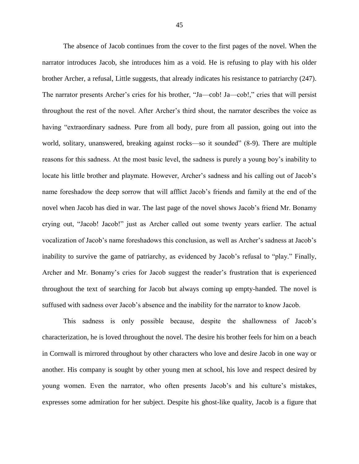The absence of Jacob continues from the cover to the first pages of the novel. When the narrator introduces Jacob, she introduces him as a void. He is refusing to play with his older brother Archer, a refusal, Little suggests, that already indicates his resistance to patriarchy (247). The narrator presents Archer's cries for his brother, "Ja—cob! Ja—cob!," cries that will persist throughout the rest of the novel. After Archer's third shout, the narrator describes the voice as having "extraordinary sadness. Pure from all body, pure from all passion, going out into the world, solitary, unanswered, breaking against rocks—so it sounded" (8-9). There are multiple reasons for this sadness. At the most basic level, the sadness is purely a young boy's inability to locate his little brother and playmate. However, Archer's sadness and his calling out of Jacob's name foreshadow the deep sorrow that will afflict Jacob's friends and family at the end of the novel when Jacob has died in war. The last page of the novel shows Jacob's friend Mr. Bonamy crying out, "Jacob! Jacob!" just as Archer called out some twenty years earlier. The actual vocalization of Jacob's name foreshadows this conclusion, as well as Archer's sadness at Jacob's inability to survive the game of patriarchy, as evidenced by Jacob's refusal to "play." Finally, Archer and Mr. Bonamy's cries for Jacob suggest the reader's frustration that is experienced throughout the text of searching for Jacob but always coming up empty-handed. The novel is suffused with sadness over Jacob's absence and the inability for the narrator to know Jacob.

This sadness is only possible because, despite the shallowness of Jacob's characterization, he is loved throughout the novel. The desire his brother feels for him on a beach in Cornwall is mirrored throughout by other characters who love and desire Jacob in one way or another. His company is sought by other young men at school, his love and respect desired by young women. Even the narrator, who often presents Jacob's and his culture's mistakes, expresses some admiration for her subject. Despite his ghost-like quality, Jacob is a figure that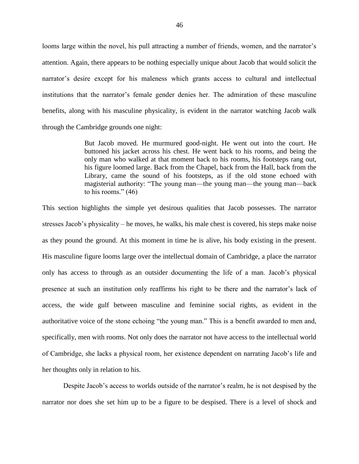looms large within the novel, his pull attracting a number of friends, women, and the narrator's attention. Again, there appears to be nothing especially unique about Jacob that would solicit the narrator's desire except for his maleness which grants access to cultural and intellectual institutions that the narrator's female gender denies her. The admiration of these masculine benefits, along with his masculine physicality, is evident in the narrator watching Jacob walk through the Cambridge grounds one night:

> But Jacob moved. He murmured good-night. He went out into the court. He buttoned his jacket across his chest. He went back to his rooms, and being the only man who walked at that moment back to his rooms, his footsteps rang out, his figure loomed large. Back from the Chapel, back from the Hall, back from the Library, came the sound of his footsteps, as if the old stone echoed with magisterial authority: "The young man—the young man—the young man—back to his rooms." (46)

This section highlights the simple yet desirous qualities that Jacob possesses. The narrator stresses Jacob's physicality – he moves, he walks, his male chest is covered, his steps make noise as they pound the ground. At this moment in time he is alive, his body existing in the present. His masculine figure looms large over the intellectual domain of Cambridge, a place the narrator only has access to through as an outsider documenting the life of a man. Jacob's physical presence at such an institution only reaffirms his right to be there and the narrator's lack of access, the wide gulf between masculine and feminine social rights, as evident in the authoritative voice of the stone echoing "the young man." This is a benefit awarded to men and, specifically, men with rooms. Not only does the narrator not have access to the intellectual world of Cambridge, she lacks a physical room, her existence dependent on narrating Jacob's life and her thoughts only in relation to his.

Despite Jacob's access to worlds outside of the narrator's realm, he is not despised by the narrator nor does she set him up to be a figure to be despised. There is a level of shock and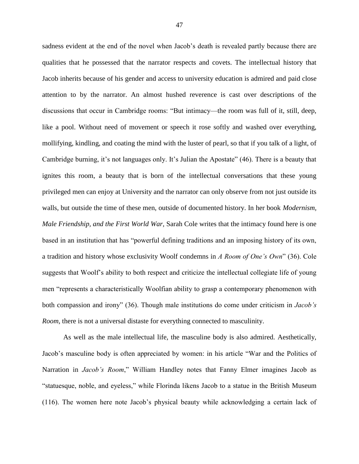sadness evident at the end of the novel when Jacob's death is revealed partly because there are qualities that he possessed that the narrator respects and covets. The intellectual history that Jacob inherits because of his gender and access to university education is admired and paid close attention to by the narrator. An almost hushed reverence is cast over descriptions of the discussions that occur in Cambridge rooms: "But intimacy—the room was full of it, still, deep, like a pool. Without need of movement or speech it rose softly and washed over everything, mollifying, kindling, and coating the mind with the luster of pearl, so that if you talk of a light, of Cambridge burning, it's not languages only. It's Julian the Apostate" (46). There is a beauty that ignites this room, a beauty that is born of the intellectual conversations that these young privileged men can enjoy at University and the narrator can only observe from not just outside its walls, but outside the time of these men, outside of documented history. In her book *Modernism, Male Friendship, and the First World War,* Sarah Cole writes that the intimacy found here is one based in an institution that has "powerful defining traditions and an imposing history of its own, a tradition and history whose exclusivity Woolf condemns in *A Room of One's Own*" (36). Cole suggests that Woolf's ability to both respect and criticize the intellectual collegiate life of young men "represents a characteristically Woolfian ability to grasp a contemporary phenomenon with both compassion and irony" (36). Though male institutions do come under criticism in *Jacob's Room*, there is not a universal distaste for everything connected to masculinity.

As well as the male intellectual life, the masculine body is also admired. Aesthetically, Jacob's masculine body is often appreciated by women: in his article "War and the Politics of Narration in *Jacob's Room*," William Handley notes that Fanny Elmer imagines Jacob as "statuesque, noble, and eyeless," while Florinda likens Jacob to a statue in the British Museum (116). The women here note Jacob's physical beauty while acknowledging a certain lack of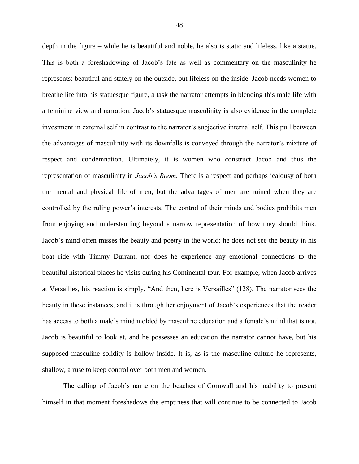depth in the figure – while he is beautiful and noble, he also is static and lifeless, like a statue. This is both a foreshadowing of Jacob's fate as well as commentary on the masculinity he represents: beautiful and stately on the outside, but lifeless on the inside. Jacob needs women to breathe life into his statuesque figure, a task the narrator attempts in blending this male life with a feminine view and narration. Jacob's statuesque masculinity is also evidence in the complete investment in external self in contrast to the narrator's subjective internal self. This pull between the advantages of masculinity with its downfalls is conveyed through the narrator's mixture of respect and condemnation. Ultimately, it is women who construct Jacob and thus the representation of masculinity in *Jacob's Room*. There is a respect and perhaps jealousy of both the mental and physical life of men, but the advantages of men are ruined when they are controlled by the ruling power's interests. The control of their minds and bodies prohibits men from enjoying and understanding beyond a narrow representation of how they should think. Jacob's mind often misses the beauty and poetry in the world; he does not see the beauty in his boat ride with Timmy Durrant, nor does he experience any emotional connections to the beautiful historical places he visits during his Continental tour. For example, when Jacob arrives at Versailles, his reaction is simply, "And then, here is Versailles" (128). The narrator sees the beauty in these instances, and it is through her enjoyment of Jacob's experiences that the reader has access to both a male's mind molded by masculine education and a female's mind that is not. Jacob is beautiful to look at, and he possesses an education the narrator cannot have, but his supposed masculine solidity is hollow inside. It is, as is the masculine culture he represents, shallow, a ruse to keep control over both men and women.

The calling of Jacob's name on the beaches of Cornwall and his inability to present himself in that moment foreshadows the emptiness that will continue to be connected to Jacob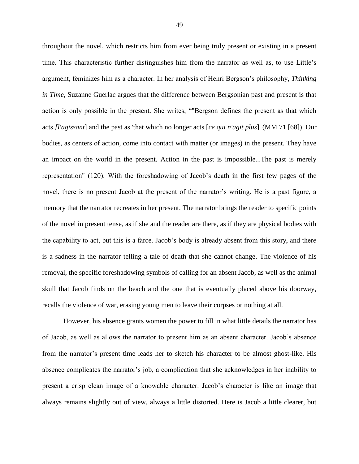throughout the novel, which restricts him from ever being truly present or existing in a present time. This characteristic further distinguishes him from the narrator as well as, to use Little's argument, feminizes him as a character. In her analysis of Henri Bergson's philosophy, *Thinking in Time*, Suzanne Guerlac argues that the difference between Bergsonian past and present is that action is only possible in the present. She writes, ""Bergson defines the present as that which acts *[l'agissant*] and the past as 'that which no longer acts [*ce qui n'agit plus*]' (MM 71 [68]). Our bodies, as centers of action, come into contact with matter (or images) in the present. They have an impact on the world in the present. Action in the past is impossible...The past is merely representation" (120). With the foreshadowing of Jacob's death in the first few pages of the novel, there is no present Jacob at the present of the narrator's writing. He is a past figure, a memory that the narrator recreates in her present. The narrator brings the reader to specific points of the novel in present tense, as if she and the reader are there, as if they are physical bodies with the capability to act, but this is a farce. Jacob's body is already absent from this story, and there is a sadness in the narrator telling a tale of death that she cannot change. The violence of his removal, the specific foreshadowing symbols of calling for an absent Jacob, as well as the animal skull that Jacob finds on the beach and the one that is eventually placed above his doorway, recalls the violence of war, erasing young men to leave their corpses or nothing at all.

However, his absence grants women the power to fill in what little details the narrator has of Jacob, as well as allows the narrator to present him as an absent character. Jacob's absence from the narrator's present time leads her to sketch his character to be almost ghost-like. His absence complicates the narrator's job, a complication that she acknowledges in her inability to present a crisp clean image of a knowable character. Jacob's character is like an image that always remains slightly out of view, always a little distorted. Here is Jacob a little clearer, but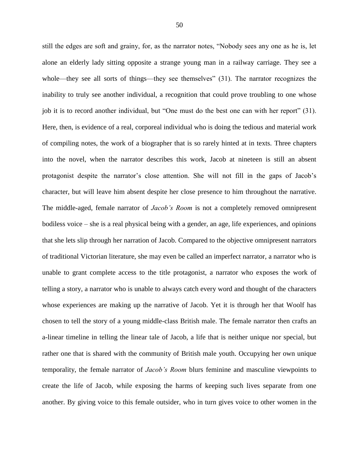still the edges are soft and grainy, for, as the narrator notes, "Nobody sees any one as he is, let alone an elderly lady sitting opposite a strange young man in a railway carriage. They see a whole—they see all sorts of things—they see themselves" (31). The narrator recognizes the inability to truly see another individual, a recognition that could prove troubling to one whose job it is to record another individual, but "One must do the best one can with her report" (31). Here, then, is evidence of a real, corporeal individual who is doing the tedious and material work of compiling notes, the work of a biographer that is so rarely hinted at in texts. Three chapters into the novel, when the narrator describes this work, Jacob at nineteen is still an absent protagonist despite the narrator's close attention. She will not fill in the gaps of Jacob's character, but will leave him absent despite her close presence to him throughout the narrative. The middle-aged, female narrator of *Jacob's Room* is not a completely removed omnipresent bodiless voice – she is a real physical being with a gender, an age, life experiences, and opinions that she lets slip through her narration of Jacob. Compared to the objective omnipresent narrators of traditional Victorian literature, she may even be called an imperfect narrator, a narrator who is unable to grant complete access to the title protagonist, a narrator who exposes the work of telling a story, a narrator who is unable to always catch every word and thought of the characters whose experiences are making up the narrative of Jacob. Yet it is through her that Woolf has chosen to tell the story of a young middle-class British male. The female narrator then crafts an a-linear timeline in telling the linear tale of Jacob, a life that is neither unique nor special, but rather one that is shared with the community of British male youth. Occupying her own unique temporality, the female narrator of *Jacob's Room* blurs feminine and masculine viewpoints to create the life of Jacob, while exposing the harms of keeping such lives separate from one another. By giving voice to this female outsider, who in turn gives voice to other women in the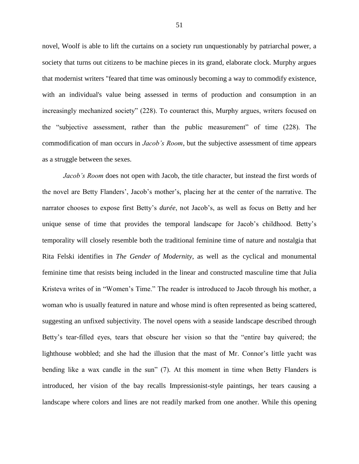novel, Woolf is able to lift the curtains on a society run unquestionably by patriarchal power, a society that turns out citizens to be machine pieces in its grand, elaborate clock. Murphy argues that modernist writers "feared that time was ominously becoming a way to commodify existence, with an individual's value being assessed in terms of production and consumption in an increasingly mechanized society" (228). To counteract this, Murphy argues, writers focused on the "subjective assessment, rather than the public measurement" of time (228). The commodification of man occurs in *Jacob's Room*, but the subjective assessment of time appears as a struggle between the sexes.

*Jacob's Room* does not open with Jacob, the title character, but instead the first words of the novel are Betty Flanders', Jacob's mother's, placing her at the center of the narrative. The narrator chooses to expose first Betty's *durée*, not Jacob's, as well as focus on Betty and her unique sense of time that provides the temporal landscape for Jacob's childhood. Betty's temporality will closely resemble both the traditional feminine time of nature and nostalgia that Rita Felski identifies in *The Gender of Modernity*, as well as the cyclical and monumental feminine time that resists being included in the linear and constructed masculine time that Julia Kristeva writes of in "Women's Time." The reader is introduced to Jacob through his mother, a woman who is usually featured in nature and whose mind is often represented as being scattered, suggesting an unfixed subjectivity. The novel opens with a seaside landscape described through Betty's tear-filled eyes, tears that obscure her vision so that the "entire bay quivered; the lighthouse wobbled; and she had the illusion that the mast of Mr. Connor's little yacht was bending like a wax candle in the sun" (7). At this moment in time when Betty Flanders is introduced, her vision of the bay recalls Impressionist-style paintings, her tears causing a landscape where colors and lines are not readily marked from one another. While this opening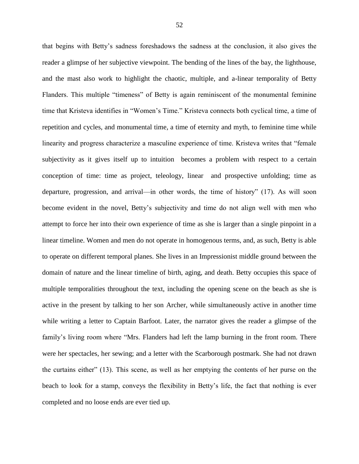that begins with Betty's sadness foreshadows the sadness at the conclusion, it also gives the reader a glimpse of her subjective viewpoint. The bending of the lines of the bay, the lighthouse, and the mast also work to highlight the chaotic, multiple, and a-linear temporality of Betty Flanders. This multiple "timeness" of Betty is again reminiscent of the monumental feminine time that Kristeva identifies in "Women's Time." Kristeva connects both cyclical time, a time of repetition and cycles, and monumental time, a time of eternity and myth, to feminine time while linearity and progress characterize a masculine experience of time. Kristeva writes that "female subjectivity as it gives itself up to intuition becomes a problem with respect to a certain conception of time: time as project, teleology, linear and prospective unfolding; time as departure, progression, and arrival—in other words, the time of history" (17). As will soon become evident in the novel, Betty's subjectivity and time do not align well with men who attempt to force her into their own experience of time as she is larger than a single pinpoint in a linear timeline. Women and men do not operate in homogenous terms, and, as such, Betty is able to operate on different temporal planes. She lives in an Impressionist middle ground between the domain of nature and the linear timeline of birth, aging, and death. Betty occupies this space of multiple temporalities throughout the text, including the opening scene on the beach as she is active in the present by talking to her son Archer, while simultaneously active in another time while writing a letter to Captain Barfoot. Later, the narrator gives the reader a glimpse of the family's living room where "Mrs. Flanders had left the lamp burning in the front room. There were her spectacles, her sewing; and a letter with the Scarborough postmark. She had not drawn the curtains either" (13). This scene, as well as her emptying the contents of her purse on the beach to look for a stamp, conveys the flexibility in Betty's life, the fact that nothing is ever completed and no loose ends are ever tied up.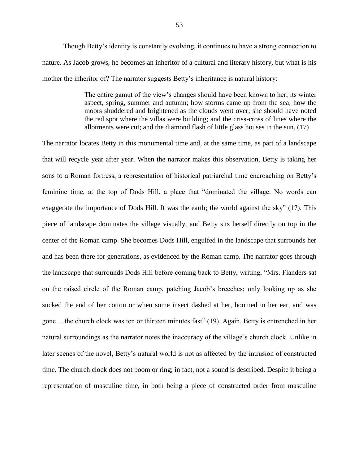Though Betty's identity is constantly evolving, it continues to have a strong connection to nature. As Jacob grows, he becomes an inheritor of a cultural and literary history, but what is his mother the inheritor of? The narrator suggests Betty's inheritance is natural history:

> The entire gamut of the view's changes should have been known to her; its winter aspect, spring, summer and autumn; how storms came up from the sea; how the moors shuddered and brightened as the clouds went over; she should have noted the red spot where the villas were building; and the criss-cross of lines where the allotments were cut; and the diamond flash of little glass houses in the sun. (17)

The narrator locates Betty in this monumental time and, at the same time, as part of a landscape that will recycle year after year. When the narrator makes this observation, Betty is taking her sons to a Roman fortress, a representation of historical patriarchal time encroaching on Betty's feminine time, at the top of Dods Hill, a place that "dominated the village. No words can exaggerate the importance of Dods Hill. It was the earth; the world against the sky" (17). This piece of landscape dominates the village visually, and Betty sits herself directly on top in the center of the Roman camp. She becomes Dods Hill, engulfed in the landscape that surrounds her and has been there for generations, as evidenced by the Roman camp. The narrator goes through the landscape that surrounds Dods Hill before coming back to Betty, writing, "Mrs. Flanders sat on the raised circle of the Roman camp, patching Jacob's breeches; only looking up as she sucked the end of her cotton or when some insect dashed at her, boomed in her ear, and was gone….the church clock was ten or thirteen minutes fast" (19). Again, Betty is entrenched in her natural surroundings as the narrator notes the inaccuracy of the village's church clock. Unlike in later scenes of the novel, Betty's natural world is not as affected by the intrusion of constructed time. The church clock does not boom or ring; in fact, not a sound is described. Despite it being a representation of masculine time, in both being a piece of constructed order from masculine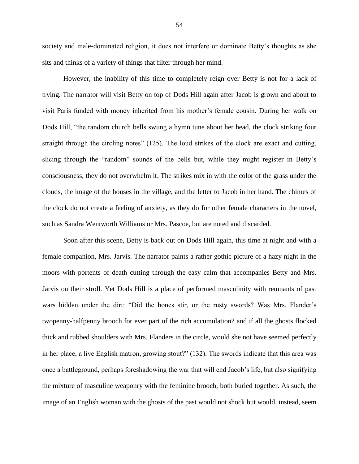society and male-dominated religion, it does not interfere or dominate Betty's thoughts as she sits and thinks of a variety of things that filter through her mind.

However, the inability of this time to completely reign over Betty is not for a lack of trying. The narrator will visit Betty on top of Dods Hill again after Jacob is grown and about to visit Paris funded with money inherited from his mother's female cousin. During her walk on Dods Hill, "the random church bells swung a hymn tune about her head, the clock striking four straight through the circling notes" (125). The loud strikes of the clock are exact and cutting, slicing through the "random" sounds of the bells but, while they might register in Betty's consciousness, they do not overwhelm it. The strikes mix in with the color of the grass under the clouds, the image of the houses in the village, and the letter to Jacob in her hand. The chimes of the clock do not create a feeling of anxiety, as they do for other female characters in the novel, such as Sandra Wentworth Williams or Mrs. Pascoe, but are noted and discarded.

Soon after this scene, Betty is back out on Dods Hill again, this time at night and with a female companion, Mrs. Jarvis. The narrator paints a rather gothic picture of a hazy night in the moors with portents of death cutting through the easy calm that accompanies Betty and Mrs. Jarvis on their stroll. Yet Dods Hill is a place of performed masculinity with remnants of past wars hidden under the dirt: "Did the bones stir, or the rusty swords? Was Mrs. Flander's twopenny-halfpenny brooch for ever part of the rich accumulation? and if all the ghosts flocked thick and rubbed shoulders with Mrs. Flanders in the circle, would she not have seemed perfectly in her place, a live English matron, growing stout?" (132). The swords indicate that this area was once a battleground, perhaps foreshadowing the war that will end Jacob's life, but also signifying the mixture of masculine weaponry with the feminine brooch, both buried together. As such, the image of an English woman with the ghosts of the past would not shock but would, instead, seem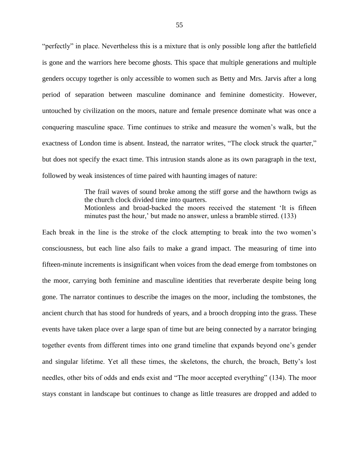"perfectly" in place. Nevertheless this is a mixture that is only possible long after the battlefield is gone and the warriors here become ghosts. This space that multiple generations and multiple genders occupy together is only accessible to women such as Betty and Mrs. Jarvis after a long period of separation between masculine dominance and feminine domesticity. However, untouched by civilization on the moors, nature and female presence dominate what was once a conquering masculine space. Time continues to strike and measure the women's walk, but the exactness of London time is absent. Instead, the narrator writes, "The clock struck the quarter," but does not specify the exact time. This intrusion stands alone as its own paragraph in the text, followed by weak insistences of time paired with haunting images of nature:

> The frail waves of sound broke among the stiff gorse and the hawthorn twigs as the church clock divided time into quarters. Motionless and broad-backed the moors received the statement 'It is fifteen minutes past the hour,' but made no answer, unless a bramble stirred. (133)

Each break in the line is the stroke of the clock attempting to break into the two women's consciousness, but each line also fails to make a grand impact. The measuring of time into fifteen-minute increments is insignificant when voices from the dead emerge from tombstones on the moor, carrying both feminine and masculine identities that reverberate despite being long gone. The narrator continues to describe the images on the moor, including the tombstones, the ancient church that has stood for hundreds of years, and a brooch dropping into the grass. These events have taken place over a large span of time but are being connected by a narrator bringing together events from different times into one grand timeline that expands beyond one's gender and singular lifetime. Yet all these times, the skeletons, the church, the broach, Betty's lost needles, other bits of odds and ends exist and "The moor accepted everything" (134). The moor stays constant in landscape but continues to change as little treasures are dropped and added to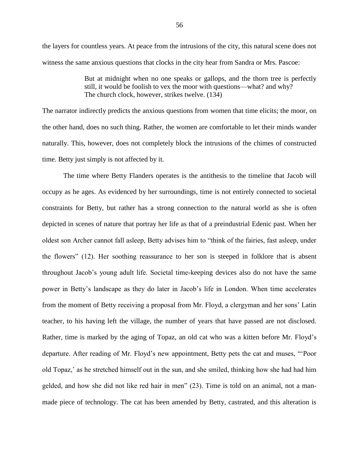the layers for countless years. At peace from the intrusions of the city, this natural scene does not witness the same anxious questions that clocks in the city hear from Sandra or Mrs. Pascoe:

> But at midnight when no one speaks or gallops, and the thorn tree is perfectly still, it would be foolish to vex the moor with questions—what? and why? The church clock, however, strikes twelve. (134)

The narrator indirectly predicts the anxious questions from women that time elicits; the moor, on the other hand, does no such thing. Rather, the women are comfortable to let their minds wander naturally. This, however, does not completely block the intrusions of the chimes of constructed time. Betty just simply is not affected by it.

The time where Betty Flanders operates is the antithesis to the timeline that Jacob will occupy as he ages. As evidenced by her surroundings, time is not entirely connected to societal constraints for Betty, but rather has a strong connection to the natural world as she is often depicted in scenes of nature that portray her life as that of a preindustrial Edenic past. When her oldest son Archer cannot fall asleep, Betty advises him to "think of the fairies, fast asleep, under the flowers" (12). Her soothing reassurance to her son is steeped in folklore that is absent throughout Jacob's young adult life. Societal time-keeping devices also do not have the same power in Betty's landscape as they do later in Jacob's life in London. When time accelerates from the moment of Betty receiving a proposal from Mr. Floyd, a clergyman and her sons' Latin teacher, to his having left the village, the number of years that have passed are not disclosed. Rather, time is marked by the aging of Topaz, an old cat who was a kitten before Mr. Floyd's departure. After reading of Mr. Floyd's new appointment, Betty pets the cat and muses, "'Poor old Topaz,' as he stretched himself out in the sun, and she smiled, thinking how she had had him gelded, and how she did not like red hair in men" (23). Time is told on an animal, not a manmade piece of technology. The cat has been amended by Betty, castrated, and this alteration is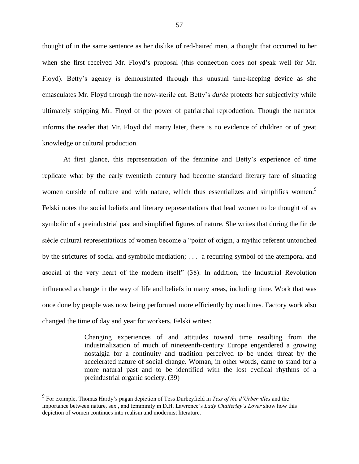thought of in the same sentence as her dislike of red-haired men, a thought that occurred to her when she first received Mr. Floyd's proposal (this connection does not speak well for Mr. Floyd). Betty's agency is demonstrated through this unusual time-keeping device as she emasculates Mr. Floyd through the now-sterile cat. Betty's *durée* protects her subjectivity while ultimately stripping Mr. Floyd of the power of patriarchal reproduction. Though the narrator informs the reader that Mr. Floyd did marry later, there is no evidence of children or of great knowledge or cultural production.

At first glance, this representation of the feminine and Betty's experience of time replicate what by the early twentieth century had become standard literary fare of situating women outside of culture and with nature, which thus essentializes and simplifies women.<sup>9</sup> Felski notes the social beliefs and literary representations that lead women to be thought of as symbolic of a preindustrial past and simplified figures of nature. She writes that during the fin de siècle cultural representations of women become a "point of origin, a mythic referent untouched by the strictures of social and symbolic mediation; . . . a recurring symbol of the atemporal and asocial at the very heart of the modern itself" (38). In addition, the Industrial Revolution influenced a change in the way of life and beliefs in many areas, including time. Work that was once done by people was now being performed more efficiently by machines. Factory work also changed the time of day and year for workers. Felski writes:

> Changing experiences of and attitudes toward time resulting from the industrialization of much of nineteenth-century Europe engendered a growing nostalgia for a continuity and tradition perceived to be under threat by the accelerated nature of social change. Woman, in other words, came to stand for a more natural past and to be identified with the lost cyclical rhythms of a preindustrial organic society. (39)

 $\overline{a}$ 

<sup>9</sup> For example, Thomas Hardy's pagan depiction of Tess Durbeyfield in *Tess of the d'Urbervilles* and the importance between nature, sex , and femininity in D.H. Lawrence's *Lady Chatterley's Lover* show how this depiction of women continues into realism and modernist literature.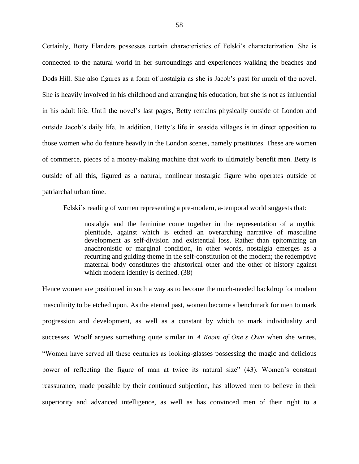Certainly, Betty Flanders possesses certain characteristics of Felski's characterization. She is connected to the natural world in her surroundings and experiences walking the beaches and Dods Hill. She also figures as a form of nostalgia as she is Jacob's past for much of the novel. She is heavily involved in his childhood and arranging his education, but she is not as influential in his adult life. Until the novel's last pages, Betty remains physically outside of London and outside Jacob's daily life. In addition, Betty's life in seaside villages is in direct opposition to those women who do feature heavily in the London scenes, namely prostitutes. These are women of commerce, pieces of a money-making machine that work to ultimately benefit men. Betty is outside of all this, figured as a natural, nonlinear nostalgic figure who operates outside of patriarchal urban time.

Felski's reading of women representing a pre-modern, a-temporal world suggests that:

nostalgia and the feminine come together in the representation of a mythic plenitude, against which is etched an overarching narrative of masculine development as self-division and existential loss. Rather than epitomizing an anachronistic or marginal condition, in other words, nostalgia emerges as a recurring and guiding theme in the self-constitution of the modern; the redemptive maternal body constitutes the ahistorical other and the other of history against which modern identity is defined. (38)

Hence women are positioned in such a way as to become the much-needed backdrop for modern masculinity to be etched upon. As the eternal past, women become a benchmark for men to mark progression and development, as well as a constant by which to mark individuality and successes. Woolf argues something quite similar in *A Room of One's Own* when she writes, "Women have served all these centuries as looking-glasses possessing the magic and delicious power of reflecting the figure of man at twice its natural size" (43). Women's constant reassurance, made possible by their continued subjection, has allowed men to believe in their superiority and advanced intelligence, as well as has convinced men of their right to a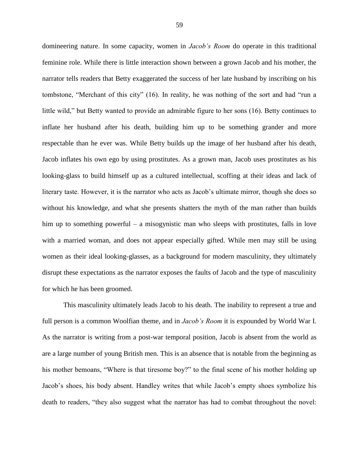domineering nature. In some capacity, women in *Jacob's Room* do operate in this traditional feminine role. While there is little interaction shown between a grown Jacob and his mother, the narrator tells readers that Betty exaggerated the success of her late husband by inscribing on his tombstone, "Merchant of this city" (16). In reality, he was nothing of the sort and had "run a little wild," but Betty wanted to provide an admirable figure to her sons (16). Betty continues to inflate her husband after his death, building him up to be something grander and more respectable than he ever was. While Betty builds up the image of her husband after his death, Jacob inflates his own ego by using prostitutes. As a grown man, Jacob uses prostitutes as his looking-glass to build himself up as a cultured intellectual, scoffing at their ideas and lack of literary taste. However, it is the narrator who acts as Jacob's ultimate mirror, though she does so without his knowledge, and what she presents shatters the myth of the man rather than builds him up to something powerful – a misogynistic man who sleeps with prostitutes, falls in love with a married woman, and does not appear especially gifted. While men may still be using women as their ideal looking-glasses, as a background for modern masculinity, they ultimately disrupt these expectations as the narrator exposes the faults of Jacob and the type of masculinity for which he has been groomed.

This masculinity ultimately leads Jacob to his death. The inability to represent a true and full person is a common Woolfian theme, and in *Jacob's Room* it is expounded by World War I. As the narrator is writing from a post-war temporal position, Jacob is absent from the world as are a large number of young British men. This is an absence that is notable from the beginning as his mother bemoans, "Where is that tiresome boy?" to the final scene of his mother holding up Jacob's shoes, his body absent. Handley writes that while Jacob's empty shoes symbolize his death to readers, "they also suggest what the narrator has had to combat throughout the novel: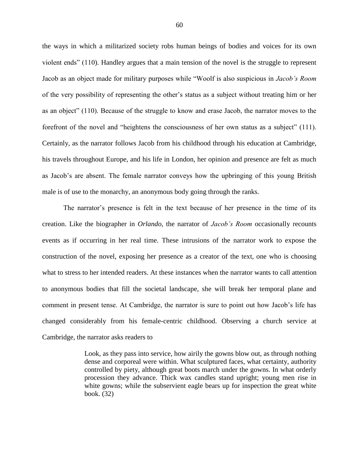the ways in which a militarized society robs human beings of bodies and voices for its own violent ends" (110). Handley argues that a main tension of the novel is the struggle to represent Jacob as an object made for military purposes while "Woolf is also suspicious in *Jacob's Room* of the very possibility of representing the other's status as a subject without treating him or her as an object" (110). Because of the struggle to know and erase Jacob, the narrator moves to the forefront of the novel and "heightens the consciousness of her own status as a subject" (111). Certainly, as the narrator follows Jacob from his childhood through his education at Cambridge, his travels throughout Europe, and his life in London, her opinion and presence are felt as much as Jacob's are absent. The female narrator conveys how the upbringing of this young British male is of use to the monarchy, an anonymous body going through the ranks.

The narrator's presence is felt in the text because of her presence in the time of its creation. Like the biographer in *Orlando*, the narrator of *Jacob's Room* occasionally recounts events as if occurring in her real time. These intrusions of the narrator work to expose the construction of the novel, exposing her presence as a creator of the text, one who is choosing what to stress to her intended readers. At these instances when the narrator wants to call attention to anonymous bodies that fill the societal landscape, she will break her temporal plane and comment in present tense. At Cambridge, the narrator is sure to point out how Jacob's life has changed considerably from his female-centric childhood. Observing a church service at Cambridge, the narrator asks readers to

> Look, as they pass into service, how airily the gowns blow out, as through nothing dense and corporeal were within. What sculptured faces, what certainty, authority controlled by piety, although great boots march under the gowns. In what orderly procession they advance. Thick wax candles stand upright; young men rise in white gowns; while the subservient eagle bears up for inspection the great white book. (32)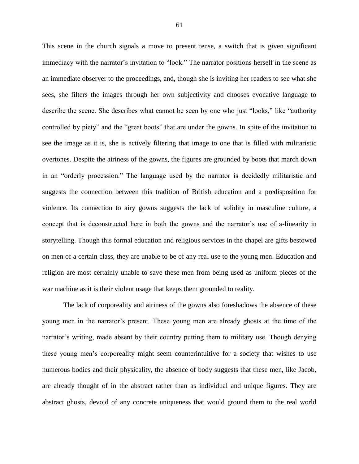This scene in the church signals a move to present tense, a switch that is given significant immediacy with the narrator's invitation to "look." The narrator positions herself in the scene as an immediate observer to the proceedings, and, though she is inviting her readers to see what she sees, she filters the images through her own subjectivity and chooses evocative language to describe the scene. She describes what cannot be seen by one who just "looks," like "authority controlled by piety" and the "great boots" that are under the gowns. In spite of the invitation to see the image as it is, she is actively filtering that image to one that is filled with militaristic overtones. Despite the airiness of the gowns, the figures are grounded by boots that march down in an "orderly procession." The language used by the narrator is decidedly militaristic and suggests the connection between this tradition of British education and a predisposition for violence. Its connection to airy gowns suggests the lack of solidity in masculine culture, a concept that is deconstructed here in both the gowns and the narrator's use of a-linearity in storytelling. Though this formal education and religious services in the chapel are gifts bestowed on men of a certain class, they are unable to be of any real use to the young men. Education and religion are most certainly unable to save these men from being used as uniform pieces of the war machine as it is their violent usage that keeps them grounded to reality.

The lack of corporeality and airiness of the gowns also foreshadows the absence of these young men in the narrator's present. These young men are already ghosts at the time of the narrator's writing, made absent by their country putting them to military use. Though denying these young men's corporeality might seem counterintuitive for a society that wishes to use numerous bodies and their physicality, the absence of body suggests that these men, like Jacob, are already thought of in the abstract rather than as individual and unique figures. They are abstract ghosts, devoid of any concrete uniqueness that would ground them to the real world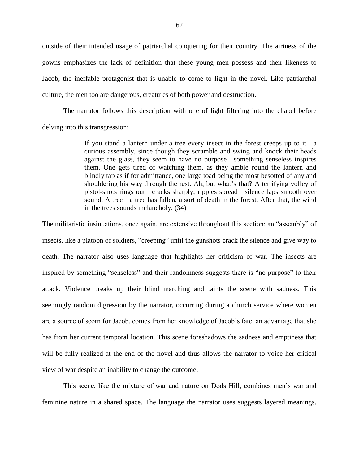outside of their intended usage of patriarchal conquering for their country. The airiness of the gowns emphasizes the lack of definition that these young men possess and their likeness to Jacob, the ineffable protagonist that is unable to come to light in the novel. Like patriarchal culture, the men too are dangerous, creatures of both power and destruction.

The narrator follows this description with one of light filtering into the chapel before delving into this transgression:

> If you stand a lantern under a tree every insect in the forest creeps up to it—a curious assembly, since though they scramble and swing and knock their heads against the glass, they seem to have no purpose—something senseless inspires them. One gets tired of watching them, as they amble round the lantern and blindly tap as if for admittance, one large toad being the most besotted of any and shouldering his way through the rest. Ah, but what's that? A terrifying volley of pistol-shots rings out—cracks sharply; ripples spread—silence laps smooth over sound. A tree—a tree has fallen, a sort of death in the forest. After that, the wind in the trees sounds melancholy. (34)

The militaristic insinuations, once again, are extensive throughout this section: an "assembly" of insects, like a platoon of soldiers, "creeping" until the gunshots crack the silence and give way to death. The narrator also uses language that highlights her criticism of war. The insects are inspired by something "senseless" and their randomness suggests there is "no purpose" to their attack. Violence breaks up their blind marching and taints the scene with sadness. This seemingly random digression by the narrator, occurring during a church service where women are a source of scorn for Jacob, comes from her knowledge of Jacob's fate, an advantage that she has from her current temporal location. This scene foreshadows the sadness and emptiness that will be fully realized at the end of the novel and thus allows the narrator to voice her critical view of war despite an inability to change the outcome.

This scene, like the mixture of war and nature on Dods Hill, combines men's war and feminine nature in a shared space. The language the narrator uses suggests layered meanings.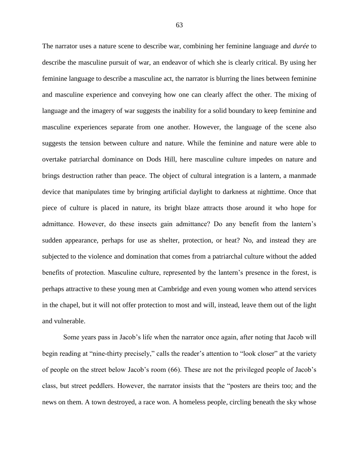The narrator uses a nature scene to describe war, combining her feminine language and *durée* to describe the masculine pursuit of war, an endeavor of which she is clearly critical. By using her feminine language to describe a masculine act, the narrator is blurring the lines between feminine and masculine experience and conveying how one can clearly affect the other. The mixing of language and the imagery of war suggests the inability for a solid boundary to keep feminine and masculine experiences separate from one another. However, the language of the scene also suggests the tension between culture and nature. While the feminine and nature were able to overtake patriarchal dominance on Dods Hill, here masculine culture impedes on nature and brings destruction rather than peace. The object of cultural integration is a lantern, a manmade device that manipulates time by bringing artificial daylight to darkness at nighttime. Once that piece of culture is placed in nature, its bright blaze attracts those around it who hope for admittance. However, do these insects gain admittance? Do any benefit from the lantern's sudden appearance, perhaps for use as shelter, protection, or heat? No, and instead they are subjected to the violence and domination that comes from a patriarchal culture without the added benefits of protection. Masculine culture, represented by the lantern's presence in the forest, is perhaps attractive to these young men at Cambridge and even young women who attend services in the chapel, but it will not offer protection to most and will, instead, leave them out of the light and vulnerable.

Some years pass in Jacob's life when the narrator once again, after noting that Jacob will begin reading at "nine-thirty precisely," calls the reader's attention to "look closer" at the variety of people on the street below Jacob's room (66). These are not the privileged people of Jacob's class, but street peddlers. However, the narrator insists that the "posters are theirs too; and the news on them. A town destroyed, a race won. A homeless people, circling beneath the sky whose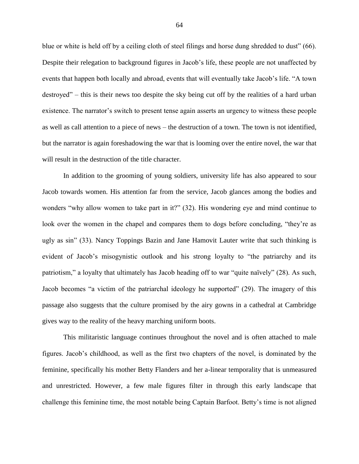blue or white is held off by a ceiling cloth of steel filings and horse dung shredded to dust" (66). Despite their relegation to background figures in Jacob's life, these people are not unaffected by events that happen both locally and abroad, events that will eventually take Jacob's life. "A town destroyed" – this is their news too despite the sky being cut off by the realities of a hard urban existence. The narrator's switch to present tense again asserts an urgency to witness these people as well as call attention to a piece of news – the destruction of a town. The town is not identified, but the narrator is again foreshadowing the war that is looming over the entire novel, the war that will result in the destruction of the title character.

In addition to the grooming of young soldiers, university life has also appeared to sour Jacob towards women. His attention far from the service, Jacob glances among the bodies and wonders "why allow women to take part in it?" (32). His wondering eye and mind continue to look over the women in the chapel and compares them to dogs before concluding, "they're as ugly as sin" (33). Nancy Toppings Bazin and Jane Hamovit Lauter write that such thinking is evident of Jacob's misogynistic outlook and his strong loyalty to "the patriarchy and its patriotism," a loyalty that ultimately has Jacob heading off to war "quite naïvely" (28). As such, Jacob becomes "a victim of the patriarchal ideology he supported" (29). The imagery of this passage also suggests that the culture promised by the airy gowns in a cathedral at Cambridge gives way to the reality of the heavy marching uniform boots.

This militaristic language continues throughout the novel and is often attached to male figures. Jacob's childhood, as well as the first two chapters of the novel, is dominated by the feminine, specifically his mother Betty Flanders and her a-linear temporality that is unmeasured and unrestricted. However, a few male figures filter in through this early landscape that challenge this feminine time, the most notable being Captain Barfoot. Betty's time is not aligned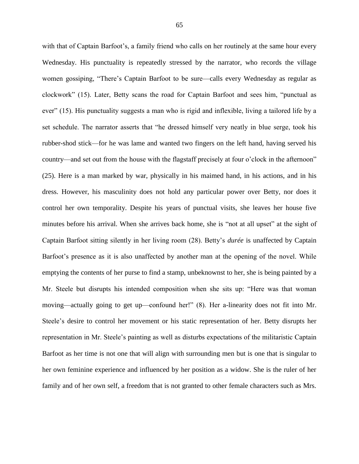with that of Captain Barfoot's, a family friend who calls on her routinely at the same hour every Wednesday. His punctuality is repeatedly stressed by the narrator, who records the village women gossiping, "There's Captain Barfoot to be sure—calls every Wednesday as regular as clockwork" (15). Later, Betty scans the road for Captain Barfoot and sees him, "punctual as ever" (15). His punctuality suggests a man who is rigid and inflexible, living a tailored life by a set schedule. The narrator asserts that "he dressed himself very neatly in blue serge, took his rubber-shod stick—for he was lame and wanted two fingers on the left hand, having served his country—and set out from the house with the flagstaff precisely at four o'clock in the afternoon" (25). Here is a man marked by war, physically in his maimed hand, in his actions, and in his dress. However, his masculinity does not hold any particular power over Betty, nor does it control her own temporality. Despite his years of punctual visits, she leaves her house five minutes before his arrival. When she arrives back home, she is "not at all upset" at the sight of Captain Barfoot sitting silently in her living room (28). Betty's *durée* is unaffected by Captain Barfoot's presence as it is also unaffected by another man at the opening of the novel. While emptying the contents of her purse to find a stamp, unbeknownst to her, she is being painted by a Mr. Steele but disrupts his intended composition when she sits up: "Here was that woman moving—actually going to get up—confound her!" (8). Her a-linearity does not fit into Mr. Steele's desire to control her movement or his static representation of her. Betty disrupts her representation in Mr. Steele's painting as well as disturbs expectations of the militaristic Captain Barfoot as her time is not one that will align with surrounding men but is one that is singular to her own feminine experience and influenced by her position as a widow. She is the ruler of her family and of her own self, a freedom that is not granted to other female characters such as Mrs.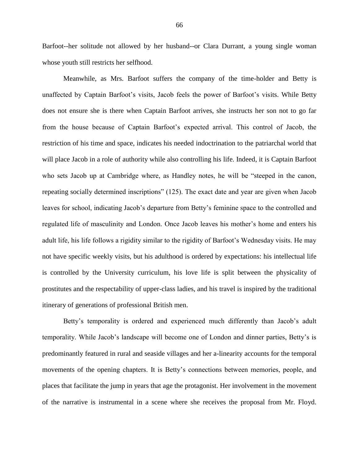Barfoot--her solitude not allowed by her husband--or Clara Durrant, a young single woman whose youth still restricts her selfhood.

Meanwhile, as Mrs. Barfoot suffers the company of the time-holder and Betty is unaffected by Captain Barfoot's visits, Jacob feels the power of Barfoot's visits. While Betty does not ensure she is there when Captain Barfoot arrives, she instructs her son not to go far from the house because of Captain Barfoot's expected arrival. This control of Jacob, the restriction of his time and space, indicates his needed indoctrination to the patriarchal world that will place Jacob in a role of authority while also controlling his life. Indeed, it is Captain Barfoot who sets Jacob up at Cambridge where, as Handley notes, he will be "steeped in the canon, repeating socially determined inscriptions" (125). The exact date and year are given when Jacob leaves for school, indicating Jacob's departure from Betty's feminine space to the controlled and regulated life of masculinity and London. Once Jacob leaves his mother's home and enters his adult life, his life follows a rigidity similar to the rigidity of Barfoot's Wednesday visits. He may not have specific weekly visits, but his adulthood is ordered by expectations: his intellectual life is controlled by the University curriculum, his love life is split between the physicality of prostitutes and the respectability of upper-class ladies, and his travel is inspired by the traditional itinerary of generations of professional British men.

Betty's temporality is ordered and experienced much differently than Jacob's adult temporality. While Jacob's landscape will become one of London and dinner parties, Betty's is predominantly featured in rural and seaside villages and her a-linearity accounts for the temporal movements of the opening chapters. It is Betty's connections between memories, people, and places that facilitate the jump in years that age the protagonist. Her involvement in the movement of the narrative is instrumental in a scene where she receives the proposal from Mr. Floyd.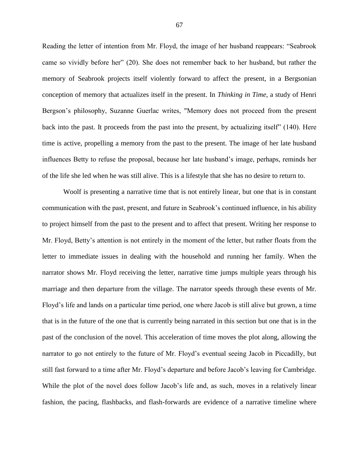Reading the letter of intention from Mr. Floyd, the image of her husband reappears: "Seabrook came so vividly before her" (20). She does not remember back to her husband, but rather the memory of Seabrook projects itself violently forward to affect the present, in a Bergsonian conception of memory that actualizes itself in the present. In *Thinking in Time*, a study of Henri Bergson's philosophy, Suzanne Guerlac writes, "Memory does not proceed from the present back into the past. It proceeds from the past into the present, by actualizing itself" (140). Here time is active, propelling a memory from the past to the present. The image of her late husband influences Betty to refuse the proposal, because her late husband's image, perhaps, reminds her of the life she led when he was still alive. This is a lifestyle that she has no desire to return to.

Woolf is presenting a narrative time that is not entirely linear, but one that is in constant communication with the past, present, and future in Seabrook's continued influence, in his ability to project himself from the past to the present and to affect that present. Writing her response to Mr. Floyd, Betty's attention is not entirely in the moment of the letter, but rather floats from the letter to immediate issues in dealing with the household and running her family. When the narrator shows Mr. Floyd receiving the letter, narrative time jumps multiple years through his marriage and then departure from the village. The narrator speeds through these events of Mr. Floyd's life and lands on a particular time period, one where Jacob is still alive but grown, a time that is in the future of the one that is currently being narrated in this section but one that is in the past of the conclusion of the novel. This acceleration of time moves the plot along, allowing the narrator to go not entirely to the future of Mr. Floyd's eventual seeing Jacob in Piccadilly, but still fast forward to a time after Mr. Floyd's departure and before Jacob's leaving for Cambridge. While the plot of the novel does follow Jacob's life and, as such, moves in a relatively linear fashion, the pacing, flashbacks, and flash-forwards are evidence of a narrative timeline where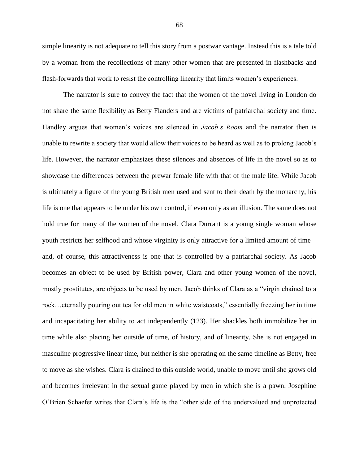simple linearity is not adequate to tell this story from a postwar vantage. Instead this is a tale told by a woman from the recollections of many other women that are presented in flashbacks and flash-forwards that work to resist the controlling linearity that limits women's experiences.

The narrator is sure to convey the fact that the women of the novel living in London do not share the same flexibility as Betty Flanders and are victims of patriarchal society and time. Handley argues that women's voices are silenced in *Jacob's Room* and the narrator then is unable to rewrite a society that would allow their voices to be heard as well as to prolong Jacob's life. However, the narrator emphasizes these silences and absences of life in the novel so as to showcase the differences between the prewar female life with that of the male life. While Jacob is ultimately a figure of the young British men used and sent to their death by the monarchy, his life is one that appears to be under his own control, if even only as an illusion. The same does not hold true for many of the women of the novel. Clara Durrant is a young single woman whose youth restricts her selfhood and whose virginity is only attractive for a limited amount of time – and, of course, this attractiveness is one that is controlled by a patriarchal society. As Jacob becomes an object to be used by British power, Clara and other young women of the novel, mostly prostitutes, are objects to be used by men. Jacob thinks of Clara as a "virgin chained to a rock…eternally pouring out tea for old men in white waistcoats," essentially freezing her in time and incapacitating her ability to act independently (123). Her shackles both immobilize her in time while also placing her outside of time, of history, and of linearity. She is not engaged in masculine progressive linear time, but neither is she operating on the same timeline as Betty, free to move as she wishes. Clara is chained to this outside world, unable to move until she grows old and becomes irrelevant in the sexual game played by men in which she is a pawn. Josephine O'Brien Schaefer writes that Clara's life is the "other side of the undervalued and unprotected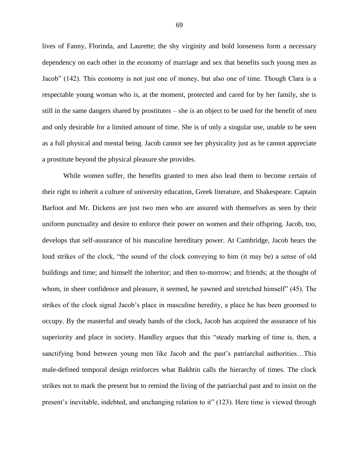lives of Fanny, Florinda, and Laurette; the shy virginity and bold looseness form a necessary dependency on each other in the economy of marriage and sex that benefits such young men as Jacob" (142). This economy is not just one of money, but also one of time. Though Clara is a respectable young woman who is, at the moment, protected and cared for by her family, she is still in the same dangers shared by prostitutes – she is an object to be used for the benefit of men and only desirable for a limited amount of time. She is of only a singular use, unable to be seen as a full physical and mental being. Jacob cannot see her physicality just as he cannot appreciate a prostitute beyond the physical pleasure she provides.

While women suffer, the benefits granted to men also lead them to become certain of their right to inherit a culture of university education, Greek literature, and Shakespeare. Captain Barfoot and Mr. Dickens are just two men who are assured with themselves as seen by their uniform punctuality and desire to enforce their power on women and their offspring. Jacob, too, develops that self-assurance of his masculine hereditary power. At Cambridge, Jacob hears the loud strikes of the clock, "the sound of the clock conveying to him (it may be) a sense of old buildings and time; and himself the inheritor; and then to-morrow; and friends; at the thought of whom, in sheer confidence and pleasure, it seemed, he yawned and stretched himself" (45). The strikes of the clock signal Jacob's place in masculine heredity, a place he has been groomed to occupy. By the masterful and steady hands of the clock, Jacob has acquired the assurance of his superiority and place in society. Handley argues that this "steady marking of time is, then, a sanctifying bond between young men like Jacob and the past's patriarchal authorities…This male-defined temporal design reinforces what Bakhtin calls the hierarchy of times. The clock strikes not to mark the present but to remind the living of the patriarchal past and to insist on the present's inevitable, indebted, and unchanging relation to it" (123). Here time is viewed through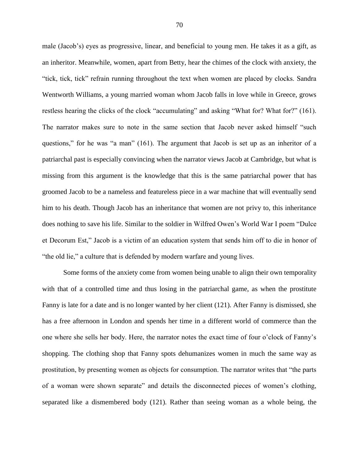male (Jacob's) eyes as progressive, linear, and beneficial to young men. He takes it as a gift, as an inheritor. Meanwhile, women, apart from Betty, hear the chimes of the clock with anxiety, the "tick, tick, tick" refrain running throughout the text when women are placed by clocks. Sandra Wentworth Williams, a young married woman whom Jacob falls in love while in Greece, grows restless hearing the clicks of the clock "accumulating" and asking "What for? What for?" (161). The narrator makes sure to note in the same section that Jacob never asked himself "such questions," for he was "a man" (161). The argument that Jacob is set up as an inheritor of a patriarchal past is especially convincing when the narrator views Jacob at Cambridge, but what is missing from this argument is the knowledge that this is the same patriarchal power that has groomed Jacob to be a nameless and featureless piece in a war machine that will eventually send him to his death. Though Jacob has an inheritance that women are not privy to, this inheritance does nothing to save his life. Similar to the soldier in Wilfred Owen's World War I poem "Dulce et Decorum Est," Jacob is a victim of an education system that sends him off to die in honor of "the old lie," a culture that is defended by modern warfare and young lives.

Some forms of the anxiety come from women being unable to align their own temporality with that of a controlled time and thus losing in the patriarchal game, as when the prostitute Fanny is late for a date and is no longer wanted by her client (121). After Fanny is dismissed, she has a free afternoon in London and spends her time in a different world of commerce than the one where she sells her body. Here, the narrator notes the exact time of four o'clock of Fanny's shopping. The clothing shop that Fanny spots dehumanizes women in much the same way as prostitution, by presenting women as objects for consumption. The narrator writes that "the parts of a woman were shown separate" and details the disconnected pieces of women's clothing, separated like a dismembered body (121). Rather than seeing woman as a whole being, the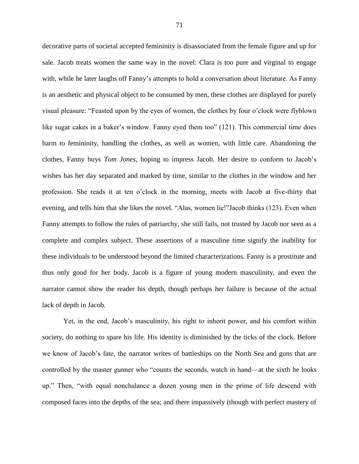decorative parts of societal accepted femininity is disassociated from the female figure and up for sale. Jacob treats women the same way in the novel: Clara is too pure and virginal to engage with, while he later laughs off Fanny's attempts to hold a conversation about literature. As Fanny is an aesthetic and physical object to be consumed by men, these clothes are displayed for purely visual pleasure: "Feasted upon by the eyes of women, the clothes by four o'clock were flyblown like sugar cakes in a baker's window. Fanny eyed them too" (121). This commercial time does harm to femininity, handling the clothes, as well as women, with little care. Abandoning the clothes, Fanny buys *Tom Jones*, hoping to impress Jacob. Her desire to conform to Jacob's wishes has her day separated and marked by time, similar to the clothes in the window and her profession. She reads it at ten o'clock in the morning, meets with Jacob at five-thirty that evening, and tells him that she likes the novel. "Alas, women lie!"Jacob thinks (123). Even when Fanny attempts to follow the rules of patriarchy, she still fails, not trusted by Jacob nor seen as a complete and complex subject. These assertions of a masculine time signify the inability for these individuals to be understood beyond the limited characterizations. Fanny is a prostitute and thus only good for her body. Jacob is a figure of young modern masculinity, and even the narrator cannot show the reader his depth, though perhaps her failure is because of the actual lack of depth in Jacob.

Yet, in the end, Jacob's masculinity, his right to inherit power, and his comfort within society, do nothing to spare his life. His identity is diminished by the ticks of the clock. Before we know of Jacob's fate, the narrator writes of battleships on the North Sea and guns that are controlled by the master gunner who "counts the seconds, watch in hand—at the sixth he looks up." Then, "with equal nonchalance a dozen young men in the prime of life descend with composed faces into the depths of the sea; and there impassively (though with perfect mastery of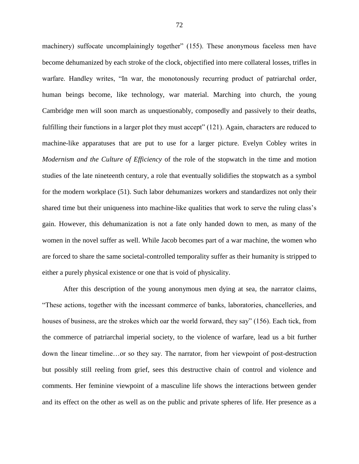machinery) suffocate uncomplainingly together" (155). These anonymous faceless men have become dehumanized by each stroke of the clock, objectified into mere collateral losses, trifles in warfare. Handley writes, "In war, the monotonously recurring product of patriarchal order, human beings become, like technology, war material. Marching into church, the young Cambridge men will soon march as unquestionably, composedly and passively to their deaths, fulfilling their functions in a larger plot they must accept" (121). Again, characters are reduced to machine-like apparatuses that are put to use for a larger picture. Evelyn Cobley writes in *Modernism and the Culture of Efficiency* of the role of the stopwatch in the time and motion studies of the late nineteenth century, a role that eventually solidifies the stopwatch as a symbol for the modern workplace (51). Such labor dehumanizes workers and standardizes not only their shared time but their uniqueness into machine-like qualities that work to serve the ruling class's gain. However, this dehumanization is not a fate only handed down to men, as many of the women in the novel suffer as well. While Jacob becomes part of a war machine, the women who are forced to share the same societal-controlled temporality suffer as their humanity is stripped to either a purely physical existence or one that is void of physicality.

After this description of the young anonymous men dying at sea, the narrator claims, "These actions, together with the incessant commerce of banks, laboratories, chancelleries, and houses of business, are the strokes which oar the world forward, they say" (156). Each tick, from the commerce of patriarchal imperial society, to the violence of warfare, lead us a bit further down the linear timeline…or so they say. The narrator, from her viewpoint of post-destruction but possibly still reeling from grief, sees this destructive chain of control and violence and comments. Her feminine viewpoint of a masculine life shows the interactions between gender and its effect on the other as well as on the public and private spheres of life. Her presence as a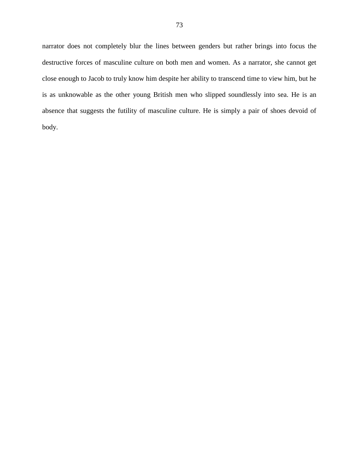narrator does not completely blur the lines between genders but rather brings into focus the destructive forces of masculine culture on both men and women. As a narrator, she cannot get close enough to Jacob to truly know him despite her ability to transcend time to view him, but he is as unknowable as the other young British men who slipped soundlessly into sea. He is an absence that suggests the futility of masculine culture. He is simply a pair of shoes devoid of body.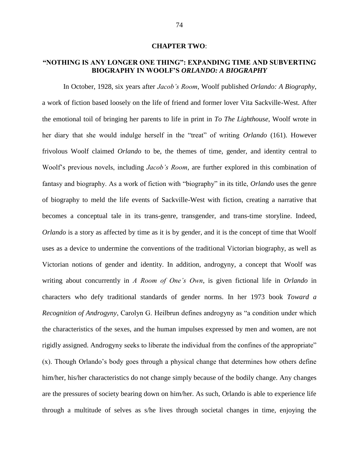## **CHAPTER TWO**:

## **"NOTHING IS ANY LONGER ONE THING": EXPANDING TIME AND SUBVERTING BIOGRAPHY IN WOOLF'S** *ORLANDO: A BIOGRAPHY*

In October, 1928, six years after *Jacob's Room*, Woolf published *Orlando: A Biography*, a work of fiction based loosely on the life of friend and former lover Vita Sackville-West. After the emotional toil of bringing her parents to life in print in *To The Lighthouse*, Woolf wrote in her diary that she would indulge herself in the "treat" of writing *Orlando* (161). However frivolous Woolf claimed *Orlando* to be, the themes of time, gender, and identity central to Woolf's previous novels, including *Jacob's Room*, are further explored in this combination of fantasy and biography. As a work of fiction with "biography" in its title, *Orlando* uses the genre of biography to meld the life events of Sackville-West with fiction, creating a narrative that becomes a conceptual tale in its trans-genre, transgender, and trans-time storyline. Indeed, *Orlando* is a story as affected by time as it is by gender, and it is the concept of time that Woolf uses as a device to undermine the conventions of the traditional Victorian biography, as well as Victorian notions of gender and identity. In addition, androgyny, a concept that Woolf was writing about concurrently in *A Room of One's Own*, is given fictional life in *Orlando* in characters who defy traditional standards of gender norms. In her 1973 book *Toward a Recognition of Androgyny*, Carolyn G. Heilbrun defines androgyny as "a condition under which the characteristics of the sexes, and the human impulses expressed by men and women, are not rigidly assigned. Androgyny seeks to liberate the individual from the confines of the appropriate" (x). Though Orlando's body goes through a physical change that determines how others define him/her, his/her characteristics do not change simply because of the bodily change. Any changes are the pressures of society bearing down on him/her. As such, Orlando is able to experience life through a multitude of selves as s/he lives through societal changes in time, enjoying the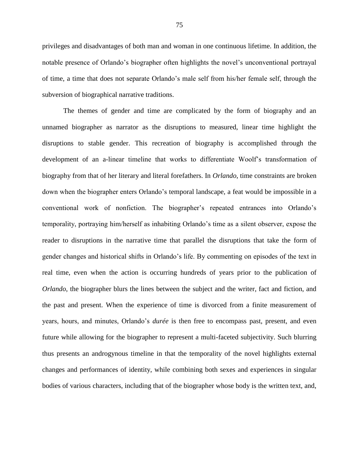privileges and disadvantages of both man and woman in one continuous lifetime. In addition, the notable presence of Orlando's biographer often highlights the novel's unconventional portrayal of time, a time that does not separate Orlando's male self from his/her female self, through the subversion of biographical narrative traditions.

The themes of gender and time are complicated by the form of biography and an unnamed biographer as narrator as the disruptions to measured, linear time highlight the disruptions to stable gender. This recreation of biography is accomplished through the development of an a-linear timeline that works to differentiate Woolf's transformation of biography from that of her literary and literal forefathers. In *Orlando*, time constraints are broken down when the biographer enters Orlando's temporal landscape, a feat would be impossible in a conventional work of nonfiction. The biographer's repeated entrances into Orlando's temporality, portraying him/herself as inhabiting Orlando's time as a silent observer, expose the reader to disruptions in the narrative time that parallel the disruptions that take the form of gender changes and historical shifts in Orlando's life. By commenting on episodes of the text in real time, even when the action is occurring hundreds of years prior to the publication of *Orlando*, the biographer blurs the lines between the subject and the writer, fact and fiction, and the past and present. When the experience of time is divorced from a finite measurement of years, hours, and minutes, Orlando's *durée* is then free to encompass past, present, and even future while allowing for the biographer to represent a multi-faceted subjectivity. Such blurring thus presents an androgynous timeline in that the temporality of the novel highlights external changes and performances of identity, while combining both sexes and experiences in singular bodies of various characters, including that of the biographer whose body is the written text, and,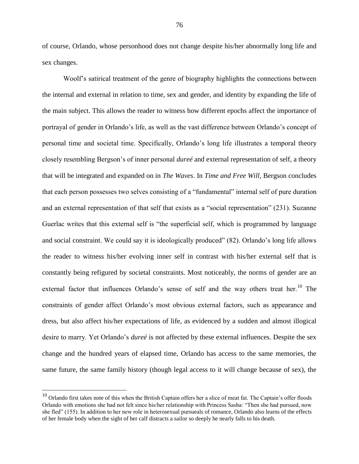of course, Orlando, whose personhood does not change despite his/her abnormally long life and sex changes.

Woolf's satirical treatment of the genre of biography highlights the connections between the internal and external in relation to time, sex and gender, and identity by expanding the life of the main subject. This allows the reader to witness how different epochs affect the importance of portrayal of gender in Orlando's life, as well as the vast difference between Orlando's concept of personal time and societal time. Specifically, Orlando's long life illustrates a temporal theory closely resembling Bergson's of inner personal *dureé* and external representation of self, a theory that will be integrated and expanded on in *The Waves*. In *Time and Free Will*, Bergson concludes that each person possesses two selves consisting of a "fundamental" internal self of pure duration and an external representation of that self that exists as a "social representation" (231). Suzanne Guerlac writes that this external self is "the superficial self, which is programmed by language and social constraint. We could say it is ideologically produced" (82). Orlando's long life allows the reader to witness his/her evolving inner self in contrast with his/her external self that is constantly being refigured by societal constraints. Most noticeably, the norms of gender are an external factor that influences Orlando's sense of self and the way others treat her.<sup>10</sup> The constraints of gender affect Orlando's most obvious external factors, such as appearance and dress, but also affect his/her expectations of life, as evidenced by a sudden and almost illogical desire to marry. Yet Orlando's *dureé* is not affected by these external influences. Despite the sex change and the hundred years of elapsed time, Orlando has access to the same memories, the same future, the same family history (though legal access to it will change because of sex), the

 $10$  Orlando first takes note of this when the British Captain offers her a slice of meat fat. The Captain's offer floods Orlando with emotions she had not felt since his/her relationship with Princess Sasha: "Then she had pursued, now she fled" (155). In addition to her new role in heterosexual pursueals of romance, Orlando also learns of the effects of her female body when the sight of her calf distracts a sailor so deeply he nearly falls to his death.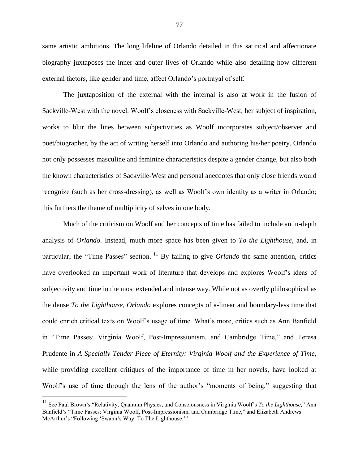same artistic ambitions. The long lifeline of Orlando detailed in this satirical and affectionate biography juxtaposes the inner and outer lives of Orlando while also detailing how different external factors, like gender and time, affect Orlando's portrayal of self.

The juxtaposition of the external with the internal is also at work in the fusion of Sackville-West with the novel. Woolf's closeness with Sackville-West, her subject of inspiration, works to blur the lines between subjectivities as Woolf incorporates subject/observer and poet/biographer, by the act of writing herself into Orlando and authoring his/her poetry. Orlando not only possesses masculine and feminine characteristics despite a gender change, but also both the known characteristics of Sackville-West and personal anecdotes that only close friends would recognize (such as her cross-dressing), as well as Woolf's own identity as a writer in Orlando; this furthers the theme of multiplicity of selves in one body.

Much of the criticism on Woolf and her concepts of time has failed to include an in-depth analysis of *Orlando*. Instead, much more space has been given to *To the Lighthouse*, and, in particular, the "Time Passes" section. <sup>11</sup> By failing to give *Orlando* the same attention, critics have overlooked an important work of literature that develops and explores Woolf's ideas of subjectivity and time in the most extended and intense way. While not as overtly philosophical as the dense *To the Lighthouse*, *Orlando* explores concepts of a-linear and boundary-less time that could enrich critical texts on Woolf's usage of time. What's more, critics such as Ann Banfield in "Time Passes: Virginia Woolf, Post-Impressionism, and Cambridge Time," and Teresa Prudente in *A Specially Tender Piece of Eternity: Virginia Woolf and the Experience of Time,*  while providing excellent critiques of the importance of time in her novels, have looked at Woolf's use of time through the lens of the author's "moments of being," suggesting that

<sup>11</sup> See Paul Brown's "Relativity, Quantum Physics, and Consciousness in Virginia Woolf's *To the Lighthouse,*" Ann Banfield's "Time Passes: Virginia Woolf, Post-Impressionism, and Cambridge Time," and Elizabeth Andrews McArthur's "Following 'Swann's Way: To The Lighthouse.'"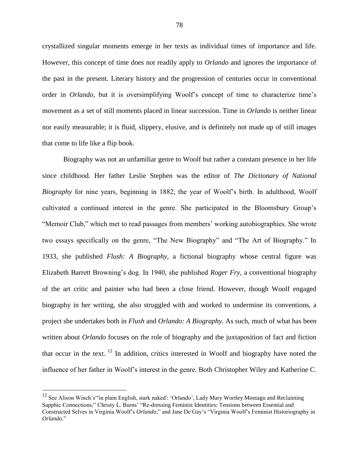crystallized singular moments emerge in her texts as individual times of importance and life. However, this concept of time does not readily apply to *Orlando* and ignores the importance of the past in the present. Literary history and the progression of centuries occur in conventional order in *Orlando*, but it is oversimplifying Woolf's concept of time to characterize time's movement as a set of still moments placed in linear succession. Time in *Orlando* is neither linear nor easily measurable; it is fluid, slippery, elusive, and is definitely not made up of still images that come to life like a flip book.

Biography was not an unfamiliar genre to Woolf but rather a constant presence in her life since childhood. Her father Leslie Stephen was the editor of *The Dictionary of National Biography* for nine years, beginning in 1882, the year of Woolf's birth. In adulthood, Woolf cultivated a continued interest in the genre. She participated in the Bloomsbury Group's "Memoir Club," which met to read passages from members' working autobiographies. She wrote two essays specifically on the genre, "The New Biography" and "The Art of Biography." In 1933, she published *Flush: A Biography*, a fictional biography whose central figure was Elizabeth Barrett Browning's dog. In 1940, she published *Roger Fry*, a conventional biography of the art critic and painter who had been a close friend. However, though Woolf engaged biography in her writing, she also struggled with and worked to undermine its conventions, a project she undertakes both in *Flush* and *Orlando: A Biography*. As such, much of what has been written about *Orlando* focuses on the role of biography and the juxtaposition of fact and fiction that occur in the text.  $12$  In addition, critics interested in Woolf and biography have noted the influence of her father in Woolf's interest in the genre. Both Christopher Wiley and Katherine C.

<sup>&</sup>lt;sup>12</sup> See Alison Winch's"'in plain English, stark naked': 'Orlando', Lady Mary Wortley Montagu and Reclaiming Sapphic Connections;" Christy L. Burns' "Re-dressing Feminist Identities: Tensions between Essential and Constructed Selves in Virginia Woolf's *Orlando*;" and Jane De Gay's "Virginia Woolf's Feminist Historiography in *Orlando*."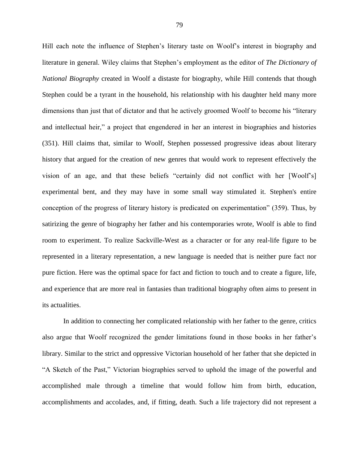Hill each note the influence of Stephen's literary taste on Woolf's interest in biography and literature in general. Wiley claims that Stephen's employment as the editor of *The Dictionary of National Biography* created in Woolf a distaste for biography, while Hill contends that though Stephen could be a tyrant in the household, his relationship with his daughter held many more dimensions than just that of dictator and that he actively groomed Woolf to become his "literary and intellectual heir," a project that engendered in her an interest in biographies and histories (351). Hill claims that, similar to Woolf, Stephen possessed progressive ideas about literary history that argued for the creation of new genres that would work to represent effectively the vision of an age, and that these beliefs "certainly did not conflict with her [Woolf's] experimental bent, and they may have in some small way stimulated it. Stephen's entire conception of the progress of literary history is predicated on experimentation" (359). Thus, by satirizing the genre of biography her father and his contemporaries wrote, Woolf is able to find room to experiment. To realize Sackville-West as a character or for any real-life figure to be represented in a literary representation, a new language is needed that is neither pure fact nor pure fiction. Here was the optimal space for fact and fiction to touch and to create a figure, life, and experience that are more real in fantasies than traditional biography often aims to present in its actualities.

In addition to connecting her complicated relationship with her father to the genre, critics also argue that Woolf recognized the gender limitations found in those books in her father's library. Similar to the strict and oppressive Victorian household of her father that she depicted in "A Sketch of the Past," Victorian biographies served to uphold the image of the powerful and accomplished male through a timeline that would follow him from birth, education, accomplishments and accolades, and, if fitting, death. Such a life trajectory did not represent a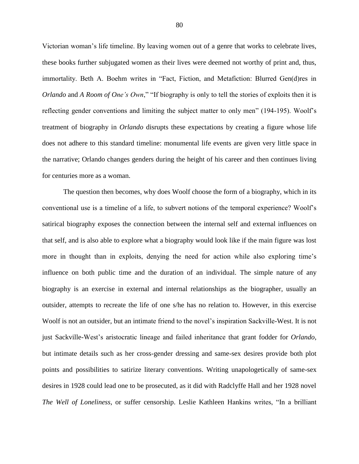Victorian woman's life timeline. By leaving women out of a genre that works to celebrate lives, these books further subjugated women as their lives were deemed not worthy of print and, thus, immortality. Beth A. Boehm writes in "Fact, Fiction, and Metafiction: Blurred Gen(d)res in *Orlando* and *A Room of One's Own*," "If biography is only to tell the stories of exploits then it is reflecting gender conventions and limiting the subject matter to only men" (194-195). Woolf's treatment of biography in *Orlando* disrupts these expectations by creating a figure whose life does not adhere to this standard timeline: monumental life events are given very little space in the narrative; Orlando changes genders during the height of his career and then continues living for centuries more as a woman.

The question then becomes, why does Woolf choose the form of a biography, which in its conventional use is a timeline of a life, to subvert notions of the temporal experience? Woolf's satirical biography exposes the connection between the internal self and external influences on that self, and is also able to explore what a biography would look like if the main figure was lost more in thought than in exploits, denying the need for action while also exploring time's influence on both public time and the duration of an individual. The simple nature of any biography is an exercise in external and internal relationships as the biographer, usually an outsider, attempts to recreate the life of one s/he has no relation to. However, in this exercise Woolf is not an outsider, but an intimate friend to the novel's inspiration Sackville-West. It is not just Sackville-West's aristocratic lineage and failed inheritance that grant fodder for *Orlando*, but intimate details such as her cross-gender dressing and same-sex desires provide both plot points and possibilities to satirize literary conventions. Writing unapologetically of same-sex desires in 1928 could lead one to be prosecuted, as it did with Radclyffe Hall and her 1928 novel *The Well of Loneliness*, or suffer censorship. Leslie Kathleen Hankins writes, "In a brilliant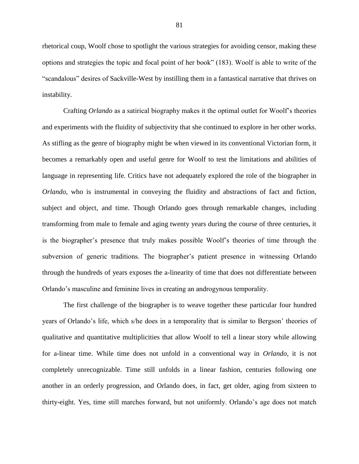rhetorical coup, Woolf chose to spotlight the various strategies for avoiding censor, making these options and strategies the topic and focal point of her book" (183). Woolf is able to write of the "scandalous" desires of Sackville-West by instilling them in a fantastical narrative that thrives on instability.

Crafting *Orlando* as a satirical biography makes it the optimal outlet for Woolf's theories and experiments with the fluidity of subjectivity that she continued to explore in her other works. As stifling as the genre of biography might be when viewed in its conventional Victorian form, it becomes a remarkably open and useful genre for Woolf to test the limitations and abilities of language in representing life. Critics have not adequately explored the role of the biographer in *Orlando,* who is instrumental in conveying the fluidity and abstractions of fact and fiction, subject and object, and time. Though Orlando goes through remarkable changes, including transforming from male to female and aging twenty years during the course of three centuries, it is the biographer's presence that truly makes possible Woolf's theories of time through the subversion of generic traditions. The biographer's patient presence in witnessing Orlando through the hundreds of years exposes the a-linearity of time that does not differentiate between Orlando's masculine and feminine lives in creating an androgynous temporality.

The first challenge of the biographer is to weave together these particular four hundred years of Orlando's life, which s/he does in a temporality that is similar to Bergson' theories of qualitative and quantitative multiplicities that allow Woolf to tell a linear story while allowing for a-linear time. While time does not unfold in a conventional way in *Orlando*, it is not completely unrecognizable. Time still unfolds in a linear fashion, centuries following one another in an orderly progression, and Orlando does, in fact, get older, aging from sixteen to thirty-eight. Yes, time still marches forward, but not uniformly. Orlando's age does not match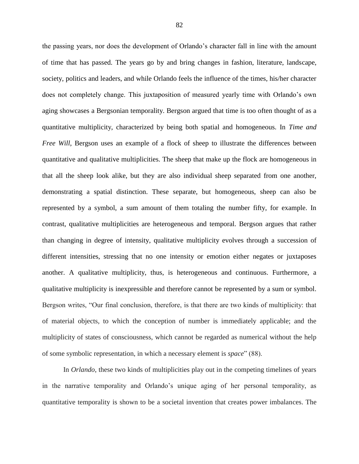the passing years, nor does the development of Orlando's character fall in line with the amount of time that has passed. The years go by and bring changes in fashion, literature, landscape, society, politics and leaders, and while Orlando feels the influence of the times, his/her character does not completely change. This juxtaposition of measured yearly time with Orlando's own aging showcases a Bergsonian temporality. Bergson argued that time is too often thought of as a quantitative multiplicity, characterized by being both spatial and homogeneous. In *Time and Free Will*, Bergson uses an example of a flock of sheep to illustrate the differences between quantitative and qualitative multiplicities. The sheep that make up the flock are homogeneous in that all the sheep look alike, but they are also individual sheep separated from one another, demonstrating a spatial distinction. These separate, but homogeneous, sheep can also be represented by a symbol, a sum amount of them totaling the number fifty, for example. In contrast, qualitative multiplicities are heterogeneous and temporal. Bergson argues that rather than changing in degree of intensity, qualitative multiplicity evolves through a succession of different intensities, stressing that no one intensity or emotion either negates or juxtaposes another. A qualitative multiplicity, thus, is heterogeneous and continuous. Furthermore, a qualitative multiplicity is inexpressible and therefore cannot be represented by a sum or symbol. Bergson writes, "Our final conclusion, therefore, is that there are two kinds of multiplicity: that of material objects, to which the conception of number is immediately applicable; and the multiplicity of states of consciousness, which cannot be regarded as numerical without the help of some symbolic representation, in which a necessary element is *space*" (88).

In *Orlando*, these two kinds of multiplicities play out in the competing timelines of years in the narrative temporality and Orlando's unique aging of her personal temporality, as quantitative temporality is shown to be a societal invention that creates power imbalances. The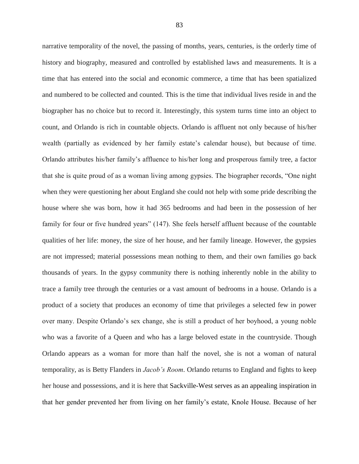narrative temporality of the novel, the passing of months, years, centuries, is the orderly time of history and biography, measured and controlled by established laws and measurements. It is a time that has entered into the social and economic commerce, a time that has been spatialized and numbered to be collected and counted. This is the time that individual lives reside in and the biographer has no choice but to record it. Interestingly, this system turns time into an object to count, and Orlando is rich in countable objects. Orlando is affluent not only because of his/her wealth (partially as evidenced by her family estate's calendar house), but because of time. Orlando attributes his/her family's affluence to his/her long and prosperous family tree, a factor that she is quite proud of as a woman living among gypsies. The biographer records, "One night when they were questioning her about England she could not help with some pride describing the house where she was born, how it had 365 bedrooms and had been in the possession of her family for four or five hundred years" (147). She feels herself affluent because of the countable qualities of her life: money, the size of her house, and her family lineage. However, the gypsies are not impressed; material possessions mean nothing to them, and their own families go back thousands of years. In the gypsy community there is nothing inherently noble in the ability to trace a family tree through the centuries or a vast amount of bedrooms in a house. Orlando is a product of a society that produces an economy of time that privileges a selected few in power over many. Despite Orlando's sex change, she is still a product of her boyhood, a young noble who was a favorite of a Queen and who has a large beloved estate in the countryside. Though Orlando appears as a woman for more than half the novel, she is not a woman of natural temporality, as is Betty Flanders in *Jacob's Room*. Orlando returns to England and fights to keep her house and possessions, and it is here that Sackville-West serves as an appealing inspiration in that her gender prevented her from living on her family's estate, Knole House. Because of her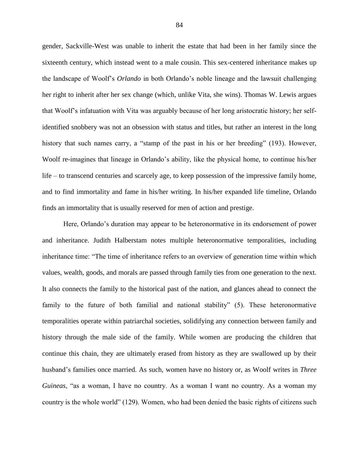gender, Sackville-West was unable to inherit the estate that had been in her family since the sixteenth century, which instead went to a male cousin. This sex-centered inheritance makes up the landscape of Woolf's *Orlando* in both Orlando's noble lineage and the lawsuit challenging her right to inherit after her sex change (which, unlike Vita, she wins). Thomas W. Lewis argues that Woolf's infatuation with Vita was arguably because of her long aristocratic history; her selfidentified snobbery was not an obsession with status and titles, but rather an interest in the long history that such names carry, a "stamp of the past in his or her breeding" (193). However, Woolf re-imagines that lineage in Orlando's ability, like the physical home, to continue his/her life – to transcend centuries and scarcely age, to keep possession of the impressive family home, and to find immortality and fame in his/her writing. In his/her expanded life timeline, Orlando finds an immortality that is usually reserved for men of action and prestige.

Here, Orlando's duration may appear to be heteronormative in its endorsement of power and inheritance. Judith Halberstam notes multiple heteronormative temporalities, including inheritance time: "The time of inheritance refers to an overview of generation time within which values, wealth, goods, and morals are passed through family ties from one generation to the next. It also connects the family to the historical past of the nation, and glances ahead to connect the family to the future of both familial and national stability" (5). These heteronormative temporalities operate within patriarchal societies, solidifying any connection between family and history through the male side of the family. While women are producing the children that continue this chain, they are ultimately erased from history as they are swallowed up by their husband's families once married. As such, women have no history or, as Woolf writes in *Three Guineas*, "as a woman, I have no country. As a woman I want no country. As a woman my country is the whole world" (129). Women, who had been denied the basic rights of citizens such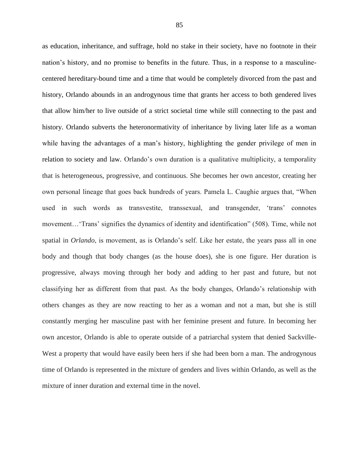as education, inheritance, and suffrage, hold no stake in their society, have no footnote in their nation's history, and no promise to benefits in the future. Thus, in a response to a masculinecentered hereditary-bound time and a time that would be completely divorced from the past and history, Orlando abounds in an androgynous time that grants her access to both gendered lives that allow him/her to live outside of a strict societal time while still connecting to the past and history. Orlando subverts the heteronormativity of inheritance by living later life as a woman while having the advantages of a man's history, highlighting the gender privilege of men in relation to society and law. Orlando's own duration is a qualitative multiplicity, a temporality that is heterogeneous, progressive, and continuous. She becomes her own ancestor, creating her own personal lineage that goes back hundreds of years. Pamela L. Caughie argues that, "When used in such words as transvestite, transsexual, and transgender, 'trans' connotes movement…'Trans' signifies the dynamics of identity and identification" (508). Time, while not spatial in *Orlando*, is movement, as is Orlando's self. Like her estate, the years pass all in one body and though that body changes (as the house does), she is one figure. Her duration is progressive, always moving through her body and adding to her past and future, but not classifying her as different from that past. As the body changes, Orlando's relationship with others changes as they are now reacting to her as a woman and not a man, but she is still constantly merging her masculine past with her feminine present and future. In becoming her own ancestor, Orlando is able to operate outside of a patriarchal system that denied Sackville-West a property that would have easily been hers if she had been born a man. The androgynous time of Orlando is represented in the mixture of genders and lives within Orlando, as well as the mixture of inner duration and external time in the novel.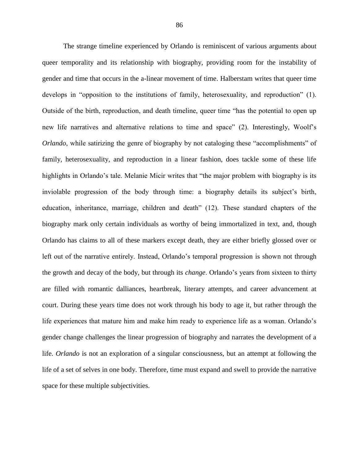The strange timeline experienced by Orlando is reminiscent of various arguments about queer temporality and its relationship with biography, providing room for the instability of gender and time that occurs in the a-linear movement of time. Halberstam writes that queer time develops in "opposition to the institutions of family, heterosexuality, and reproduction" (1). Outside of the birth, reproduction, and death timeline, queer time "has the potential to open up new life narratives and alternative relations to time and space" (2). Interestingly, Woolf's *Orlando*, while satirizing the genre of biography by not cataloging these "accomplishments" of family, heterosexuality, and reproduction in a linear fashion, does tackle some of these life highlights in Orlando's tale. Melanie Micir writes that "the major problem with biography is its inviolable progression of the body through time: a biography details its subject's birth, education, inheritance, marriage, children and death" (12). These standard chapters of the biography mark only certain individuals as worthy of being immortalized in text, and, though Orlando has claims to all of these markers except death, they are either briefly glossed over or left out of the narrative entirely. Instead, Orlando's temporal progression is shown not through the growth and decay of the body, but through its *change*. Orlando's years from sixteen to thirty are filled with romantic dalliances, heartbreak, literary attempts, and career advancement at court. During these years time does not work through his body to age it, but rather through the life experiences that mature him and make him ready to experience life as a woman. Orlando's gender change challenges the linear progression of biography and narrates the development of a life. *Orlando* is not an exploration of a singular consciousness, but an attempt at following the life of a set of selves in one body. Therefore, time must expand and swell to provide the narrative space for these multiple subjectivities.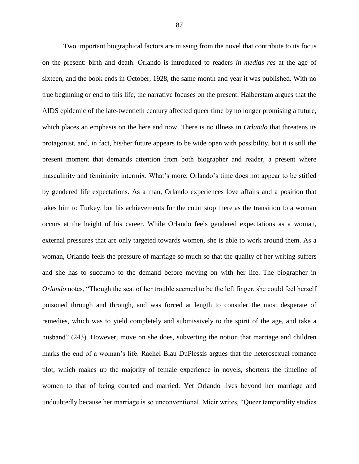Two important biographical factors are missing from the novel that contribute to its focus on the present: birth and death. Orlando is introduced to readers *in medias res* at the age of sixteen, and the book ends in October, 1928, the same month and year it was published. With no true beginning or end to this life, the narrative focuses on the present. Halberstam argues that the AIDS epidemic of the late-twentieth century affected queer time by no longer promising a future, which places an emphasis on the here and now. There is no illness in *Orlando* that threatens its protagonist, and, in fact, his/her future appears to be wide open with possibility, but it is still the present moment that demands attention from both biographer and reader, a present where masculinity and femininity intermix. What's more, Orlando's time does not appear to be stifled by gendered life expectations. As a man, Orlando experiences love affairs and a position that takes him to Turkey, but his achievements for the court stop there as the transition to a woman occurs at the height of his career. While Orlando feels gendered expectations as a woman, external pressures that are only targeted towards women, she is able to work around them. As a woman, Orlando feels the pressure of marriage so much so that the quality of her writing suffers and she has to succumb to the demand before moving on with her life. The biographer in *Orlando* notes, "Though the seat of her trouble seemed to be the left finger, she could feel herself poisoned through and through, and was forced at length to consider the most desperate of remedies, which was to yield completely and submissively to the spirit of the age, and take a husband" (243). However, move on she does, subverting the notion that marriage and children marks the end of a woman's life. Rachel Blau DuPlessis argues that the heterosexual romance plot, which makes up the majority of female experience in novels, shortens the timeline of women to that of being courted and married. Yet Orlando lives beyond her marriage and undoubtedly because her marriage is so unconventional. Micir writes, "Queer temporality studies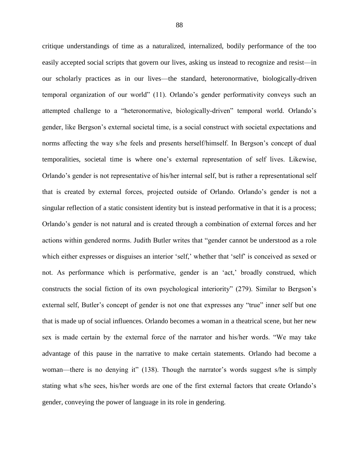critique understandings of time as a naturalized, internalized, bodily performance of the too easily accepted social scripts that govern our lives, asking us instead to recognize and resist—in our scholarly practices as in our lives—the standard, heteronormative, biologically-driven temporal organization of our world" (11). Orlando's gender performativity conveys such an attempted challenge to a "heteronormative, biologically-driven" temporal world. Orlando's gender, like Bergson's external societal time, is a social construct with societal expectations and norms affecting the way s/he feels and presents herself/himself. In Bergson's concept of dual temporalities, societal time is where one's external representation of self lives. Likewise, Orlando's gender is not representative of his/her internal self, but is rather a representational self that is created by external forces, projected outside of Orlando. Orlando's gender is not a singular reflection of a static consistent identity but is instead performative in that it is a process; Orlando's gender is not natural and is created through a combination of external forces and her actions within gendered norms. Judith Butler writes that "gender cannot be understood as a role which either expresses or disguises an interior 'self,' whether that 'self' is conceived as sexed or not. As performance which is performative, gender is an 'act,' broadly construed, which constructs the social fiction of its own psychological interiority" (279). Similar to Bergson's external self, Butler's concept of gender is not one that expresses any "true" inner self but one that is made up of social influences. Orlando becomes a woman in a theatrical scene, but her new sex is made certain by the external force of the narrator and his/her words. "We may take advantage of this pause in the narrative to make certain statements. Orlando had become a woman—there is no denying it" (138). Though the narrator's words suggest s/he is simply stating what s/he sees, his/her words are one of the first external factors that create Orlando's gender, conveying the power of language in its role in gendering.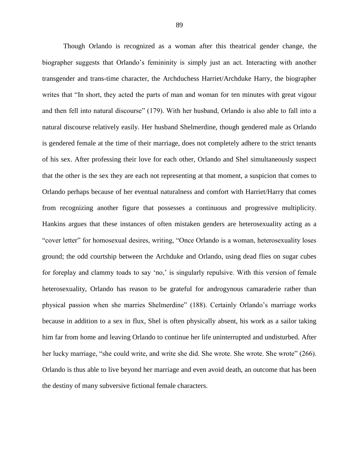Though Orlando is recognized as a woman after this theatrical gender change, the biographer suggests that Orlando's femininity is simply just an act. Interacting with another transgender and trans-time character, the Archduchess Harriet/Archduke Harry, the biographer writes that "In short, they acted the parts of man and woman for ten minutes with great vigour and then fell into natural discourse" (179). With her husband, Orlando is also able to fall into a natural discourse relatively easily. Her husband Shelmerdine, though gendered male as Orlando is gendered female at the time of their marriage, does not completely adhere to the strict tenants of his sex. After professing their love for each other, Orlando and Shel simultaneously suspect that the other is the sex they are each not representing at that moment, a suspicion that comes to Orlando perhaps because of her eventual naturalness and comfort with Harriet/Harry that comes from recognizing another figure that possesses a continuous and progressive multiplicity. Hankins argues that these instances of often mistaken genders are heterosexuality acting as a "cover letter" for homosexual desires, writing, "Once Orlando is a woman, heterosexuality loses ground; the odd courtship between the Archduke and Orlando, using dead flies on sugar cubes for foreplay and clammy toads to say 'no,' is singularly repulsive. With this version of female heterosexuality, Orlando has reason to be grateful for androgynous camaraderie rather than physical passion when she marries Shelmerdine" (188). Certainly Orlando's marriage works because in addition to a sex in flux, Shel is often physically absent, his work as a sailor taking him far from home and leaving Orlando to continue her life uninterrupted and undisturbed. After her lucky marriage, "she could write, and write she did. She wrote. She wrote. She wrote" (266). Orlando is thus able to live beyond her marriage and even avoid death, an outcome that has been the destiny of many subversive fictional female characters.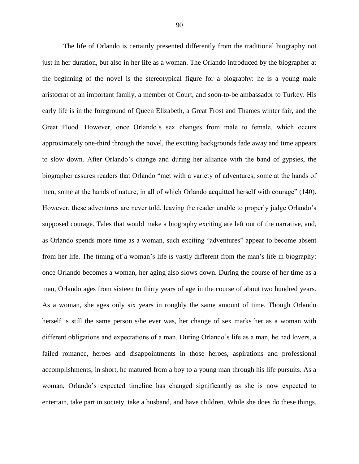The life of Orlando is certainly presented differently from the traditional biography not just in her duration, but also in her life as a woman. The Orlando introduced by the biographer at the beginning of the novel is the stereotypical figure for a biography: he is a young male aristocrat of an important family, a member of Court, and soon-to-be ambassador to Turkey. His early life is in the foreground of Queen Elizabeth, a Great Frost and Thames winter fair, and the Great Flood. However, once Orlando's sex changes from male to female, which occurs approximately one-third through the novel, the exciting backgrounds fade away and time appears to slow down. After Orlando's change and during her alliance with the band of gypsies, the biographer assures readers that Orlando "met with a variety of adventures, some at the hands of men, some at the hands of nature, in all of which Orlando acquitted herself with courage" (140). However, these adventures are never told, leaving the reader unable to properly judge Orlando's supposed courage. Tales that would make a biography exciting are left out of the narrative, and, as Orlando spends more time as a woman, such exciting "adventures" appear to become absent from her life. The timing of a woman's life is vastly different from the man's life in biography: once Orlando becomes a woman, her aging also slows down. During the course of her time as a man, Orlando ages from sixteen to thirty years of age in the course of about two hundred years. As a woman, she ages only six years in roughly the same amount of time. Though Orlando herself is still the same person s/he ever was, her change of sex marks her as a woman with different obligations and expectations of a man. During Orlando's life as a man, he had lovers, a failed romance, heroes and disappointments in those heroes, aspirations and professional accomplishments; in short, he matured from a boy to a young man through his life pursuits. As a woman, Orlando's expected timeline has changed significantly as she is now expected to entertain, take part in society, take a husband, and have children. While she does do these things,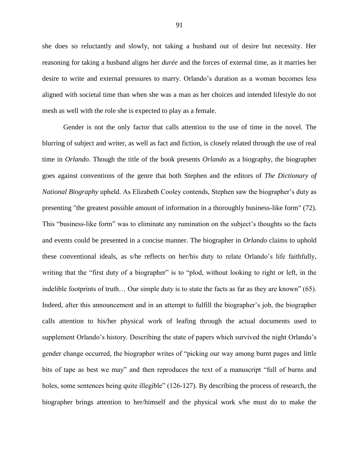she does so reluctantly and slowly, not taking a husband out of desire but necessity. Her reasoning for taking a husband aligns her *durée* and the forces of external time, as it marries her desire to write and external pressures to marry. Orlando's duration as a woman becomes less aligned with societal time than when she was a man as her choices and intended lifestyle do not mesh as well with the role she is expected to play as a female.

Gender is not the only factor that calls attention to the use of time in the novel. The blurring of subject and writer, as well as fact and fiction, is closely related through the use of real time in *Orlando*. Though the title of the book presents *Orlando* as a biography, the biographer goes against conventions of the genre that both Stephen and the editors of *The Dictionary of National Biography* upheld. As Elizabeth Cooley contends, Stephen saw the biographer's duty as presenting "the greatest possible amount of information in a thoroughly business-like form" (72). This "business-like form" was to eliminate any rumination on the subject's thoughts so the facts and events could be presented in a concise manner. The biographer in *Orlando* claims to uphold these conventional ideals, as s/he reflects on her/his duty to relate Orlando's life faithfully, writing that the "first duty of a biographer" is to "plod, without looking to right or left, in the indelible footprints of truth… Our simple duty is to state the facts as far as they are known" (65). Indeed, after this announcement and in an attempt to fulfill the biographer's job, the biographer calls attention to his/her physical work of leafing through the actual documents used to supplement Orlando's history. Describing the state of papers which survived the night Orlando's gender change occurred, the biographer writes of "picking our way among burnt pages and little bits of tape as best we may" and then reproduces the text of a manuscript "full of burns and holes, some sentences being quite illegible" (126-127). By describing the process of research, the biographer brings attention to her/himself and the physical work s/he must do to make the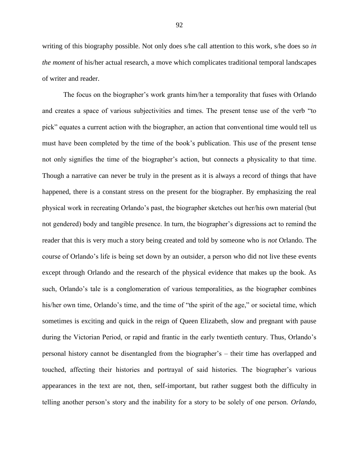writing of this biography possible. Not only does s/he call attention to this work, s/he does so *in the moment* of his/her actual research, a move which complicates traditional temporal landscapes of writer and reader.

The focus on the biographer's work grants him/her a temporality that fuses with Orlando and creates a space of various subjectivities and times. The present tense use of the verb "to pick" equates a current action with the biographer, an action that conventional time would tell us must have been completed by the time of the book's publication. This use of the present tense not only signifies the time of the biographer's action, but connects a physicality to that time. Though a narrative can never be truly in the present as it is always a record of things that have happened, there is a constant stress on the present for the biographer. By emphasizing the real physical work in recreating Orlando's past, the biographer sketches out her/his own material (but not gendered) body and tangible presence. In turn, the biographer's digressions act to remind the reader that this is very much a story being created and told by someone who is *not* Orlando. The course of Orlando's life is being set down by an outsider, a person who did not live these events except through Orlando and the research of the physical evidence that makes up the book. As such, Orlando's tale is a conglomeration of various temporalities, as the biographer combines his/her own time, Orlando's time, and the time of "the spirit of the age," or societal time, which sometimes is exciting and quick in the reign of Queen Elizabeth, slow and pregnant with pause during the Victorian Period, or rapid and frantic in the early twentieth century. Thus, Orlando's personal history cannot be disentangled from the biographer's – their time has overlapped and touched, affecting their histories and portrayal of said histories. The biographer's various appearances in the text are not, then, self-important, but rather suggest both the difficulty in telling another person's story and the inability for a story to be solely of one person. *Orlando*,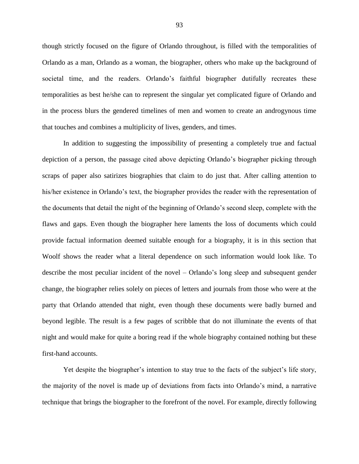though strictly focused on the figure of Orlando throughout, is filled with the temporalities of Orlando as a man, Orlando as a woman, the biographer, others who make up the background of societal time, and the readers. Orlando's faithful biographer dutifully recreates these temporalities as best he/she can to represent the singular yet complicated figure of Orlando and in the process blurs the gendered timelines of men and women to create an androgynous time that touches and combines a multiplicity of lives, genders, and times.

In addition to suggesting the impossibility of presenting a completely true and factual depiction of a person, the passage cited above depicting Orlando's biographer picking through scraps of paper also satirizes biographies that claim to do just that. After calling attention to his/her existence in Orlando's text, the biographer provides the reader with the representation of the documents that detail the night of the beginning of Orlando's second sleep, complete with the flaws and gaps. Even though the biographer here laments the loss of documents which could provide factual information deemed suitable enough for a biography, it is in this section that Woolf shows the reader what a literal dependence on such information would look like. To describe the most peculiar incident of the novel – Orlando's long sleep and subsequent gender change, the biographer relies solely on pieces of letters and journals from those who were at the party that Orlando attended that night, even though these documents were badly burned and beyond legible. The result is a few pages of scribble that do not illuminate the events of that night and would make for quite a boring read if the whole biography contained nothing but these first-hand accounts.

Yet despite the biographer's intention to stay true to the facts of the subject's life story, the majority of the novel is made up of deviations from facts into Orlando's mind, a narrative technique that brings the biographer to the forefront of the novel. For example, directly following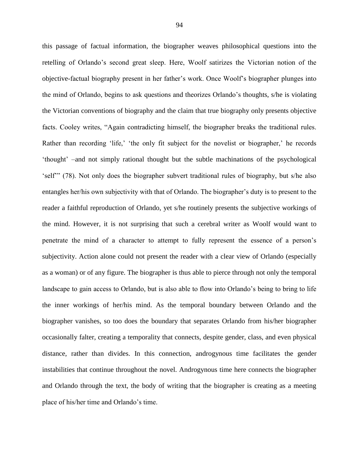this passage of factual information, the biographer weaves philosophical questions into the retelling of Orlando's second great sleep. Here, Woolf satirizes the Victorian notion of the objective-factual biography present in her father's work. Once Woolf's biographer plunges into the mind of Orlando, begins to ask questions and theorizes Orlando's thoughts, s/he is violating the Victorian conventions of biography and the claim that true biography only presents objective facts. Cooley writes, "Again contradicting himself, the biographer breaks the traditional rules. Rather than recording 'life,' 'the only fit subject for the novelist or biographer,' he records 'thought' –and not simply rational thought but the subtle machinations of the psychological 'self'" (78). Not only does the biographer subvert traditional rules of biography, but s/he also entangles her/his own subjectivity with that of Orlando. The biographer's duty is to present to the reader a faithful reproduction of Orlando, yet s/he routinely presents the subjective workings of the mind. However, it is not surprising that such a cerebral writer as Woolf would want to penetrate the mind of a character to attempt to fully represent the essence of a person's subjectivity. Action alone could not present the reader with a clear view of Orlando (especially as a woman) or of any figure. The biographer is thus able to pierce through not only the temporal landscape to gain access to Orlando, but is also able to flow into Orlando's being to bring to life the inner workings of her/his mind. As the temporal boundary between Orlando and the biographer vanishes, so too does the boundary that separates Orlando from his/her biographer occasionally falter, creating a temporality that connects, despite gender, class, and even physical distance, rather than divides. In this connection, androgynous time facilitates the gender instabilities that continue throughout the novel. Androgynous time here connects the biographer and Orlando through the text, the body of writing that the biographer is creating as a meeting place of his/her time and Orlando's time.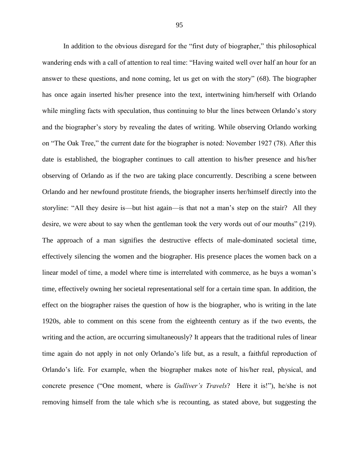In addition to the obvious disregard for the "first duty of biographer," this philosophical wandering ends with a call of attention to real time: "Having waited well over half an hour for an answer to these questions, and none coming, let us get on with the story" (68). The biographer has once again inserted his/her presence into the text, intertwining him/herself with Orlando while mingling facts with speculation, thus continuing to blur the lines between Orlando's story and the biographer's story by revealing the dates of writing. While observing Orlando working on "The Oak Tree," the current date for the biographer is noted: November 1927 (78). After this date is established, the biographer continues to call attention to his/her presence and his/her observing of Orlando as if the two are taking place concurrently. Describing a scene between Orlando and her newfound prostitute friends, the biographer inserts her/himself directly into the storyline: "All they desire is—but hist again—is that not a man's step on the stair? All they desire, we were about to say when the gentleman took the very words out of our mouths" (219). The approach of a man signifies the destructive effects of male-dominated societal time, effectively silencing the women and the biographer. His presence places the women back on a linear model of time, a model where time is interrelated with commerce, as he buys a woman's time, effectively owning her societal representational self for a certain time span. In addition, the effect on the biographer raises the question of how is the biographer, who is writing in the late 1920s, able to comment on this scene from the eighteenth century as if the two events, the writing and the action, are occurring simultaneously? It appears that the traditional rules of linear time again do not apply in not only Orlando's life but, as a result, a faithful reproduction of Orlando's life. For example, when the biographer makes note of his/her real, physical, and concrete presence ("One moment, where is *Gulliver's Travels*? Here it is!"), he/she is not removing himself from the tale which s/he is recounting, as stated above, but suggesting the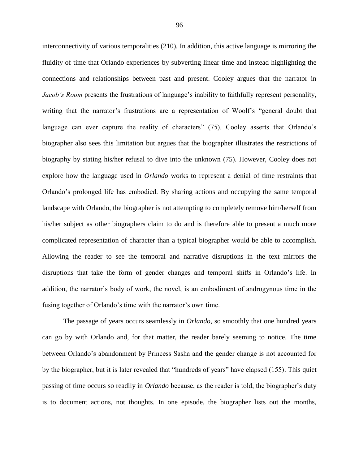interconnectivity of various temporalities (210). In addition, this active language is mirroring the fluidity of time that Orlando experiences by subverting linear time and instead highlighting the connections and relationships between past and present. Cooley argues that the narrator in *Jacob's Room* presents the frustrations of language's inability to faithfully represent personality, writing that the narrator's frustrations are a representation of Woolf's "general doubt that language can ever capture the reality of characters" (75). Cooley asserts that Orlando's biographer also sees this limitation but argues that the biographer illustrates the restrictions of biography by stating his/her refusal to dive into the unknown (75). However, Cooley does not explore how the language used in *Orlando* works to represent a denial of time restraints that Orlando's prolonged life has embodied. By sharing actions and occupying the same temporal landscape with Orlando, the biographer is not attempting to completely remove him/herself from his/her subject as other biographers claim to do and is therefore able to present a much more complicated representation of character than a typical biographer would be able to accomplish. Allowing the reader to see the temporal and narrative disruptions in the text mirrors the disruptions that take the form of gender changes and temporal shifts in Orlando's life. In addition, the narrator's body of work, the novel, is an embodiment of androgynous time in the fusing together of Orlando's time with the narrator's own time.

The passage of years occurs seamlessly in *Orlando*, so smoothly that one hundred years can go by with Orlando and, for that matter, the reader barely seeming to notice. The time between Orlando's abandonment by Princess Sasha and the gender change is not accounted for by the biographer, but it is later revealed that "hundreds of years" have elapsed (155). This quiet passing of time occurs so readily in *Orlando* because, as the reader is told, the biographer's duty is to document actions, not thoughts. In one episode, the biographer lists out the months,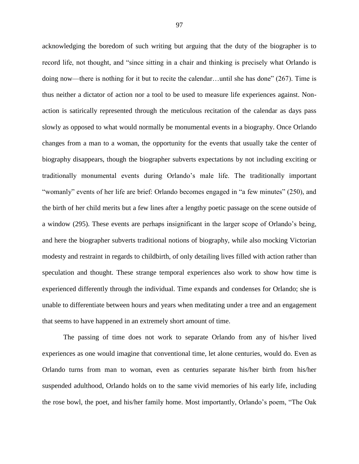acknowledging the boredom of such writing but arguing that the duty of the biographer is to record life, not thought, and "since sitting in a chair and thinking is precisely what Orlando is doing now—there is nothing for it but to recite the calendar…until she has done" (267). Time is thus neither a dictator of action nor a tool to be used to measure life experiences against. Nonaction is satirically represented through the meticulous recitation of the calendar as days pass slowly as opposed to what would normally be monumental events in a biography. Once Orlando changes from a man to a woman, the opportunity for the events that usually take the center of biography disappears, though the biographer subverts expectations by not including exciting or traditionally monumental events during Orlando's male life. The traditionally important "womanly" events of her life are brief: Orlando becomes engaged in "a few minutes" (250), and the birth of her child merits but a few lines after a lengthy poetic passage on the scene outside of a window (295). These events are perhaps insignificant in the larger scope of Orlando's being, and here the biographer subverts traditional notions of biography, while also mocking Victorian modesty and restraint in regards to childbirth, of only detailing lives filled with action rather than speculation and thought. These strange temporal experiences also work to show how time is experienced differently through the individual. Time expands and condenses for Orlando; she is unable to differentiate between hours and years when meditating under a tree and an engagement that seems to have happened in an extremely short amount of time.

The passing of time does not work to separate Orlando from any of his/her lived experiences as one would imagine that conventional time, let alone centuries, would do. Even as Orlando turns from man to woman, even as centuries separate his/her birth from his/her suspended adulthood, Orlando holds on to the same vivid memories of his early life, including the rose bowl, the poet, and his/her family home. Most importantly, Orlando's poem, "The Oak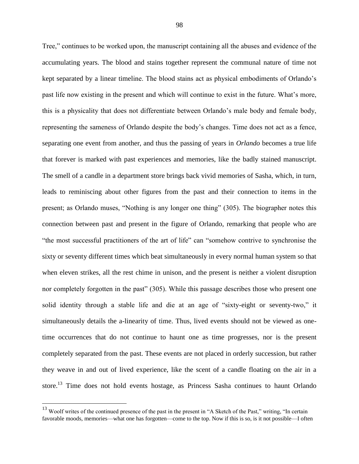Tree," continues to be worked upon, the manuscript containing all the abuses and evidence of the accumulating years. The blood and stains together represent the communal nature of time not kept separated by a linear timeline. The blood stains act as physical embodiments of Orlando's past life now existing in the present and which will continue to exist in the future. What's more, this is a physicality that does not differentiate between Orlando's male body and female body, representing the sameness of Orlando despite the body's changes. Time does not act as a fence, separating one event from another, and thus the passing of years in *Orlando* becomes a true life that forever is marked with past experiences and memories, like the badly stained manuscript. The smell of a candle in a department store brings back vivid memories of Sasha, which, in turn, leads to reminiscing about other figures from the past and their connection to items in the present; as Orlando muses, "Nothing is any longer one thing" (305). The biographer notes this connection between past and present in the figure of Orlando, remarking that people who are "the most successful practitioners of the art of life" can "somehow contrive to synchronise the sixty or seventy different times which beat simultaneously in every normal human system so that when eleven strikes, all the rest chime in unison, and the present is neither a violent disruption nor completely forgotten in the past" (305). While this passage describes those who present one solid identity through a stable life and die at an age of "sixty-eight or seventy-two," it simultaneously details the a-linearity of time. Thus, lived events should not be viewed as onetime occurrences that do not continue to haunt one as time progresses, nor is the present completely separated from the past. These events are not placed in orderly succession, but rather they weave in and out of lived experience, like the scent of a candle floating on the air in a store.<sup>13</sup> Time does not hold events hostage, as Princess Sasha continues to haunt Orlando

 $13$  Woolf writes of the continued presence of the past in the present in "A Sketch of the Past," writing, "In certain favorable moods, memories—what one has forgotten—come to the top. Now if this is so, is it not possible—I often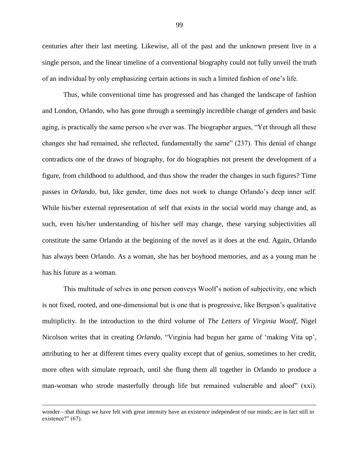centuries after their last meeting. Likewise, all of the past and the unknown present live in a single person, and the linear timeline of a conventional biography could not fully unveil the truth of an individual by only emphasizing certain actions in such a limited fashion of one's life.

Thus, while conventional time has progressed and has changed the landscape of fashion and London, Orlando, who has gone through a seemingly incredible change of genders and basic aging, is practically the same person s/he ever was. The biographer argues, "Yet through all these changes she had remained, she reflected, fundamentally the same" (237). This denial of change contradicts one of the draws of biography, for do biographies not present the development of a figure, from childhood to adulthood, and thus show the reader the changes in such figures? Time passes in *Orlando*, but, like gender, time does not work to change Orlando's deep inner self. While his/her external representation of self that exists in the social world may change and, as such, even his/her understanding of his/her self may change, these varying subjectivities all constitute the same Orlando at the beginning of the novel as it does at the end. Again, Orlando has always been Orlando. As a woman, she has her boyhood memories, and as a young man he has his future as a woman.

This multitude of selves in one person conveys Woolf's notion of subjectivity, one which is not fixed, rooted, and one-dimensional but is one that is progressive, like Bergson's qualitative multiplicity. In the introduction to the third volume of *The Letters of Virginia Woolf*, Nigel Nicolson writes that in creating *Orlando*, "Virginia had begun her game of 'making Vita up', attributing to her at different times every quality except that of genius, sometimes to her credit, more often with simulate reproach, until she flung them all together in Orlando to produce a man-woman who strode masterfully through life but remained vulnerable and aloof" (xxi).

wonder—that things we have felt with great intensity have an existence independent of our minds; are in fact still in existence?" (67).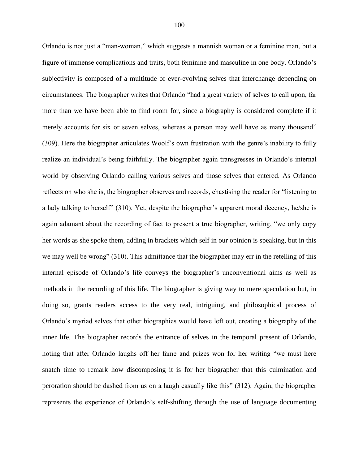Orlando is not just a "man-woman," which suggests a mannish woman or a feminine man, but a figure of immense complications and traits, both feminine and masculine in one body. Orlando's subjectivity is composed of a multitude of ever-evolving selves that interchange depending on circumstances. The biographer writes that Orlando "had a great variety of selves to call upon, far more than we have been able to find room for, since a biography is considered complete if it merely accounts for six or seven selves, whereas a person may well have as many thousand" (309). Here the biographer articulates Woolf's own frustration with the genre's inability to fully realize an individual's being faithfully. The biographer again transgresses in Orlando's internal world by observing Orlando calling various selves and those selves that entered. As Orlando reflects on who she is, the biographer observes and records, chastising the reader for "listening to a lady talking to herself" (310). Yet, despite the biographer's apparent moral decency, he/she is again adamant about the recording of fact to present a true biographer, writing, "we only copy her words as she spoke them, adding in brackets which self in our opinion is speaking, but in this we may well be wrong" (310). This admittance that the biographer may err in the retelling of this internal episode of Orlando's life conveys the biographer's unconventional aims as well as methods in the recording of this life. The biographer is giving way to mere speculation but, in doing so, grants readers access to the very real, intriguing, and philosophical process of Orlando's myriad selves that other biographies would have left out, creating a biography of the inner life. The biographer records the entrance of selves in the temporal present of Orlando, noting that after Orlando laughs off her fame and prizes won for her writing "we must here snatch time to remark how discomposing it is for her biographer that this culmination and peroration should be dashed from us on a laugh casually like this" (312). Again, the biographer represents the experience of Orlando's self-shifting through the use of language documenting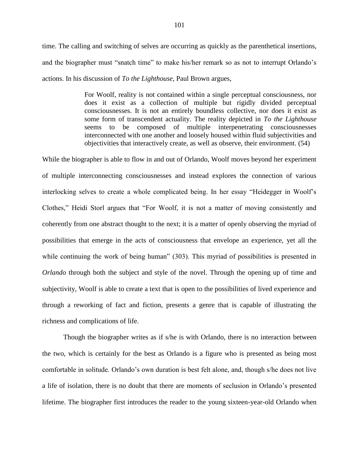time. The calling and switching of selves are occurring as quickly as the parenthetical insertions, and the biographer must "snatch time" to make his/her remark so as not to interrupt Orlando's actions. In his discussion of *To the Lighthouse,* Paul Brown argues,

> For Woolf, reality is not contained within a single perceptual consciousness, nor does it exist as a collection of multiple but rigidly divided perceptual consciousnesses. It is not an entirely boundless collective, nor does it exist as some form of transcendent actuality. The reality depicted in *To the Lighthouse* seems to be composed of multiple interpenetrating consciousnesses interconnected with one another and loosely housed within fluid subjectivities and objectivities that interactively create, as well as observe, their environment. (54)

While the biographer is able to flow in and out of Orlando, Woolf moves beyond her experiment of multiple interconnecting consciousnesses and instead explores the connection of various interlocking selves to create a whole complicated being. In her essay "Heidegger in Woolf's Clothes," Heidi Storl argues that "For Woolf, it is not a matter of moving consistently and coherently from one abstract thought to the next; it is a matter of openly observing the myriad of possibilities that emerge in the acts of consciousness that envelope an experience, yet all the while continuing the work of being human" (303). This myriad of possibilities is presented in *Orlando* through both the subject and style of the novel. Through the opening up of time and subjectivity, Woolf is able to create a text that is open to the possibilities of lived experience and through a reworking of fact and fiction, presents a genre that is capable of illustrating the richness and complications of life.

Though the biographer writes as if s/he is with Orlando, there is no interaction between the two, which is certainly for the best as Orlando is a figure who is presented as being most comfortable in solitude. Orlando's own duration is best felt alone, and, though s/he does not live a life of isolation, there is no doubt that there are moments of seclusion in Orlando's presented lifetime. The biographer first introduces the reader to the young sixteen-year-old Orlando when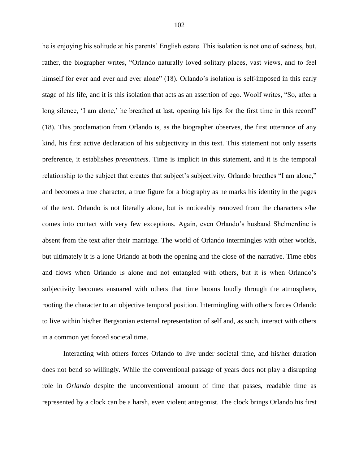he is enjoying his solitude at his parents' English estate. This isolation is not one of sadness, but, rather, the biographer writes, "Orlando naturally loved solitary places, vast views, and to feel himself for ever and ever and ever alone" (18). Orlando's isolation is self-imposed in this early stage of his life, and it is this isolation that acts as an assertion of ego. Woolf writes, "So, after a long silence, 'I am alone,' he breathed at last, opening his lips for the first time in this record" (18). This proclamation from Orlando is, as the biographer observes, the first utterance of any kind, his first active declaration of his subjectivity in this text. This statement not only asserts preference, it establishes *presentness*. Time is implicit in this statement, and it is the temporal relationship to the subject that creates that subject's subjectivity. Orlando breathes "I am alone," and becomes a true character, a true figure for a biography as he marks his identity in the pages of the text. Orlando is not literally alone, but is noticeably removed from the characters s/he comes into contact with very few exceptions. Again, even Orlando's husband Shelmerdine is absent from the text after their marriage. The world of Orlando intermingles with other worlds, but ultimately it is a lone Orlando at both the opening and the close of the narrative. Time ebbs and flows when Orlando is alone and not entangled with others, but it is when Orlando's subjectivity becomes ensnared with others that time booms loudly through the atmosphere, rooting the character to an objective temporal position. Intermingling with others forces Orlando to live within his/her Bergsonian external representation of self and, as such, interact with others in a common yet forced societal time.

Interacting with others forces Orlando to live under societal time, and his/her duration does not bend so willingly. While the conventional passage of years does not play a disrupting role in *Orlando* despite the unconventional amount of time that passes, readable time as represented by a clock can be a harsh, even violent antagonist. The clock brings Orlando his first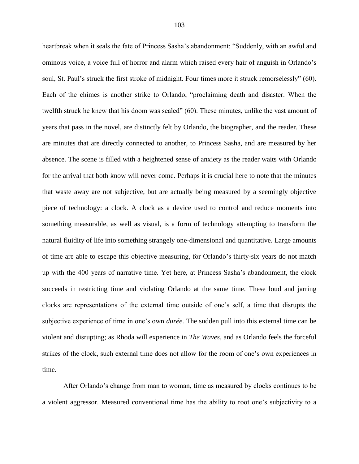heartbreak when it seals the fate of Princess Sasha's abandonment: "Suddenly, with an awful and ominous voice, a voice full of horror and alarm which raised every hair of anguish in Orlando's soul, St. Paul's struck the first stroke of midnight. Four times more it struck remorselessly" (60). Each of the chimes is another strike to Orlando, "proclaiming death and disaster. When the twelfth struck he knew that his doom was sealed" (60). These minutes, unlike the vast amount of years that pass in the novel, are distinctly felt by Orlando, the biographer, and the reader. These are minutes that are directly connected to another, to Princess Sasha, and are measured by her absence. The scene is filled with a heightened sense of anxiety as the reader waits with Orlando for the arrival that both know will never come. Perhaps it is crucial here to note that the minutes that waste away are not subjective, but are actually being measured by a seemingly objective piece of technology: a clock. A clock as a device used to control and reduce moments into something measurable, as well as visual, is a form of technology attempting to transform the natural fluidity of life into something strangely one-dimensional and quantitative. Large amounts of time are able to escape this objective measuring, for Orlando's thirty-six years do not match up with the 400 years of narrative time. Yet here, at Princess Sasha's abandonment, the clock succeeds in restricting time and violating Orlando at the same time. These loud and jarring clocks are representations of the external time outside of one's self, a time that disrupts the subjective experience of time in one's own *durée*. The sudden pull into this external time can be violent and disrupting; as Rhoda will experience in *The Waves*, and as Orlando feels the forceful strikes of the clock, such external time does not allow for the room of one's own experiences in time.

After Orlando's change from man to woman, time as measured by clocks continues to be a violent aggressor. Measured conventional time has the ability to root one's subjectivity to a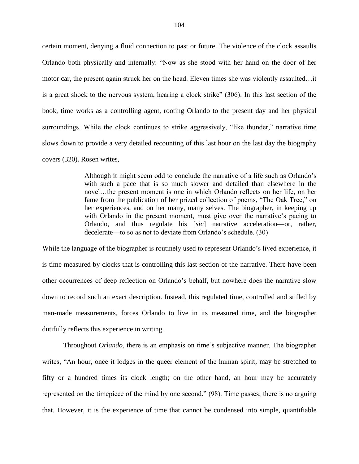certain moment, denying a fluid connection to past or future. The violence of the clock assaults Orlando both physically and internally: "Now as she stood with her hand on the door of her motor car, the present again struck her on the head. Eleven times she was violently assaulted…it is a great shock to the nervous system, hearing a clock strike" (306). In this last section of the book, time works as a controlling agent, rooting Orlando to the present day and her physical surroundings. While the clock continues to strike aggressively, "like thunder," narrative time slows down to provide a very detailed recounting of this last hour on the last day the biography covers (320). Rosen writes,

> Although it might seem odd to conclude the narrative of a life such as Orlando's with such a pace that is so much slower and detailed than elsewhere in the novel…the present moment is one in which Orlando reflects on her life, on her fame from the publication of her prized collection of poems, "The Oak Tree," on her experiences, and on her many, many selves. The biographer, in keeping up with Orlando in the present moment, must give over the narrative's pacing to Orlando, and thus regulate his [*sic*] narrative acceleration—or, rather, decelerate—to so as not to deviate from Orlando's schedule. (30)

While the language of the biographer is routinely used to represent Orlando's lived experience, it is time measured by clocks that is controlling this last section of the narrative. There have been other occurrences of deep reflection on Orlando's behalf, but nowhere does the narrative slow down to record such an exact description. Instead, this regulated time, controlled and stifled by man-made measurements, forces Orlando to live in its measured time, and the biographer dutifully reflects this experience in writing.

Throughout *Orlando*, there is an emphasis on time's subjective manner. The biographer writes, "An hour, once it lodges in the queer element of the human spirit, may be stretched to fifty or a hundred times its clock length; on the other hand, an hour may be accurately represented on the timepiece of the mind by one second." (98). Time passes; there is no arguing that. However, it is the experience of time that cannot be condensed into simple, quantifiable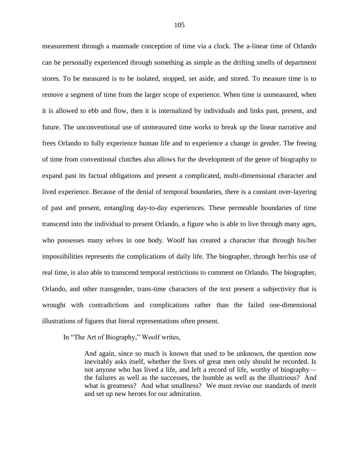measurement through a manmade conception of time via a clock. The a-linear time of Orlando can be personally experienced through something as simple as the drifting smells of department stores. To be measured is to be isolated, stopped, set aside, and stored. To measure time is to remove a segment of time from the larger scope of experience. When time is unmeasured, when it is allowed to ebb and flow, then it is internalized by individuals and links past, present, and future. The unconventional use of unmeasured time works to break up the linear narrative and frees Orlando to fully experience human life and to experience a change in gender. The freeing of time from conventional clutches also allows for the development of the genre of biography to expand past its factual obligations and present a complicated, multi-dimensional character and lived experience. Because of the denial of temporal boundaries, there is a constant over-layering of past and present, entangling day-to-day experiences. These permeable boundaries of time transcend into the individual to present Orlando, a figure who is able to live through many ages, who possesses many selves in one body. Woolf has created a character that through his/her impossibilities represents the complications of daily life. The biographer, through her/his use of real time, is also able to transcend temporal restrictions to comment on Orlando. The biographer, Orlando, and other transgender, trans-time characters of the text present a subjectivity that is wrought with contradictions and complications rather than the failed one-dimensional illustrations of figures that literal representations often present.

In "The Art of Biography," Woolf writes,

And again, since so much is known that used to be unknown, the question now inevitably asks itself, whether the lives of great men only should be recorded. Is not anyone who has lived a life, and left a record of life, worthy of biography the failures as well as the successes, the humble as well as the illustrious? And what is greatness? And what smallness? We must revise our standards of merit and set up new heroes for our admiration.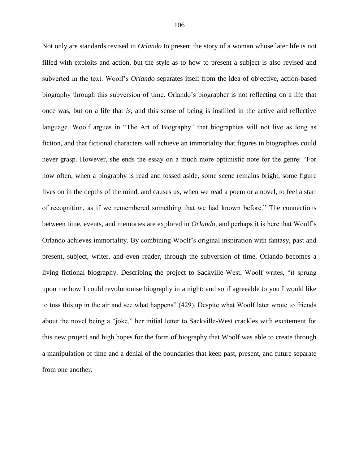Not only are standards revised in *Orlando* to present the story of a woman whose later life is not filled with exploits and action, but the style as to how to present a subject is also revised and subverted in the text. Woolf's *Orlando* separates itself from the idea of objective, action-based biography through this subversion of time. Orlando's biographer is not reflecting on a life that once was, but on a life that *is*, and this sense of being is instilled in the active and reflective language. Woolf argues in "The Art of Biography" that biographies will not live as long as fiction, and that fictional characters will achieve an immortality that figures in biographies could never grasp. However, she ends the essay on a much more optimistic note for the genre: "For how often, when a biography is read and tossed aside, some scene remains bright, some figure lives on in the depths of the mind, and causes us, when we read a poem or a novel, to feel a start of recognition, as if we remembered something that we had known before." The connections between time, events, and memories are explored in *Orlando,* and perhaps it is here that Woolf's Orlando achieves immortality. By combining Woolf's original inspiration with fantasy, past and present, subject, writer, and even reader, through the subversion of time, Orlando becomes a living fictional biography. Describing the project to Sackville-West, Woolf writes, "it sprung upon me how I could revolutionise biography in a night: and so if agreeable to you I would like to toss this up in the air and see what happens" (429). Despite what Woolf later wrote to friends about the novel being a "joke," her initial letter to Sackville-West crackles with excitement for this new project and high hopes for the form of biography that Woolf was able to create through a manipulation of time and a denial of the boundaries that keep past, present, and future separate from one another.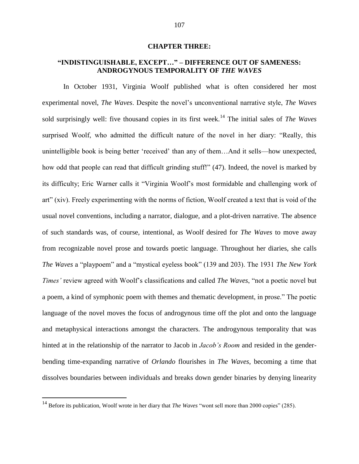## **CHAPTER THREE:**

## **"INDISTINGUISHABLE, EXCEPT…" – DIFFERENCE OUT OF SAMENESS: ANDROGYNOUS TEMPORALITY OF** *THE WAVES*

In October 1931, Virginia Woolf published what is often considered her most experimental novel, *The Waves*. Despite the novel's unconventional narrative style, *The Waves* sold surprisingly well: five thousand copies in its first week.<sup>14</sup> The initial sales of *The Waves* surprised Woolf, who admitted the difficult nature of the novel in her diary: "Really, this unintelligible book is being better 'received' than any of them…And it sells—how unexpected, how odd that people can read that difficult grinding stuff!" (47). Indeed, the novel is marked by its difficulty; Eric Warner calls it "Virginia Woolf's most formidable and challenging work of art" (xiv). Freely experimenting with the norms of fiction, Woolf created a text that is void of the usual novel conventions, including a narrator, dialogue, and a plot-driven narrative. The absence of such standards was, of course, intentional, as Woolf desired for *The Waves* to move away from recognizable novel prose and towards poetic language. Throughout her diaries, she calls *The Waves* a "playpoem" and a "mystical eyeless book" (139 and 203). The 1931 *The New York Times'* review agreed with Woolf's classifications and called *The Waves*, "not a poetic novel but a poem, a kind of symphonic poem with themes and thematic development, in prose." The poetic language of the novel moves the focus of androgynous time off the plot and onto the language and metaphysical interactions amongst the characters. The androgynous temporality that was hinted at in the relationship of the narrator to Jacob in *Jacob's Room* and resided in the genderbending time-expanding narrative of *Orlando* flourishes in *The Waves*, becoming a time that dissolves boundaries between individuals and breaks down gender binaries by denying linearity

<sup>&</sup>lt;sup>14</sup> Before its publication, Woolf wrote in her diary that *The Waves* "wont sell more than 2000 copies" (285).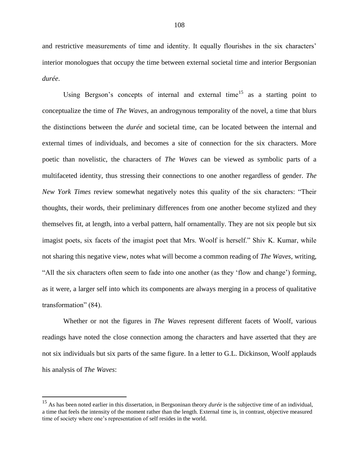and restrictive measurements of time and identity. It equally flourishes in the six characters' interior monologues that occupy the time between external societal time and interior Bergsonian *durée*.

Using Bergson's concepts of internal and external time<sup>15</sup> as a starting point to conceptualize the time of *The Waves*, an androgynous temporality of the novel, a time that blurs the distinctions between the *durée* and societal time, can be located between the internal and external times of individuals, and becomes a site of connection for the six characters. More poetic than novelistic, the characters of *The Waves* can be viewed as symbolic parts of a multifaceted identity, thus stressing their connections to one another regardless of gender. *The New York Times* review somewhat negatively notes this quality of the six characters: "Their thoughts, their words, their preliminary differences from one another become stylized and they themselves fit, at length, into a verbal pattern, half ornamentally. They are not six people but six imagist poets, six facets of the imagist poet that Mrs. Woolf is herself." Shiv K. Kumar, while not sharing this negative view, notes what will become a common reading of *The Waves*, writing, "All the six characters often seem to fade into one another (as they 'flow and change') forming, as it were, a larger self into which its components are always merging in a process of qualitative transformation" (84).

Whether or not the figures in *The Waves* represent different facets of Woolf, various readings have noted the close connection among the characters and have asserted that they are not six individuals but six parts of the same figure. In a letter to G.L. Dickinson, Woolf applauds his analysis of *The Waves*:

<sup>15</sup> As has been noted earlier in this dissertation, in Bergsoninan theory *durée* is the subjective time of an individual, a time that feels the intensity of the moment rather than the length. External time is, in contrast, objective measured time of society where one's representation of self resides in the world.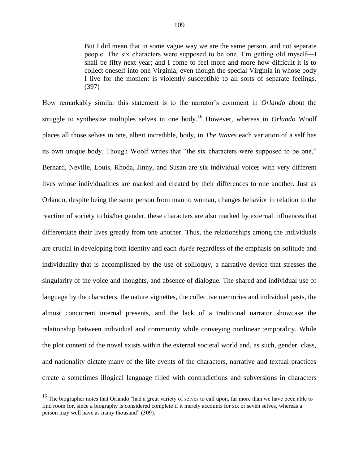But I did mean that in some vague way we are the same person, and not separate people. The six characters were supposed to be one. I'm getting old myself—I shall be fifty next year; and I come to feel more and more how difficult it is to collect oneself into one Virginia; even though the special Virginia in whose body I live for the moment is violently susceptible to all sorts of separate feelings. (397)

How remarkably similar this statement is to the narrator's comment in *Orlando* about the struggle to synthesize multiples selves in one body.<sup>16</sup> However, whereas in *Orlando* Woolf places all those selves in one, albeit incredible, body, in *The Waves* each variation of a self has its own unique body. Though Woolf writes that "the six characters were supposed to be one," Bernard, Neville, Louis, Rhoda, Jinny, and Susan are six individual voices with very different lives whose individualities are marked and created by their differences to one another. Just as Orlando, despite being the same person from man to woman, changes behavior in relation to the reaction of society to his/her gender, these characters are also marked by external influences that differentiate their lives greatly from one another. Thus, the relationships among the individuals are crucial in developing both identity and each *durée* regardless of the emphasis on solitude and individuality that is accomplished by the use of soliloquy, a narrative device that stresses the singularity of the voice and thoughts, and absence of dialogue. The shared and individual use of language by the characters, the nature vignettes, the collective memories and individual pasts, the almost concurrent internal presents, and the lack of a traditional narrator showcase the relationship between individual and community while conveying nonlinear temporality. While the plot content of the novel exists within the external societal world and, as such, gender, class, and nationality dictate many of the life events of the characters, narrative and textual practices create a sometimes illogical language filled with contradictions and subversions in characters

<sup>&</sup>lt;sup>16</sup> The biographer notes that Orlando "had a great variety of selves to call upon, far more than we have been able to find room for, since a biography is considered complete if it merely accounts for six or seven selves, whereas a person may well have as many thousand" (309).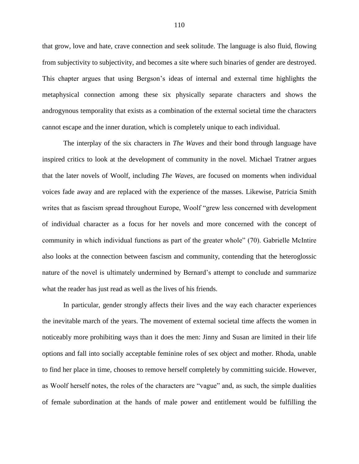that grow, love and hate, crave connection and seek solitude. The language is also fluid, flowing from subjectivity to subjectivity, and becomes a site where such binaries of gender are destroyed. This chapter argues that using Bergson's ideas of internal and external time highlights the metaphysical connection among these six physically separate characters and shows the androgynous temporality that exists as a combination of the external societal time the characters cannot escape and the inner duration, which is completely unique to each individual.

The interplay of the six characters in *The Waves* and their bond through language have inspired critics to look at the development of community in the novel. Michael Tratner argues that the later novels of Woolf, including *The Waves*, are focused on moments when individual voices fade away and are replaced with the experience of the masses. Likewise, Patricia Smith writes that as fascism spread throughout Europe, Woolf "grew less concerned with development of individual character as a focus for her novels and more concerned with the concept of community in which individual functions as part of the greater whole" (70). Gabrielle McIntire also looks at the connection between fascism and community, contending that the heteroglossic nature of the novel is ultimately undermined by Bernard's attempt to conclude and summarize what the reader has just read as well as the lives of his friends.

In particular, gender strongly affects their lives and the way each character experiences the inevitable march of the years. The movement of external societal time affects the women in noticeably more prohibiting ways than it does the men: Jinny and Susan are limited in their life options and fall into socially acceptable feminine roles of sex object and mother. Rhoda, unable to find her place in time, chooses to remove herself completely by committing suicide. However, as Woolf herself notes, the roles of the characters are "vague" and, as such, the simple dualities of female subordination at the hands of male power and entitlement would be fulfilling the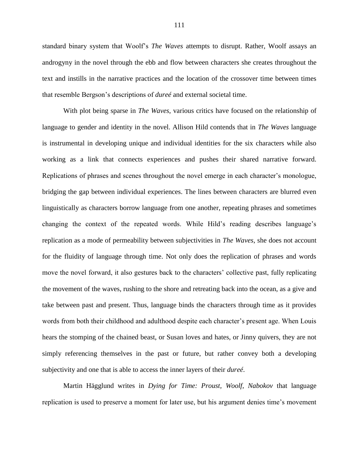standard binary system that Woolf's *The Waves* attempts to disrupt. Rather, Woolf assays an androgyny in the novel through the ebb and flow between characters she creates throughout the text and instills in the narrative practices and the location of the crossover time between times that resemble Bergson's descriptions of *dureé* and external societal time.

With plot being sparse in *The Waves*, various critics have focused on the relationship of language to gender and identity in the novel. Allison Hild contends that in *The Waves* language is instrumental in developing unique and individual identities for the six characters while also working as a link that connects experiences and pushes their shared narrative forward. Replications of phrases and scenes throughout the novel emerge in each character's monologue, bridging the gap between individual experiences. The lines between characters are blurred even linguistically as characters borrow language from one another, repeating phrases and sometimes changing the context of the repeated words. While Hild's reading describes language's replication as a mode of permeability between subjectivities in *The Waves*, she does not account for the fluidity of language through time. Not only does the replication of phrases and words move the novel forward, it also gestures back to the characters' collective past, fully replicating the movement of the waves, rushing to the shore and retreating back into the ocean, as a give and take between past and present. Thus, language binds the characters through time as it provides words from both their childhood and adulthood despite each character's present age. When Louis hears the stomping of the chained beast, or Susan loves and hates, or Jinny quivers, they are not simply referencing themselves in the past or future, but rather convey both a developing subjectivity and one that is able to access the inner layers of their *dureé*.

Martin Hägglund writes in *Dying for Time: Proust, Woolf, Nabokov* that language replication is used to preserve a moment for later use, but his argument denies time's movement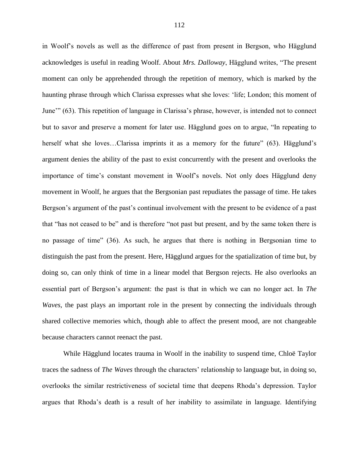in Woolf's novels as well as the difference of past from present in Bergson, who Hägglund acknowledges is useful in reading Woolf. About *Mrs. Dalloway*, Hägglund writes, "The present moment can only be apprehended through the repetition of memory, which is marked by the haunting phrase through which Clarissa expresses what she loves: 'life; London; this moment of June'" (63). This repetition of language in Clarissa's phrase, however, is intended not to connect but to savor and preserve a moment for later use. Hägglund goes on to argue, "In repeating to herself what she loves...Clarissa imprints it as a memory for the future" (63). Hägglund's argument denies the ability of the past to exist concurrently with the present and overlooks the importance of time's constant movement in Woolf's novels. Not only does Hägglund deny movement in Woolf, he argues that the Bergsonian past repudiates the passage of time. He takes Bergson's argument of the past's continual involvement with the present to be evidence of a past that "has not ceased to be" and is therefore "not past but present, and by the same token there is no passage of time" (36). As such, he argues that there is nothing in Bergsonian time to distinguish the past from the present. Here, Hägglund argues for the spatialization of time but, by doing so, can only think of time in a linear model that Bergson rejects. He also overlooks an essential part of Bergson's argument: the past is that in which we can no longer act. In *The Waves*, the past plays an important role in the present by connecting the individuals through shared collective memories which, though able to affect the present mood, are not changeable because characters cannot reenact the past.

While Hägglund locates trauma in Woolf in the inability to suspend time, Chloë Taylor traces the sadness of *The Waves* through the characters' relationship to language but, in doing so, overlooks the similar restrictiveness of societal time that deepens Rhoda's depression. Taylor argues that Rhoda's death is a result of her inability to assimilate in language. Identifying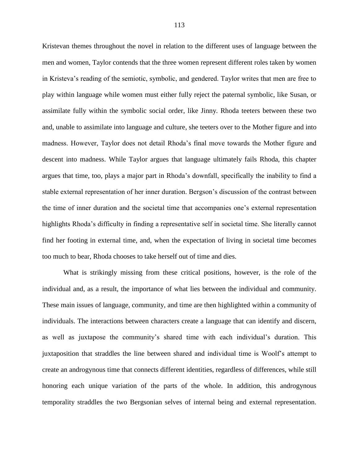Kristevan themes throughout the novel in relation to the different uses of language between the men and women, Taylor contends that the three women represent different roles taken by women in Kristeva's reading of the semiotic, symbolic, and gendered. Taylor writes that men are free to play within language while women must either fully reject the paternal symbolic, like Susan, or assimilate fully within the symbolic social order, like Jinny. Rhoda teeters between these two and, unable to assimilate into language and culture, she teeters over to the Mother figure and into madness. However, Taylor does not detail Rhoda's final move towards the Mother figure and descent into madness. While Taylor argues that language ultimately fails Rhoda, this chapter argues that time, too, plays a major part in Rhoda's downfall, specifically the inability to find a stable external representation of her inner duration. Bergson's discussion of the contrast between the time of inner duration and the societal time that accompanies one's external representation highlights Rhoda's difficulty in finding a representative self in societal time. She literally cannot find her footing in external time, and, when the expectation of living in societal time becomes too much to bear, Rhoda chooses to take herself out of time and dies.

What is strikingly missing from these critical positions, however, is the role of the individual and, as a result, the importance of what lies between the individual and community. These main issues of language, community, and time are then highlighted within a community of individuals. The interactions between characters create a language that can identify and discern, as well as juxtapose the community's shared time with each individual's duration. This juxtaposition that straddles the line between shared and individual time is Woolf's attempt to create an androgynous time that connects different identities, regardless of differences, while still honoring each unique variation of the parts of the whole. In addition, this androgynous temporality straddles the two Bergsonian selves of internal being and external representation.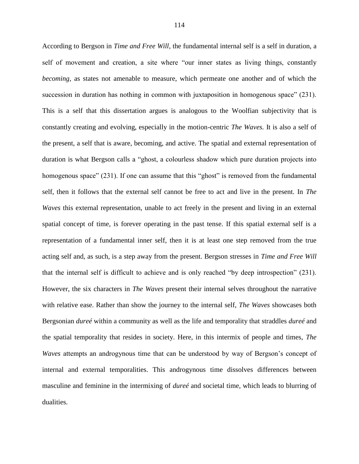According to Bergson in *Time and Free Will*, the fundamental internal self is a self in duration, a self of movement and creation, a site where "our inner states as living things, constantly *becoming*, as states not amenable to measure, which permeate one another and of which the succession in duration has nothing in common with juxtaposition in homogenous space" (231). This is a self that this dissertation argues is analogous to the Woolfian subjectivity that is constantly creating and evolving, especially in the motion-centric *The Waves.* It is also a self of the present, a self that is aware, becoming, and active. The spatial and external representation of duration is what Bergson calls a "ghost, a colourless shadow which pure duration projects into homogenous space" (231). If one can assume that this "ghost" is removed from the fundamental self, then it follows that the external self cannot be free to act and live in the present. In *The Waves* this external representation, unable to act freely in the present and living in an external spatial concept of time, is forever operating in the past tense. If this spatial external self is a representation of a fundamental inner self, then it is at least one step removed from the true acting self and, as such, is a step away from the present. Bergson stresses in *Time and Free Will* that the internal self is difficult to achieve and is only reached "by deep introspection" (231). However, the six characters in *The Waves* present their internal selves throughout the narrative with relative ease. Rather than show the journey to the internal self, *The Waves* showcases both Bergsonian *dureé* within a community as well as the life and temporality that straddles *dureé* and the spatial temporality that resides in society. Here, in this intermix of people and times, *The Waves* attempts an androgynous time that can be understood by way of Bergson's concept of internal and external temporalities. This androgynous time dissolves differences between masculine and feminine in the intermixing of *dureé* and societal time, which leads to blurring of dualities.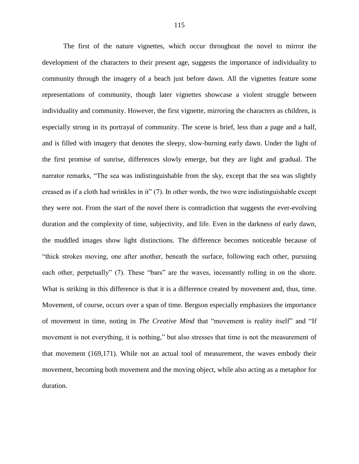The first of the nature vignettes, which occur throughout the novel to mirror the development of the characters to their present age, suggests the importance of individuality to community through the imagery of a beach just before dawn. All the vignettes feature some representations of community, though later vignettes showcase a violent struggle between individuality and community. However, the first vignette, mirroring the characters as children, is especially strong in its portrayal of community. The scene is brief, less than a page and a half, and is filled with imagery that denotes the sleepy, slow-burning early dawn. Under the light of the first promise of sunrise, differences slowly emerge, but they are light and gradual. The narrator remarks, "The sea was indistinguishable from the sky, except that the sea was slightly creased as if a cloth had wrinkles in it" (7). In other words, the two were indistinguishable except they were not. From the start of the novel there is contradiction that suggests the ever-evolving duration and the complexity of time, subjectivity, and life. Even in the darkness of early dawn, the muddled images show light distinctions. The difference becomes noticeable because of "thick strokes moving, one after another, beneath the surface, following each other, pursuing each other, perpetually" (7). These "bars" are the waves, incessantly rolling in on the shore. What is striking in this difference is that it is a difference created by movement and, thus, time. Movement, of course, occurs over a span of time. Bergson especially emphasizes the importance of movement in time, noting in *The Creative Mind* that "movement is reality itself" and "If movement is not everything, it is nothing," but also stresses that time is not the measurement of that movement (169,171). While not an actual tool of measurement, the waves embody their movement, becoming both movement and the moving object, while also acting as a metaphor for duration.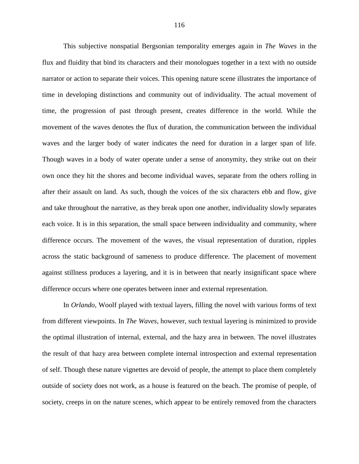This subjective nonspatial Bergsonian temporality emerges again in *The Waves* in the flux and fluidity that bind its characters and their monologues together in a text with no outside narrator or action to separate their voices. This opening nature scene illustrates the importance of time in developing distinctions and community out of individuality. The actual movement of time, the progression of past through present, creates difference in the world. While the movement of the waves denotes the flux of duration, the communication between the individual waves and the larger body of water indicates the need for duration in a larger span of life. Though waves in a body of water operate under a sense of anonymity, they strike out on their own once they hit the shores and become individual waves, separate from the others rolling in after their assault on land. As such, though the voices of the six characters ebb and flow, give and take throughout the narrative, as they break upon one another, individuality slowly separates each voice. It is in this separation, the small space between individuality and community, where difference occurs. The movement of the waves, the visual representation of duration, ripples across the static background of sameness to produce difference. The placement of movement against stillness produces a layering, and it is in between that nearly insignificant space where difference occurs where one operates between inner and external representation.

In *Orlando*, Woolf played with textual layers, filling the novel with various forms of text from different viewpoints. In *The Waves*, however, such textual layering is minimized to provide the optimal illustration of internal, external, and the hazy area in between. The novel illustrates the result of that hazy area between complete internal introspection and external representation of self. Though these nature vignettes are devoid of people, the attempt to place them completely outside of society does not work, as a house is featured on the beach. The promise of people, of society, creeps in on the nature scenes, which appear to be entirely removed from the characters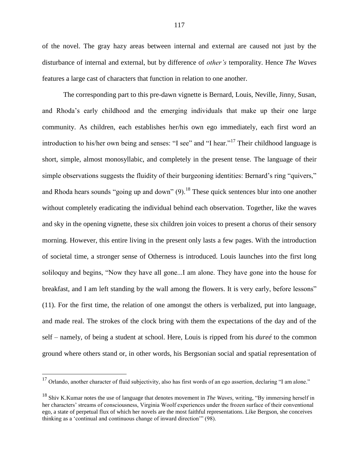of the novel. The gray hazy areas between internal and external are caused not just by the disturbance of internal and external, but by difference of *other's* temporality. Hence *The Waves* features a large cast of characters that function in relation to one another.

The corresponding part to this pre-dawn vignette is Bernard, Louis, Neville, Jinny, Susan, and Rhoda's early childhood and the emerging individuals that make up their one large community. As children, each establishes her/his own ego immediately, each first word an introduction to his/her own being and senses: "I see" and "I hear."<sup>17</sup> Their childhood language is short, simple, almost monosyllabic, and completely in the present tense. The language of their simple observations suggests the fluidity of their burgeoning identities: Bernard's ring "quivers," and Rhoda hears sounds "going up and down"  $(9)$ .<sup>18</sup> These quick sentences blur into one another without completely eradicating the individual behind each observation. Together, like the waves and sky in the opening vignette, these six children join voices to present a chorus of their sensory morning. However, this entire living in the present only lasts a few pages. With the introduction of societal time, a stronger sense of Otherness is introduced. Louis launches into the first long soliloquy and begins, "Now they have all gone...I am alone. They have gone into the house for breakfast, and I am left standing by the wall among the flowers. It is very early, before lessons" (11). For the first time, the relation of one amongst the others is verbalized, put into language, and made real. The strokes of the clock bring with them the expectations of the day and of the self – namely, of being a student at school. Here, Louis is ripped from his *dureé* to the common ground where others stand or, in other words, his Bergsonian social and spatial representation of

 $17$  Orlando, another character of fluid subjectivity, also has first words of an ego assertion, declaring "I am alone."

<sup>18</sup> Shiv K.Kumar notes the use of language that denotes movement in *The Waves,* writing, "By immersing herself in her characters' streams of consciousness, Virginia Woolf experiences under the frozen surface of their conventional ego, a state of perpetual flux of which her novels are the most faithful representations. Like Bergson, she conceives thinking as a 'continual and continuous change of inward direction'" (98).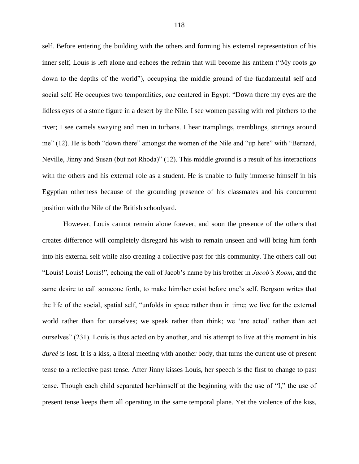self. Before entering the building with the others and forming his external representation of his inner self, Louis is left alone and echoes the refrain that will become his anthem ("My roots go down to the depths of the world"), occupying the middle ground of the fundamental self and social self. He occupies two temporalities, one centered in Egypt: "Down there my eyes are the lidless eyes of a stone figure in a desert by the Nile. I see women passing with red pitchers to the river; I see camels swaying and men in turbans. I hear tramplings, tremblings, stirrings around me" (12). He is both "down there" amongst the women of the Nile and "up here" with "Bernard, Neville, Jinny and Susan (but not Rhoda)" (12). This middle ground is a result of his interactions with the others and his external role as a student. He is unable to fully immerse himself in his Egyptian otherness because of the grounding presence of his classmates and his concurrent position with the Nile of the British schoolyard.

However, Louis cannot remain alone forever, and soon the presence of the others that creates difference will completely disregard his wish to remain unseen and will bring him forth into his external self while also creating a collective past for this community. The others call out "Louis! Louis! Louis!", echoing the call of Jacob's name by his brother in *Jacob's Room*, and the same desire to call someone forth, to make him/her exist before one's self. Bergson writes that the life of the social, spatial self, "unfolds in space rather than in time; we live for the external world rather than for ourselves; we speak rather than think; we 'are acted' rather than act ourselves" (231). Louis is thus acted on by another, and his attempt to live at this moment in his *dureé* is lost. It is a kiss, a literal meeting with another body, that turns the current use of present tense to a reflective past tense. After Jinny kisses Louis, her speech is the first to change to past tense. Though each child separated her/himself at the beginning with the use of "I," the use of present tense keeps them all operating in the same temporal plane. Yet the violence of the kiss,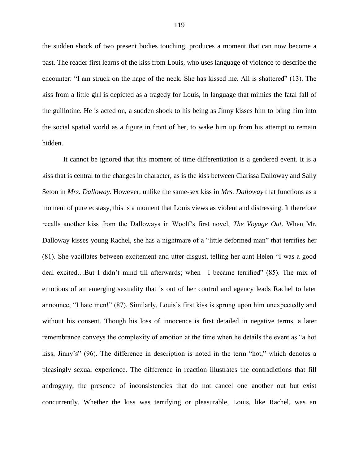the sudden shock of two present bodies touching, produces a moment that can now become a past. The reader first learns of the kiss from Louis, who uses language of violence to describe the encounter: "I am struck on the nape of the neck. She has kissed me. All is shattered" (13). The kiss from a little girl is depicted as a tragedy for Louis, in language that mimics the fatal fall of the guillotine. He is acted on, a sudden shock to his being as Jinny kisses him to bring him into the social spatial world as a figure in front of her, to wake him up from his attempt to remain hidden.

It cannot be ignored that this moment of time differentiation is a gendered event. It is a kiss that is central to the changes in character, as is the kiss between Clarissa Dalloway and Sally Seton in *Mrs. Dalloway*. However, unlike the same-sex kiss in *Mrs. Dalloway* that functions as a moment of pure ecstasy, this is a moment that Louis views as violent and distressing. It therefore recalls another kiss from the Dalloways in Woolf's first novel, *The Voyage Out*. When Mr. Dalloway kisses young Rachel, she has a nightmare of a "little deformed man" that terrifies her (81). She vacillates between excitement and utter disgust, telling her aunt Helen "I was a good deal excited…But I didn't mind till afterwards; when—I became terrified" (85). The mix of emotions of an emerging sexuality that is out of her control and agency leads Rachel to later announce, "I hate men!" (87). Similarly, Louis's first kiss is sprung upon him unexpectedly and without his consent. Though his loss of innocence is first detailed in negative terms, a later remembrance conveys the complexity of emotion at the time when he details the event as "a hot kiss, Jinny's" (96). The difference in description is noted in the term "hot," which denotes a pleasingly sexual experience. The difference in reaction illustrates the contradictions that fill androgyny, the presence of inconsistencies that do not cancel one another out but exist concurrently. Whether the kiss was terrifying or pleasurable, Louis, like Rachel, was an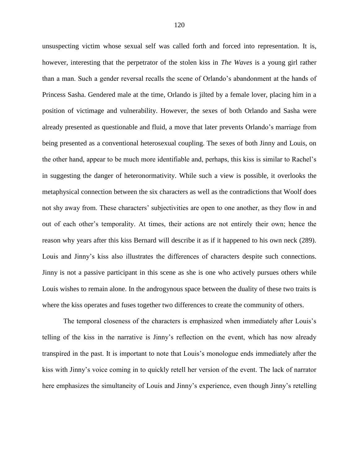unsuspecting victim whose sexual self was called forth and forced into representation. It is, however, interesting that the perpetrator of the stolen kiss in *The Waves* is a young girl rather than a man. Such a gender reversal recalls the scene of Orlando's abandonment at the hands of Princess Sasha. Gendered male at the time, Orlando is jilted by a female lover, placing him in a position of victimage and vulnerability. However, the sexes of both Orlando and Sasha were already presented as questionable and fluid, a move that later prevents Orlando's marriage from being presented as a conventional heterosexual coupling. The sexes of both Jinny and Louis, on the other hand, appear to be much more identifiable and, perhaps, this kiss is similar to Rachel's in suggesting the danger of heteronormativity. While such a view is possible, it overlooks the metaphysical connection between the six characters as well as the contradictions that Woolf does not shy away from. These characters' subjectivities are open to one another, as they flow in and out of each other's temporality. At times, their actions are not entirely their own; hence the reason why years after this kiss Bernard will describe it as if it happened to his own neck (289). Louis and Jinny's kiss also illustrates the differences of characters despite such connections. Jinny is not a passive participant in this scene as she is one who actively pursues others while Louis wishes to remain alone. In the androgynous space between the duality of these two traits is where the kiss operates and fuses together two differences to create the community of others.

The temporal closeness of the characters is emphasized when immediately after Louis's telling of the kiss in the narrative is Jinny's reflection on the event, which has now already transpired in the past. It is important to note that Louis's monologue ends immediately after the kiss with Jinny's voice coming in to quickly retell her version of the event. The lack of narrator here emphasizes the simultaneity of Louis and Jinny's experience, even though Jinny's retelling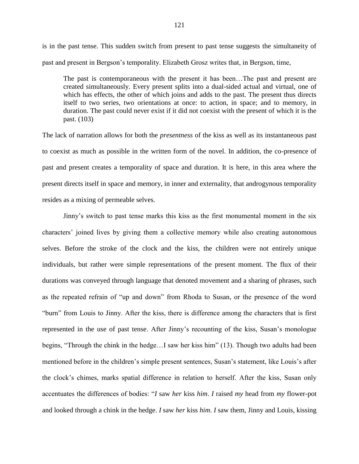is in the past tense. This sudden switch from present to past tense suggests the simultaneity of past and present in Bergson's temporality. Elizabeth Grosz writes that, in Bergson, time,

The past is contemporaneous with the present it has been…The past and present are created simultaneously. Every present splits into a dual-sided actual and virtual, one of which has effects, the other of which joins and adds to the past. The present thus directs itself to two series, two orientations at once: to action, in space; and to memory, in duration. The past could never exist if it did not coexist with the present of which it is the past. (103)

The lack of narration allows for both the *presentness* of the kiss as well as its instantaneous past to coexist as much as possible in the written form of the novel. In addition, the co-presence of past and present creates a temporality of space and duration. It is here, in this area where the present directs itself in space and memory, in inner and externality, that androgynous temporality resides as a mixing of permeable selves.

Jinny's switch to past tense marks this kiss as the first monumental moment in the six characters' joined lives by giving them a collective memory while also creating autonomous selves. Before the stroke of the clock and the kiss, the children were not entirely unique individuals, but rather were simple representations of the present moment. The flux of their durations was conveyed through language that denoted movement and a sharing of phrases, such as the repeated refrain of "up and down" from Rhoda to Susan, or the presence of the word "burn" from Louis to Jinny. After the kiss, there is difference among the characters that is first represented in the use of past tense. After Jinny's recounting of the kiss, Susan's monologue begins, "Through the chink in the hedge…I saw her kiss him" (13). Though two adults had been mentioned before in the children's simple present sentences, Susan's statement, like Louis's after the clock's chimes, marks spatial difference in relation to herself. After the kiss, Susan only accentuates the differences of bodies: "*I* saw *her* kiss *him*. *I* raised *my* head from *my* flower-pot and looked through a chink in the hedge. *I* saw *her* kiss *him*. *I* saw them, Jinny and Louis, kissing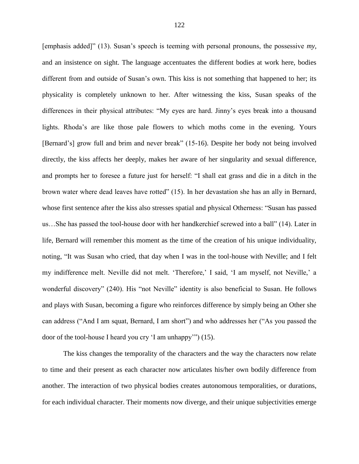[emphasis added]" (13). Susan's speech is teeming with personal pronouns, the possessive *my*, and an insistence on sight. The language accentuates the different bodies at work here, bodies different from and outside of Susan's own. This kiss is not something that happened to her; its physicality is completely unknown to her. After witnessing the kiss, Susan speaks of the differences in their physical attributes: "My eyes are hard. Jinny's eyes break into a thousand lights. Rhoda's are like those pale flowers to which moths come in the evening. Yours [Bernard's] grow full and brim and never break" (15-16). Despite her body not being involved directly, the kiss affects her deeply, makes her aware of her singularity and sexual difference, and prompts her to foresee a future just for herself: "I shall eat grass and die in a ditch in the brown water where dead leaves have rotted" (15). In her devastation she has an ally in Bernard, whose first sentence after the kiss also stresses spatial and physical Otherness: "Susan has passed us…She has passed the tool-house door with her handkerchief screwed into a ball" (14). Later in life, Bernard will remember this moment as the time of the creation of his unique individuality, noting, "It was Susan who cried, that day when I was in the tool-house with Neville; and I felt my indifference melt. Neville did not melt. 'Therefore,' I said, 'I am myself, not Neville,' a wonderful discovery" (240). His "not Neville" identity is also beneficial to Susan. He follows and plays with Susan, becoming a figure who reinforces difference by simply being an Other she can address ("And I am squat, Bernard, I am short") and who addresses her ("As you passed the door of the tool-house I heard you cry 'I am unhappy'") (15).

The kiss changes the temporality of the characters and the way the characters now relate to time and their present as each character now articulates his/her own bodily difference from another. The interaction of two physical bodies creates autonomous temporalities, or durations, for each individual character. Their moments now diverge, and their unique subjectivities emerge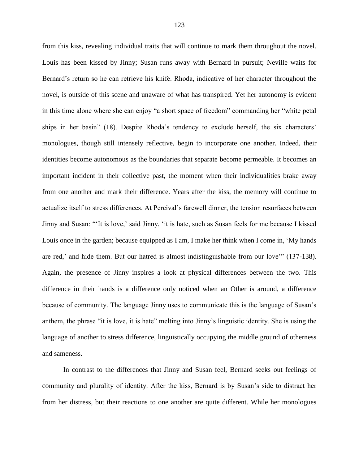from this kiss, revealing individual traits that will continue to mark them throughout the novel. Louis has been kissed by Jinny; Susan runs away with Bernard in pursuit; Neville waits for Bernard's return so he can retrieve his knife. Rhoda, indicative of her character throughout the novel, is outside of this scene and unaware of what has transpired. Yet her autonomy is evident in this time alone where she can enjoy "a short space of freedom" commanding her "white petal ships in her basin" (18). Despite Rhoda's tendency to exclude herself, the six characters' monologues, though still intensely reflective, begin to incorporate one another. Indeed, their identities become autonomous as the boundaries that separate become permeable. It becomes an important incident in their collective past, the moment when their individualities brake away from one another and mark their difference. Years after the kiss, the memory will continue to actualize itself to stress differences. At Percival's farewell dinner, the tension resurfaces between Jinny and Susan: "'It is love,' said Jinny, 'it is hate, such as Susan feels for me because I kissed Louis once in the garden; because equipped as I am, I make her think when I come in, 'My hands are red,' and hide them. But our hatred is almost indistinguishable from our love'" (137-138). Again, the presence of Jinny inspires a look at physical differences between the two. This difference in their hands is a difference only noticed when an Other is around, a difference because of community. The language Jinny uses to communicate this is the language of Susan's anthem, the phrase "it is love, it is hate" melting into Jinny's linguistic identity. She is using the language of another to stress difference, linguistically occupying the middle ground of otherness and sameness.

In contrast to the differences that Jinny and Susan feel, Bernard seeks out feelings of community and plurality of identity. After the kiss, Bernard is by Susan's side to distract her from her distress, but their reactions to one another are quite different. While her monologues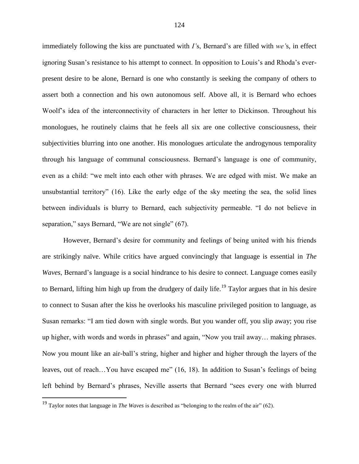immediately following the kiss are punctuated with *I'*s, Bernard's are filled with *we'*s, in effect ignoring Susan's resistance to his attempt to connect. In opposition to Louis's and Rhoda's everpresent desire to be alone, Bernard is one who constantly is seeking the company of others to assert both a connection and his own autonomous self. Above all, it is Bernard who echoes Woolf's idea of the interconnectivity of characters in her letter to Dickinson. Throughout his monologues, he routinely claims that he feels all six are one collective consciousness, their subjectivities blurring into one another. His monologues articulate the androgynous temporality through his language of communal consciousness. Bernard's language is one of community, even as a child: "we melt into each other with phrases. We are edged with mist. We make an unsubstantial territory" (16). Like the early edge of the sky meeting the sea, the solid lines between individuals is blurry to Bernard, each subjectivity permeable. "I do not believe in separation," says Bernard, "We are not single" (67).

However, Bernard's desire for community and feelings of being united with his friends are strikingly naïve. While critics have argued convincingly that language is essential in *The Waves*, Bernard's language is a social hindrance to his desire to connect. Language comes easily to Bernard, lifting him high up from the drudgery of daily life.<sup>19</sup> Taylor argues that in his desire to connect to Susan after the kiss he overlooks his masculine privileged position to language, as Susan remarks: "I am tied down with single words. But you wander off, you slip away; you rise up higher, with words and words in phrases" and again, "Now you trail away… making phrases. Now you mount like an air-ball's string, higher and higher and higher through the layers of the leaves, out of reach…You have escaped me" (16, 18). In addition to Susan's feelings of being left behind by Bernard's phrases, Neville asserts that Bernard "sees every one with blurred

<sup>19</sup> Taylor notes that language in *The Waves* is described as "belonging to the realm of the air" (62).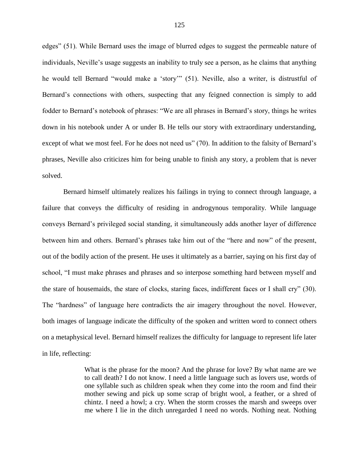edges" (51). While Bernard uses the image of blurred edges to suggest the permeable nature of individuals, Neville's usage suggests an inability to truly see a person, as he claims that anything he would tell Bernard "would make a 'story'" (51). Neville, also a writer, is distrustful of Bernard's connections with others, suspecting that any feigned connection is simply to add fodder to Bernard's notebook of phrases: "We are all phrases in Bernard's story, things he writes down in his notebook under A or under B. He tells our story with extraordinary understanding, except of what we most feel. For he does not need us" (70). In addition to the falsity of Bernard's phrases, Neville also criticizes him for being unable to finish any story, a problem that is never solved.

Bernard himself ultimately realizes his failings in trying to connect through language, a failure that conveys the difficulty of residing in androgynous temporality. While language conveys Bernard's privileged social standing, it simultaneously adds another layer of difference between him and others. Bernard's phrases take him out of the "here and now" of the present, out of the bodily action of the present. He uses it ultimately as a barrier, saying on his first day of school, "I must make phrases and phrases and so interpose something hard between myself and the stare of housemaids, the stare of clocks, staring faces, indifferent faces or I shall cry" (30). The "hardness" of language here contradicts the air imagery throughout the novel. However, both images of language indicate the difficulty of the spoken and written word to connect others on a metaphysical level. Bernard himself realizes the difficulty for language to represent life later in life, reflecting:

> What is the phrase for the moon? And the phrase for love? By what name are we to call death? I do not know. I need a little language such as lovers use, words of one syllable such as children speak when they come into the room and find their mother sewing and pick up some scrap of bright wool, a feather, or a shred of chintz. I need a howl; a cry. When the storm crosses the marsh and sweeps over me where I lie in the ditch unregarded I need no words. Nothing neat. Nothing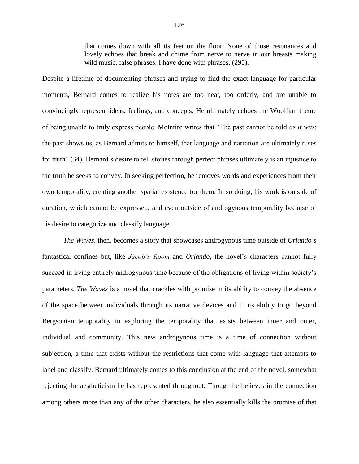that comes down with all its feet on the floor. None of those resonances and lovely echoes that break and chime from nerve to nerve in our breasts making wild music, false phrases. I have done with phrases. (295).

Despite a lifetime of documenting phrases and trying to find the exact language for particular moments, Bernard comes to realize his notes are too neat, too orderly, and are unable to convincingly represent ideas, feelings, and concepts. He ultimately echoes the Woolfian theme of being unable to truly express people. McIntire writes that "The past cannot be told *as it was*; the past shows us, as Bernard admits to himself, that language and narration are ultimately ruses for truth" (34). Bernard's desire to tell stories through perfect phrases ultimately is an injustice to the truth he seeks to convey. In seeking perfection, he removes words and experiences from their own temporality, creating another spatial existence for them. In so doing, his work is outside of duration, which cannot be expressed, and even outside of androgynous temporality because of his desire to categorize and classify language.

*The Waves*, then, becomes a story that showcases androgynous time outside of *Orlando*'s fantastical confines but, like *Jacob's Room* and *Orlando*, the novel's characters cannot fully succeed in living entirely androgynous time because of the obligations of living within society's parameters. *The Waves* is a novel that crackles with promise in its ability to convey the absence of the space between individuals through its narrative devices and in its ability to go beyond Bergsonian temporality in exploring the temporality that exists between inner and outer, individual and community. This new androgynous time is a time of connection without subjection, a time that exists without the restrictions that come with language that attempts to label and classify. Bernard ultimately comes to this conclusion at the end of the novel, somewhat rejecting the aestheticism he has represented throughout. Though he believes in the connection among others more than any of the other characters, he also essentially kills the promise of that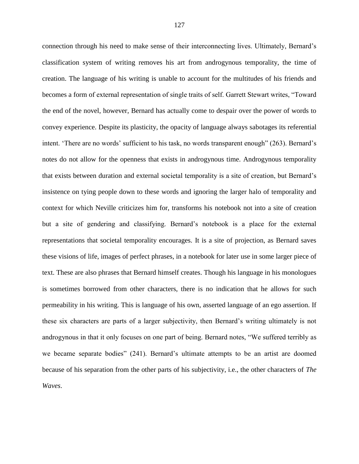connection through his need to make sense of their interconnecting lives. Ultimately, Bernard's classification system of writing removes his art from androgynous temporality, the time of creation. The language of his writing is unable to account for the multitudes of his friends and becomes a form of external representation of single traits of self. Garrett Stewart writes, "Toward the end of the novel, however, Bernard has actually come to despair over the power of words to convey experience. Despite its plasticity, the opacity of language always sabotages its referential intent. 'There are no words' sufficient to his task, no words transparent enough" (263). Bernard's notes do not allow for the openness that exists in androgynous time. Androgynous temporality that exists between duration and external societal temporality is a site of creation, but Bernard's insistence on tying people down to these words and ignoring the larger halo of temporality and context for which Neville criticizes him for, transforms his notebook not into a site of creation but a site of gendering and classifying. Bernard's notebook is a place for the external representations that societal temporality encourages. It is a site of projection, as Bernard saves these visions of life, images of perfect phrases, in a notebook for later use in some larger piece of text. These are also phrases that Bernard himself creates. Though his language in his monologues is sometimes borrowed from other characters, there is no indication that he allows for such permeability in his writing. This is language of his own, asserted language of an ego assertion. If these six characters are parts of a larger subjectivity, then Bernard's writing ultimately is not androgynous in that it only focuses on one part of being. Bernard notes, "We suffered terribly as we became separate bodies" (241). Bernard's ultimate attempts to be an artist are doomed because of his separation from the other parts of his subjectivity, i.e., the other characters of *The Waves*.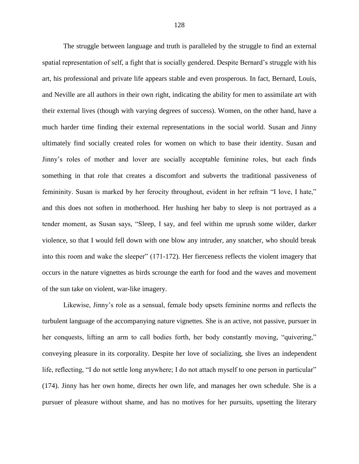The struggle between language and truth is paralleled by the struggle to find an external spatial representation of self, a fight that is socially gendered. Despite Bernard's struggle with his art, his professional and private life appears stable and even prosperous. In fact, Bernard, Louis, and Neville are all authors in their own right, indicating the ability for men to assimilate art with their external lives (though with varying degrees of success). Women, on the other hand, have a much harder time finding their external representations in the social world. Susan and Jinny ultimately find socially created roles for women on which to base their identity. Susan and Jinny's roles of mother and lover are socially acceptable feminine roles, but each finds something in that role that creates a discomfort and subverts the traditional passiveness of femininity. Susan is marked by her ferocity throughout, evident in her refrain "I love, I hate," and this does not soften in motherhood. Her hushing her baby to sleep is not portrayed as a tender moment, as Susan says, "Sleep, I say, and feel within me uprush some wilder, darker violence, so that I would fell down with one blow any intruder, any snatcher, who should break into this room and wake the sleeper" (171-172). Her fierceness reflects the violent imagery that occurs in the nature vignettes as birds scrounge the earth for food and the waves and movement of the sun take on violent, war-like imagery.

Likewise, Jinny's role as a sensual, female body upsets feminine norms and reflects the turbulent language of the accompanying nature vignettes. She is an active, not passive, pursuer in her conquests, lifting an arm to call bodies forth, her body constantly moving, "quivering," conveying pleasure in its corporality. Despite her love of socializing, she lives an independent life, reflecting, "I do not settle long anywhere; I do not attach myself to one person in particular" (174). Jinny has her own home, directs her own life, and manages her own schedule. She is a pursuer of pleasure without shame, and has no motives for her pursuits, upsetting the literary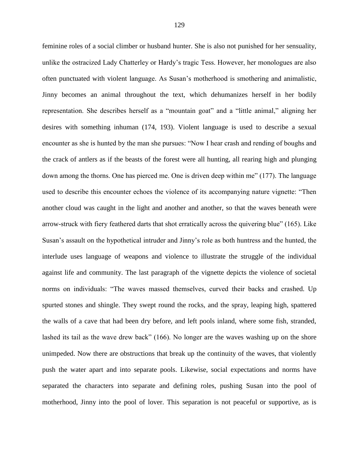feminine roles of a social climber or husband hunter. She is also not punished for her sensuality, unlike the ostracized Lady Chatterley or Hardy's tragic Tess. However, her monologues are also often punctuated with violent language. As Susan's motherhood is smothering and animalistic, Jinny becomes an animal throughout the text, which dehumanizes herself in her bodily representation. She describes herself as a "mountain goat" and a "little animal," aligning her desires with something inhuman (174, 193). Violent language is used to describe a sexual encounter as she is hunted by the man she pursues: "Now I hear crash and rending of boughs and the crack of antlers as if the beasts of the forest were all hunting, all rearing high and plunging down among the thorns. One has pierced me. One is driven deep within me" (177). The language used to describe this encounter echoes the violence of its accompanying nature vignette: "Then another cloud was caught in the light and another and another, so that the waves beneath were arrow-struck with fiery feathered darts that shot erratically across the quivering blue" (165). Like Susan's assault on the hypothetical intruder and Jinny's role as both huntress and the hunted, the interlude uses language of weapons and violence to illustrate the struggle of the individual against life and community. The last paragraph of the vignette depicts the violence of societal norms on individuals: "The waves massed themselves, curved their backs and crashed. Up spurted stones and shingle. They swept round the rocks, and the spray, leaping high, spattered the walls of a cave that had been dry before, and left pools inland, where some fish, stranded, lashed its tail as the wave drew back" (166). No longer are the waves washing up on the shore unimpeded. Now there are obstructions that break up the continuity of the waves, that violently push the water apart and into separate pools. Likewise, social expectations and norms have separated the characters into separate and defining roles, pushing Susan into the pool of motherhood, Jinny into the pool of lover. This separation is not peaceful or supportive, as is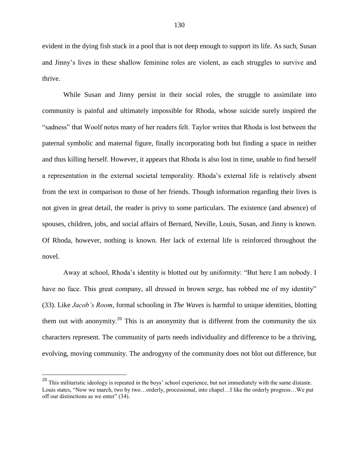evident in the dying fish stuck in a pool that is not deep enough to support its life. As such, Susan and Jinny's lives in these shallow feminine roles are violent, as each struggles to survive and thrive.

While Susan and Jinny persist in their social roles, the struggle to assimilate into community is painful and ultimately impossible for Rhoda, whose suicide surely inspired the "sadness" that Woolf notes many of her readers felt. Taylor writes that Rhoda is lost between the paternal symbolic and maternal figure, finally incorporating both but finding a space in neither and thus killing herself. However, it appears that Rhoda is also lost in time, unable to find herself a representation in the external societal temporality. Rhoda's external life is relatively absent from the text in comparison to those of her friends. Though information regarding their lives is not given in great detail, the reader is privy to some particulars. The existence (and absence) of spouses, children, jobs, and social affairs of Bernard, Neville, Louis, Susan, and Jinny is known. Of Rhoda, however, nothing is known. Her lack of external life is reinforced throughout the novel.

Away at school, Rhoda's identity is blotted out by uniformity: "But here I am nobody. I have no face. This great company, all dressed in brown serge, has robbed me of my identity" (33). Like *Jacob's Room*, formal schooling in *The Waves* is harmful to unique identities, blotting them out with anonymity.<sup>20</sup> This is an anonymity that is different from the community the six characters represent. The community of parts needs individuality and difference to be a thriving, evolving, moving community. The androgyny of the community does not blot out difference, but

 $^{20}$  This militaristic ideology is repeated in the boys' school experience, but not immediately with the same distaste. Louis states, "Now we march, two by two…orderly, processional, into chapel…I like the orderly progress…We put off our distinctions as we enter" (34).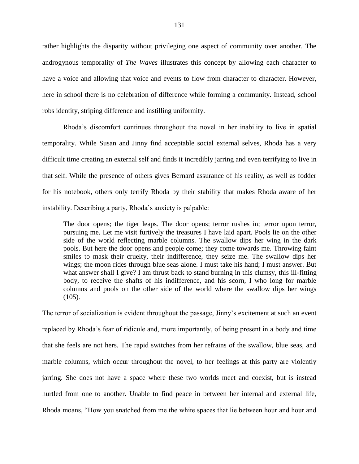rather highlights the disparity without privileging one aspect of community over another. The androgynous temporality of *The Waves* illustrates this concept by allowing each character to have a voice and allowing that voice and events to flow from character to character. However, here in school there is no celebration of difference while forming a community. Instead, school robs identity, striping difference and instilling uniformity.

Rhoda's discomfort continues throughout the novel in her inability to live in spatial temporality. While Susan and Jinny find acceptable social external selves, Rhoda has a very difficult time creating an external self and finds it incredibly jarring and even terrifying to live in that self. While the presence of others gives Bernard assurance of his reality, as well as fodder for his notebook, others only terrify Rhoda by their stability that makes Rhoda aware of her instability. Describing a party, Rhoda's anxiety is palpable:

The door opens; the tiger leaps. The door opens; terror rushes in; terror upon terror, pursuing me. Let me visit furtively the treasures I have laid apart. Pools lie on the other side of the world reflecting marble columns. The swallow dips her wing in the dark pools. But here the door opens and people come; they come towards me. Throwing faint smiles to mask their cruelty, their indifference, they seize me. The swallow dips her wings; the moon rides through blue seas alone. I must take his hand; I must answer. But what answer shall I give? I am thrust back to stand burning in this clumsy, this ill-fitting body, to receive the shafts of his indifference, and his scorn, I who long for marble columns and pools on the other side of the world where the swallow dips her wings  $(105)$ .

The terror of socialization is evident throughout the passage, Jinny's excitement at such an event replaced by Rhoda's fear of ridicule and, more importantly, of being present in a body and time that she feels are not hers. The rapid switches from her refrains of the swallow, blue seas, and marble columns, which occur throughout the novel, to her feelings at this party are violently jarring. She does not have a space where these two worlds meet and coexist, but is instead hurtled from one to another. Unable to find peace in between her internal and external life, Rhoda moans, "How you snatched from me the white spaces that lie between hour and hour and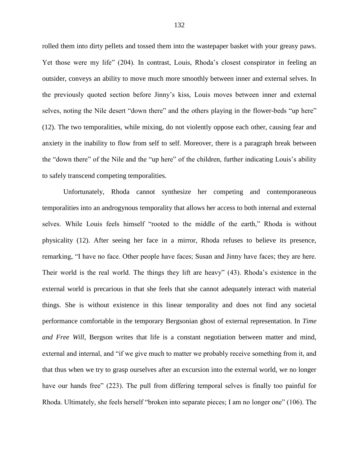rolled them into dirty pellets and tossed them into the wastepaper basket with your greasy paws. Yet those were my life" (204). In contrast, Louis, Rhoda's closest conspirator in feeling an outsider, conveys an ability to move much more smoothly between inner and external selves. In the previously quoted section before Jinny's kiss, Louis moves between inner and external selves, noting the Nile desert "down there" and the others playing in the flower-beds "up here" (12). The two temporalities, while mixing, do not violently oppose each other, causing fear and anxiety in the inability to flow from self to self. Moreover, there is a paragraph break between the "down there" of the Nile and the "up here" of the children, further indicating Louis's ability to safely transcend competing temporalities.

Unfortunately, Rhoda cannot synthesize her competing and contemporaneous temporalities into an androgynous temporality that allows her access to both internal and external selves. While Louis feels himself "rooted to the middle of the earth," Rhoda is without physicality (12). After seeing her face in a mirror, Rhoda refuses to believe its presence, remarking, "I have no face. Other people have faces; Susan and Jinny have faces; they are here. Their world is the real world. The things they lift are heavy" (43). Rhoda's existence in the external world is precarious in that she feels that she cannot adequately interact with material things. She is without existence in this linear temporality and does not find any societal performance comfortable in the temporary Bergsonian ghost of external representation. In *Time and Free Will*, Bergson writes that life is a constant negotiation between matter and mind, external and internal, and "if we give much to matter we probably receive something from it, and that thus when we try to grasp ourselves after an excursion into the external world, we no longer have our hands free" (223). The pull from differing temporal selves is finally too painful for Rhoda. Ultimately, she feels herself "broken into separate pieces; I am no longer one" (106). The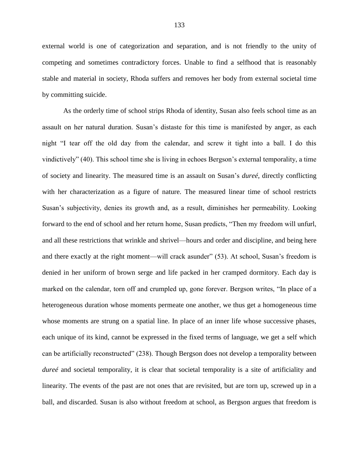external world is one of categorization and separation, and is not friendly to the unity of competing and sometimes contradictory forces. Unable to find a selfhood that is reasonably stable and material in society, Rhoda suffers and removes her body from external societal time by committing suicide.

As the orderly time of school strips Rhoda of identity, Susan also feels school time as an assault on her natural duration. Susan's distaste for this time is manifested by anger, as each night "I tear off the old day from the calendar, and screw it tight into a ball. I do this vindictively" (40). This school time she is living in echoes Bergson's external temporality, a time of society and linearity. The measured time is an assault on Susan's *dureé*, directly conflicting with her characterization as a figure of nature. The measured linear time of school restricts Susan's subjectivity, denies its growth and, as a result, diminishes her permeability. Looking forward to the end of school and her return home, Susan predicts, "Then my freedom will unfurl, and all these restrictions that wrinkle and shrivel—hours and order and discipline, and being here and there exactly at the right moment—will crack asunder" (53). At school, Susan's freedom is denied in her uniform of brown serge and life packed in her cramped dormitory. Each day is marked on the calendar, torn off and crumpled up, gone forever. Bergson writes, "In place of a heterogeneous duration whose moments permeate one another, we thus get a homogeneous time whose moments are strung on a spatial line. In place of an inner life whose successive phases, each unique of its kind, cannot be expressed in the fixed terms of language, we get a self which can be artificially reconstructed" (238). Though Bergson does not develop a temporality between *dureé* and societal temporality, it is clear that societal temporality is a site of artificiality and linearity. The events of the past are not ones that are revisited, but are torn up, screwed up in a ball, and discarded. Susan is also without freedom at school, as Bergson argues that freedom is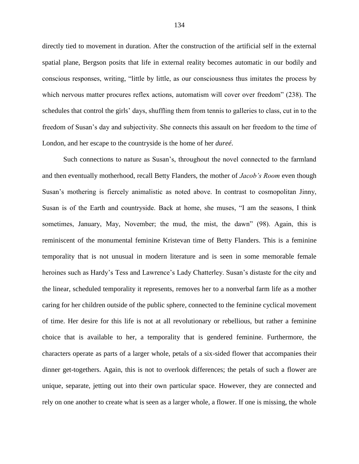directly tied to movement in duration. After the construction of the artificial self in the external spatial plane, Bergson posits that life in external reality becomes automatic in our bodily and conscious responses, writing, "little by little, as our consciousness thus imitates the process by which nervous matter procures reflex actions, automatism will cover over freedom" (238). The schedules that control the girls' days, shuffling them from tennis to galleries to class, cut in to the freedom of Susan's day and subjectivity. She connects this assault on her freedom to the time of London, and her escape to the countryside is the home of her *dureé*.

Such connections to nature as Susan's, throughout the novel connected to the farmland and then eventually motherhood, recall Betty Flanders, the mother of *Jacob's Room* even though Susan's mothering is fiercely animalistic as noted above. In contrast to cosmopolitan Jinny, Susan is of the Earth and countryside. Back at home, she muses, "I am the seasons, I think sometimes, January, May, November; the mud, the mist, the dawn" (98). Again, this is reminiscent of the monumental feminine Kristevan time of Betty Flanders. This is a feminine temporality that is not unusual in modern literature and is seen in some memorable female heroines such as Hardy's Tess and Lawrence's Lady Chatterley. Susan's distaste for the city and the linear, scheduled temporality it represents, removes her to a nonverbal farm life as a mother caring for her children outside of the public sphere, connected to the feminine cyclical movement of time. Her desire for this life is not at all revolutionary or rebellious, but rather a feminine choice that is available to her, a temporality that is gendered feminine. Furthermore, the characters operate as parts of a larger whole, petals of a six-sided flower that accompanies their dinner get-togethers. Again, this is not to overlook differences; the petals of such a flower are unique, separate, jetting out into their own particular space. However, they are connected and rely on one another to create what is seen as a larger whole, a flower. If one is missing, the whole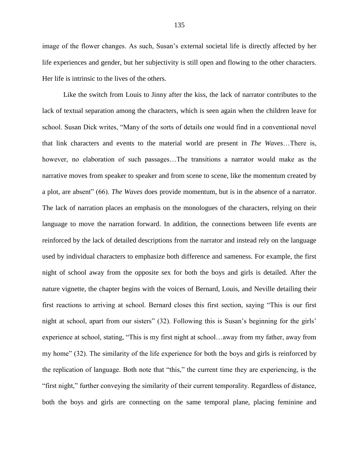image of the flower changes. As such, Susan's external societal life is directly affected by her life experiences and gender, but her subjectivity is still open and flowing to the other characters. Her life is intrinsic to the lives of the others.

Like the switch from Louis to Jinny after the kiss, the lack of narrator contributes to the lack of textual separation among the characters, which is seen again when the children leave for school. Susan Dick writes, "Many of the sorts of details one would find in a conventional novel that link characters and events to the material world are present in *The Waves*…There is, however, no elaboration of such passages...The transitions a narrator would make as the narrative moves from speaker to speaker and from scene to scene, like the momentum created by a plot, are absent" (66). *The Waves* does provide momentum, but is in the absence of a narrator. The lack of narration places an emphasis on the monologues of the characters, relying on their language to move the narration forward. In addition, the connections between life events are reinforced by the lack of detailed descriptions from the narrator and instead rely on the language used by individual characters to emphasize both difference and sameness. For example, the first night of school away from the opposite sex for both the boys and girls is detailed. After the nature vignette, the chapter begins with the voices of Bernard, Louis, and Neville detailing their first reactions to arriving at school. Bernard closes this first section, saying "This is our first night at school, apart from our sisters" (32). Following this is Susan's beginning for the girls' experience at school, stating, "This is my first night at school…away from my father, away from my home" (32). The similarity of the life experience for both the boys and girls is reinforced by the replication of language. Both note that "this," the current time they are experiencing, is the "first night," further conveying the similarity of their current temporality. Regardless of distance, both the boys and girls are connecting on the same temporal plane, placing feminine and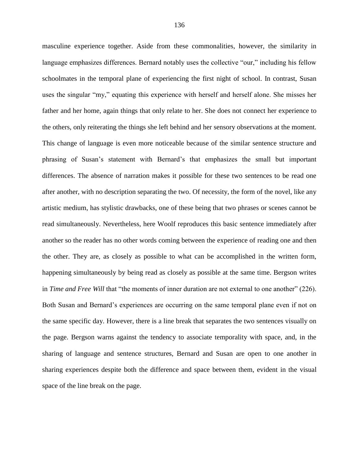masculine experience together. Aside from these commonalities, however, the similarity in language emphasizes differences. Bernard notably uses the collective "our," including his fellow schoolmates in the temporal plane of experiencing the first night of school. In contrast, Susan uses the singular "my," equating this experience with herself and herself alone. She misses her father and her home, again things that only relate to her. She does not connect her experience to the others, only reiterating the things she left behind and her sensory observations at the moment. This change of language is even more noticeable because of the similar sentence structure and phrasing of Susan's statement with Bernard's that emphasizes the small but important differences. The absence of narration makes it possible for these two sentences to be read one after another, with no description separating the two. Of necessity, the form of the novel, like any artistic medium, has stylistic drawbacks, one of these being that two phrases or scenes cannot be read simultaneously. Nevertheless, here Woolf reproduces this basic sentence immediately after another so the reader has no other words coming between the experience of reading one and then the other. They are, as closely as possible to what can be accomplished in the written form, happening simultaneously by being read as closely as possible at the same time. Bergson writes in *Time and Free Will* that "the moments of inner duration are not external to one another" (226). Both Susan and Bernard's experiences are occurring on the same temporal plane even if not on the same specific day. However, there is a line break that separates the two sentences visually on the page. Bergson warns against the tendency to associate temporality with space, and, in the sharing of language and sentence structures, Bernard and Susan are open to one another in sharing experiences despite both the difference and space between them, evident in the visual space of the line break on the page.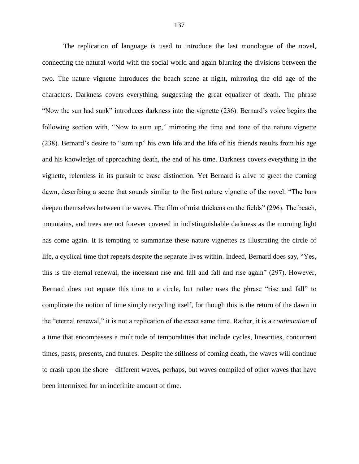The replication of language is used to introduce the last monologue of the novel, connecting the natural world with the social world and again blurring the divisions between the two. The nature vignette introduces the beach scene at night, mirroring the old age of the characters. Darkness covers everything, suggesting the great equalizer of death. The phrase "Now the sun had sunk" introduces darkness into the vignette (236). Bernard's voice begins the following section with, "Now to sum up," mirroring the time and tone of the nature vignette (238). Bernard's desire to "sum up" his own life and the life of his friends results from his age and his knowledge of approaching death, the end of his time. Darkness covers everything in the vignette, relentless in its pursuit to erase distinction. Yet Bernard is alive to greet the coming dawn, describing a scene that sounds similar to the first nature vignette of the novel: "The bars deepen themselves between the waves. The film of mist thickens on the fields" (296). The beach, mountains, and trees are not forever covered in indistinguishable darkness as the morning light has come again. It is tempting to summarize these nature vignettes as illustrating the circle of life, a cyclical time that repeats despite the separate lives within. Indeed, Bernard does say, "Yes, this is the eternal renewal, the incessant rise and fall and fall and rise again" (297). However, Bernard does not equate this time to a circle, but rather uses the phrase "rise and fall" to complicate the notion of time simply recycling itself, for though this is the return of the dawn in the "eternal renewal," it is not a replication of the exact same time. Rather, it is a *continuation* of a time that encompasses a multitude of temporalities that include cycles, linearities, concurrent times, pasts, presents, and futures. Despite the stillness of coming death, the waves will continue to crash upon the shore—different waves, perhaps, but waves compiled of other waves that have been intermixed for an indefinite amount of time.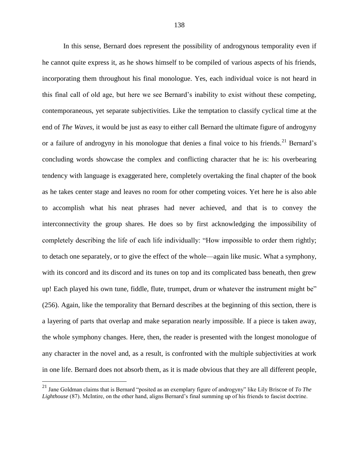In this sense, Bernard does represent the possibility of androgynous temporality even if he cannot quite express it, as he shows himself to be compiled of various aspects of his friends, incorporating them throughout his final monologue. Yes, each individual voice is not heard in this final call of old age, but here we see Bernard's inability to exist without these competing, contemporaneous, yet separate subjectivities. Like the temptation to classify cyclical time at the end of *The Waves*, it would be just as easy to either call Bernard the ultimate figure of androgyny or a failure of androgyny in his monologue that denies a final voice to his friends.<sup>21</sup> Bernard's concluding words showcase the complex and conflicting character that he is: his overbearing tendency with language is exaggerated here, completely overtaking the final chapter of the book as he takes center stage and leaves no room for other competing voices. Yet here he is also able to accomplish what his neat phrases had never achieved, and that is to convey the interconnectivity the group shares. He does so by first acknowledging the impossibility of completely describing the life of each life individually: "How impossible to order them rightly; to detach one separately, or to give the effect of the whole—again like music. What a symphony, with its concord and its discord and its tunes on top and its complicated bass beneath, then grew up! Each played his own tune, fiddle, flute, trumpet, drum or whatever the instrument might be" (256). Again, like the temporality that Bernard describes at the beginning of this section, there is a layering of parts that overlap and make separation nearly impossible. If a piece is taken away, the whole symphony changes. Here, then, the reader is presented with the longest monologue of any character in the novel and, as a result, is confronted with the multiple subjectivities at work in one life. Bernard does not absorb them, as it is made obvious that they are all different people,

<sup>21</sup> Jane Goldman claims that is Bernard "posited as an exemplary figure of androgyny" like Lily Briscoe of *To The Lighthouse* (87). McIntire, on the other hand, aligns Bernard's final summing up of his friends to fascist doctrine.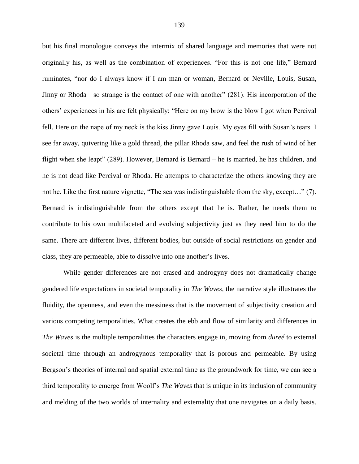but his final monologue conveys the intermix of shared language and memories that were not originally his, as well as the combination of experiences. "For this is not one life," Bernard ruminates, "nor do I always know if I am man or woman, Bernard or Neville, Louis, Susan, Jinny or Rhoda—so strange is the contact of one with another" (281). His incorporation of the others' experiences in his are felt physically: "Here on my brow is the blow I got when Percival fell. Here on the nape of my neck is the kiss Jinny gave Louis. My eyes fill with Susan's tears. I see far away, quivering like a gold thread, the pillar Rhoda saw, and feel the rush of wind of her flight when she leapt" (289). However, Bernard is Bernard – he is married, he has children, and he is not dead like Percival or Rhoda. He attempts to characterize the others knowing they are not he. Like the first nature vignette, "The sea was indistinguishable from the sky, except…" (7). Bernard is indistinguishable from the others except that he is. Rather, he needs them to contribute to his own multifaceted and evolving subjectivity just as they need him to do the same. There are different lives, different bodies, but outside of social restrictions on gender and class, they are permeable, able to dissolve into one another's lives.

While gender differences are not erased and androgyny does not dramatically change gendered life expectations in societal temporality in *The Waves*, the narrative style illustrates the fluidity, the openness, and even the messiness that is the movement of subjectivity creation and various competing temporalities. What creates the ebb and flow of similarity and differences in *The Waves* is the multiple temporalities the characters engage in, moving from *dureé* to external societal time through an androgynous temporality that is porous and permeable. By using Bergson's theories of internal and spatial external time as the groundwork for time, we can see a third temporality to emerge from Woolf's *The Waves* that is unique in its inclusion of community and melding of the two worlds of internality and externality that one navigates on a daily basis.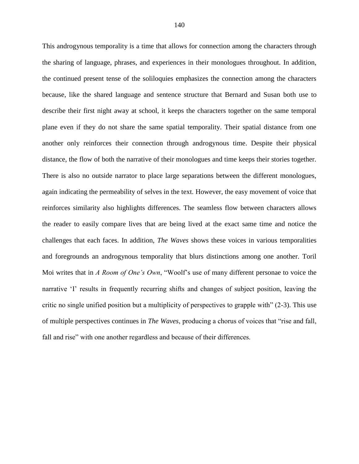This androgynous temporality is a time that allows for connection among the characters through the sharing of language, phrases, and experiences in their monologues throughout. In addition, the continued present tense of the soliloquies emphasizes the connection among the characters because, like the shared language and sentence structure that Bernard and Susan both use to describe their first night away at school, it keeps the characters together on the same temporal plane even if they do not share the same spatial temporality. Their spatial distance from one another only reinforces their connection through androgynous time. Despite their physical distance, the flow of both the narrative of their monologues and time keeps their stories together. There is also no outside narrator to place large separations between the different monologues, again indicating the permeability of selves in the text. However, the easy movement of voice that reinforces similarity also highlights differences. The seamless flow between characters allows the reader to easily compare lives that are being lived at the exact same time and notice the challenges that each faces. In addition, *The Waves* shows these voices in various temporalities and foregrounds an androgynous temporality that blurs distinctions among one another. Toril Moi writes that in *A Room of One's Own*, "Woolf's use of many different personae to voice the narrative 'I' results in frequently recurring shifts and changes of subject position, leaving the critic no single unified position but a multiplicity of perspectives to grapple with" (2-3). This use of multiple perspectives continues in *The Waves*, producing a chorus of voices that "rise and fall, fall and rise" with one another regardless and because of their differences.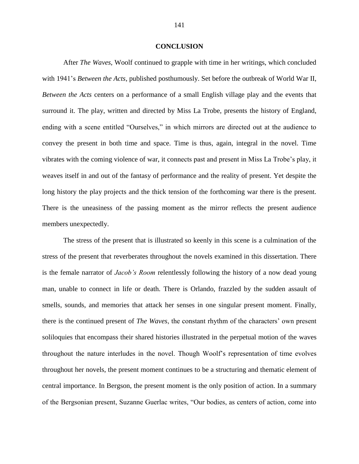### **CONCLUSION**

After *The Waves*, Woolf continued to grapple with time in her writings, which concluded with 1941's *Between the Acts*, published posthumously. Set before the outbreak of World War II, *Between the Acts* centers on a performance of a small English village play and the events that surround it. The play, written and directed by Miss La Trobe, presents the history of England, ending with a scene entitled "Ourselves," in which mirrors are directed out at the audience to convey the present in both time and space. Time is thus, again, integral in the novel. Time vibrates with the coming violence of war, it connects past and present in Miss La Trobe's play, it weaves itself in and out of the fantasy of performance and the reality of present. Yet despite the long history the play projects and the thick tension of the forthcoming war there is the present. There is the uneasiness of the passing moment as the mirror reflects the present audience members unexpectedly.

The stress of the present that is illustrated so keenly in this scene is a culmination of the stress of the present that reverberates throughout the novels examined in this dissertation. There is the female narrator of *Jacob's Room* relentlessly following the history of a now dead young man, unable to connect in life or death. There is Orlando, frazzled by the sudden assault of smells, sounds, and memories that attack her senses in one singular present moment. Finally, there is the continued present of *The Waves*, the constant rhythm of the characters' own present soliloquies that encompass their shared histories illustrated in the perpetual motion of the waves throughout the nature interludes in the novel. Though Woolf's representation of time evolves throughout her novels, the present moment continues to be a structuring and thematic element of central importance. In Bergson, the present moment is the only position of action. In a summary of the Bergsonian present, Suzanne Guerlac writes, "Our bodies, as centers of action, come into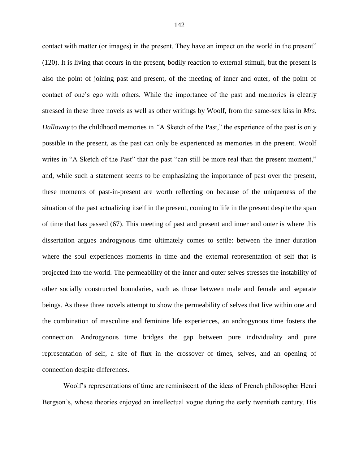contact with matter (or images) in the present. They have an impact on the world in the present" (120). It is living that occurs in the present, bodily reaction to external stimuli, but the present is also the point of joining past and present, of the meeting of inner and outer, of the point of contact of one's ego with others. While the importance of the past and memories is clearly stressed in these three novels as well as other writings by Woolf, from the same-sex kiss in *Mrs. Dalloway* to the childhood memories in *"*A Sketch of the Past," the experience of the past is only possible in the present, as the past can only be experienced as memories in the present. Woolf writes in "A Sketch of the Past" that the past "can still be more real than the present moment," and, while such a statement seems to be emphasizing the importance of past over the present, these moments of past-in-present are worth reflecting on because of the uniqueness of the situation of the past actualizing itself in the present, coming to life in the present despite the span of time that has passed (67). This meeting of past and present and inner and outer is where this dissertation argues androgynous time ultimately comes to settle: between the inner duration where the soul experiences moments in time and the external representation of self that is projected into the world. The permeability of the inner and outer selves stresses the instability of other socially constructed boundaries, such as those between male and female and separate beings. As these three novels attempt to show the permeability of selves that live within one and the combination of masculine and feminine life experiences, an androgynous time fosters the connection. Androgynous time bridges the gap between pure individuality and pure representation of self, a site of flux in the crossover of times, selves, and an opening of connection despite differences.

Woolf's representations of time are reminiscent of the ideas of French philosopher Henri Bergson's, whose theories enjoyed an intellectual vogue during the early twentieth century. His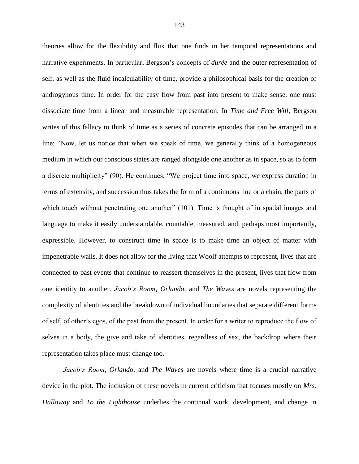theories allow for the flexibility and flux that one finds in her temporal representations and narrative experiments. In particular, Bergson's concepts of *durée* and the outer representation of self, as well as the fluid incalculability of time, provide a philosophical basis for the creation of androgynous time. In order for the easy flow from past into present to make sense, one must dissociate time from a linear and measurable representation. In *Time and Free Will*, Bergson writes of this fallacy to think of time as a series of concrete episodes that can be arranged in a line: "Now, let us notice that when we speak of time, we generally think of a homogeneous medium in which our conscious states are ranged alongside one another as in space, so as to form a discrete multiplicity" (90). He continues, "We project time into space, we express duration in terms of extensity, and succession thus takes the form of a continuous line or a chain, the parts of which touch without penetrating one another" (101). Time is thought of in spatial images and language to make it easily understandable, countable, measured, and, perhaps most importantly, expressible. However, to construct time in space is to make time an object of matter with impenetrable walls. It does not allow for the living that Woolf attempts to represent, lives that are connected to past events that continue to reassert themselves in the present, lives that flow from one identity to another. *Jacob's Room*, *Orlando*, and *The Waves* are novels representing the complexity of identities and the breakdown of individual boundaries that separate different forms of self, of other's egos, of the past from the present. In order for a writer to reproduce the flow of selves in a body, the give and take of identities, regardless of sex, the backdrop where their representation takes place must change too.

*Jacob's Room*, *Orlando*, and *The Waves* are novels where time is a crucial narrative device in the plot. The inclusion of these novels in current criticism that focuses mostly on *Mrs. Dalloway* and *To the Lighthouse* underlies the continual work, development, and change in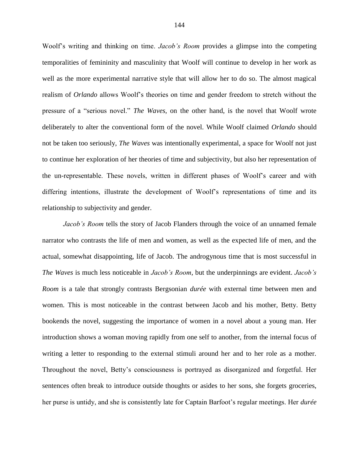Woolf's writing and thinking on time. *Jacob's Room* provides a glimpse into the competing temporalities of femininity and masculinity that Woolf will continue to develop in her work as well as the more experimental narrative style that will allow her to do so. The almost magical realism of *Orlando* allows Woolf's theories on time and gender freedom to stretch without the pressure of a "serious novel." *The Waves*, on the other hand, is the novel that Woolf wrote deliberately to alter the conventional form of the novel. While Woolf claimed *Orlando* should not be taken too seriously, *The Waves* was intentionally experimental, a space for Woolf not just to continue her exploration of her theories of time and subjectivity, but also her representation of the un-representable. These novels, written in different phases of Woolf's career and with differing intentions, illustrate the development of Woolf's representations of time and its relationship to subjectivity and gender.

*Jacob's Room* tells the story of Jacob Flanders through the voice of an unnamed female narrator who contrasts the life of men and women, as well as the expected life of men, and the actual, somewhat disappointing, life of Jacob. The androgynous time that is most successful in *The Waves* is much less noticeable in *Jacob's Room*, but the underpinnings are evident. *Jacob's Room* is a tale that strongly contrasts Bergsonian *durée* with external time between men and women. This is most noticeable in the contrast between Jacob and his mother, Betty. Betty bookends the novel, suggesting the importance of women in a novel about a young man. Her introduction shows a woman moving rapidly from one self to another, from the internal focus of writing a letter to responding to the external stimuli around her and to her role as a mother. Throughout the novel, Betty's consciousness is portrayed as disorganized and forgetful. Her sentences often break to introduce outside thoughts or asides to her sons, she forgets groceries, her purse is untidy, and she is consistently late for Captain Barfoot's regular meetings. Her *durée*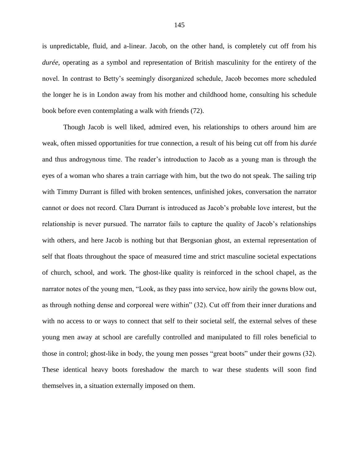is unpredictable, fluid, and a-linear. Jacob, on the other hand, is completely cut off from his *durée*, operating as a symbol and representation of British masculinity for the entirety of the novel. In contrast to Betty's seemingly disorganized schedule, Jacob becomes more scheduled the longer he is in London away from his mother and childhood home, consulting his schedule book before even contemplating a walk with friends (72).

Though Jacob is well liked, admired even, his relationships to others around him are weak, often missed opportunities for true connection, a result of his being cut off from his *durée* and thus androgynous time. The reader's introduction to Jacob as a young man is through the eyes of a woman who shares a train carriage with him, but the two do not speak. The sailing trip with Timmy Durrant is filled with broken sentences, unfinished jokes, conversation the narrator cannot or does not record. Clara Durrant is introduced as Jacob's probable love interest, but the relationship is never pursued. The narrator fails to capture the quality of Jacob's relationships with others, and here Jacob is nothing but that Bergsonian ghost, an external representation of self that floats throughout the space of measured time and strict masculine societal expectations of church, school, and work. The ghost-like quality is reinforced in the school chapel, as the narrator notes of the young men, "Look, as they pass into service, how airily the gowns blow out, as through nothing dense and corporeal were within" (32). Cut off from their inner durations and with no access to or ways to connect that self to their societal self, the external selves of these young men away at school are carefully controlled and manipulated to fill roles beneficial to those in control; ghost-like in body, the young men posses "great boots" under their gowns (32). These identical heavy boots foreshadow the march to war these students will soon find themselves in, a situation externally imposed on them.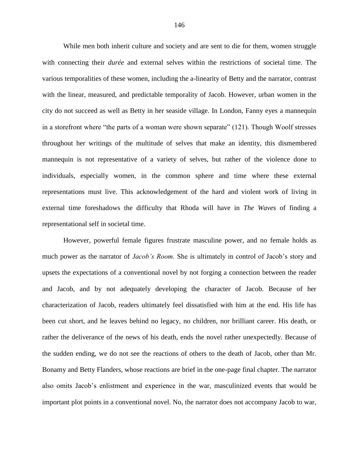While men both inherit culture and society and are sent to die for them, women struggle with connecting their *durée* and external selves within the restrictions of societal time. The various temporalities of these women, including the a-linearity of Betty and the narrator, contrast with the linear, measured, and predictable temporality of Jacob. However, urban women in the city do not succeed as well as Betty in her seaside village. In London, Fanny eyes a mannequin in a storefront where "the parts of a woman were shown separate" (121). Though Woolf stresses throughout her writings of the multitude of selves that make an identity, this dismembered mannequin is not representative of a variety of selves, but rather of the violence done to individuals, especially women, in the common sphere and time where these external representations must live. This acknowledgement of the hard and violent work of living in external time foreshadows the difficulty that Rhoda will have in *The Waves* of finding a representational self in societal time.

However, powerful female figures frustrate masculine power, and no female holds as much power as the narrator of *Jacob's Room*. She is ultimately in control of Jacob's story and upsets the expectations of a conventional novel by not forging a connection between the reader and Jacob, and by not adequately developing the character of Jacob. Because of her characterization of Jacob, readers ultimately feel dissatisfied with him at the end. His life has been cut short, and he leaves behind no legacy, no children, nor brilliant career. His death, or rather the deliverance of the news of his death, ends the novel rather unexpectedly. Because of the sudden ending, we do not see the reactions of others to the death of Jacob, other than Mr. Bonamy and Betty Flanders, whose reactions are brief in the one-page final chapter. The narrator also omits Jacob's enlistment and experience in the war, masculinized events that would be important plot points in a conventional novel. No, the narrator does not accompany Jacob to war,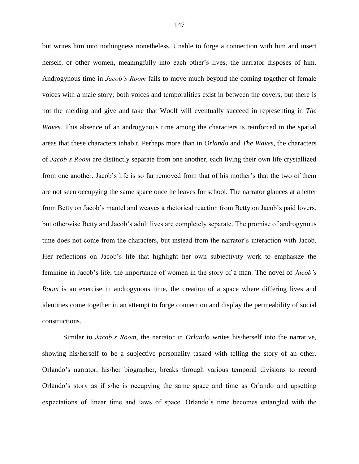but writes him into nothingness nonetheless. Unable to forge a connection with him and insert herself, or other women, meaningfully into each other's lives, the narrator disposes of him. Androgynous time in *Jacob's Room* fails to move much beyond the coming together of female voices with a male story; both voices and temporalities exist in between the covers, but there is not the melding and give and take that Woolf will eventually succeed in representing in *The Waves*. This absence of an androgynous time among the characters is reinforced in the spatial areas that these characters inhabit. Perhaps more than in *Orlando* and *The Waves*, the characters of *Jacob's Room* are distinctly separate from one another, each living their own life crystallized from one another. Jacob's life is so far removed from that of his mother's that the two of them are not seen occupying the same space once he leaves for school. The narrator glances at a letter from Betty on Jacob's mantel and weaves a rhetorical reaction from Betty on Jacob's paid lovers, but otherwise Betty and Jacob's adult lives are completely separate. The promise of androgynous time does not come from the characters, but instead from the narrator's interaction with Jacob. Her reflections on Jacob's life that highlight her own subjectivity work to emphasize the feminine in Jacob's life, the importance of women in the story of a man. The novel of *Jacob's Room* is an exercise in androgynous time, the creation of a space where differing lives and identities come together in an attempt to forge connection and display the permeability of social constructions.

Similar to *Jacob's Room*, the narrator in *Orlando* writes his/herself into the narrative, showing his/herself to be a subjective personality tasked with telling the story of an other. Orlando's narrator, his/her biographer, breaks through various temporal divisions to record Orlando's story as if s/he is occupying the same space and time as Orlando and upsetting expectations of linear time and laws of space. Orlando's time becomes entangled with the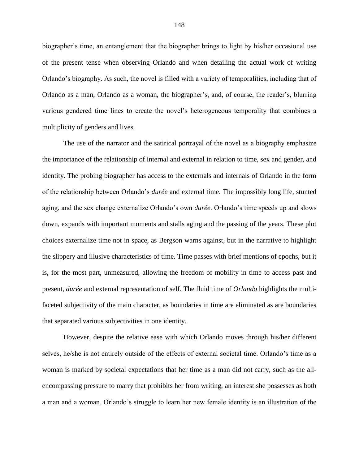biographer's time, an entanglement that the biographer brings to light by his/her occasional use of the present tense when observing Orlando and when detailing the actual work of writing Orlando's biography. As such, the novel is filled with a variety of temporalities, including that of Orlando as a man, Orlando as a woman, the biographer's, and, of course, the reader's, blurring various gendered time lines to create the novel's heterogeneous temporality that combines a multiplicity of genders and lives.

The use of the narrator and the satirical portrayal of the novel as a biography emphasize the importance of the relationship of internal and external in relation to time, sex and gender, and identity. The probing biographer has access to the externals and internals of Orlando in the form of the relationship between Orlando's *durée* and external time. The impossibly long life, stunted aging, and the sex change externalize Orlando's own *durée*. Orlando's time speeds up and slows down, expands with important moments and stalls aging and the passing of the years. These plot choices externalize time not in space, as Bergson warns against, but in the narrative to highlight the slippery and illusive characteristics of time. Time passes with brief mentions of epochs, but it is, for the most part, unmeasured, allowing the freedom of mobility in time to access past and present, *durée* and external representation of self. The fluid time of *Orlando* highlights the multifaceted subjectivity of the main character, as boundaries in time are eliminated as are boundaries that separated various subjectivities in one identity.

However, despite the relative ease with which Orlando moves through his/her different selves, he/she is not entirely outside of the effects of external societal time. Orlando's time as a woman is marked by societal expectations that her time as a man did not carry, such as the allencompassing pressure to marry that prohibits her from writing, an interest she possesses as both a man and a woman. Orlando's struggle to learn her new female identity is an illustration of the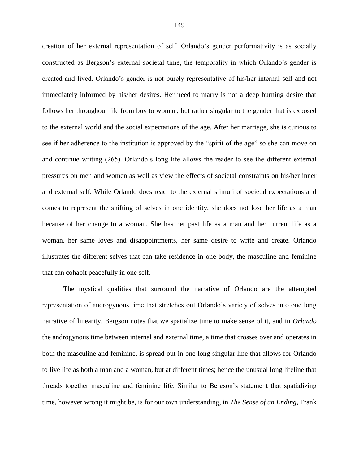creation of her external representation of self. Orlando's gender performativity is as socially constructed as Bergson's external societal time, the temporality in which Orlando's gender is created and lived. Orlando's gender is not purely representative of his/her internal self and not immediately informed by his/her desires. Her need to marry is not a deep burning desire that follows her throughout life from boy to woman, but rather singular to the gender that is exposed to the external world and the social expectations of the age. After her marriage, she is curious to see if her adherence to the institution is approved by the "spirit of the age" so she can move on and continue writing (265). Orlando's long life allows the reader to see the different external pressures on men and women as well as view the effects of societal constraints on his/her inner and external self. While Orlando does react to the external stimuli of societal expectations and comes to represent the shifting of selves in one identity, she does not lose her life as a man because of her change to a woman. She has her past life as a man and her current life as a woman, her same loves and disappointments, her same desire to write and create. Orlando illustrates the different selves that can take residence in one body, the masculine and feminine that can cohabit peacefully in one self.

The mystical qualities that surround the narrative of Orlando are the attempted representation of androgynous time that stretches out Orlando's variety of selves into one long narrative of linearity. Bergson notes that we spatialize time to make sense of it, and in *Orlando* the androgynous time between internal and external time, a time that crosses over and operates in both the masculine and feminine, is spread out in one long singular line that allows for Orlando to live life as both a man and a woman, but at different times; hence the unusual long lifeline that threads together masculine and feminine life. Similar to Bergson's statement that spatializing time, however wrong it might be, is for our own understanding, in *The Sense of an Ending*, Frank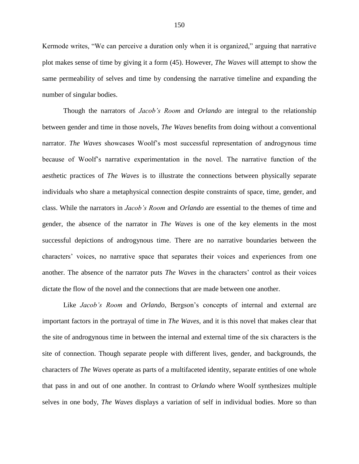Kermode writes, "We can perceive a duration only when it is organized," arguing that narrative plot makes sense of time by giving it a form (45). However, *The Waves* will attempt to show the same permeability of selves and time by condensing the narrative timeline and expanding the number of singular bodies.

Though the narrators of *Jacob's Room* and *Orlando* are integral to the relationship between gender and time in those novels, *The Waves* benefits from doing without a conventional narrator. *The Waves* showcases Woolf's most successful representation of androgynous time because of Woolf's narrative experimentation in the novel. The narrative function of the aesthetic practices of *The Waves* is to illustrate the connections between physically separate individuals who share a metaphysical connection despite constraints of space, time, gender, and class. While the narrators in *Jacob's Room* and *Orlando* are essential to the themes of time and gender, the absence of the narrator in *The Waves* is one of the key elements in the most successful depictions of androgynous time. There are no narrative boundaries between the characters' voices, no narrative space that separates their voices and experiences from one another. The absence of the narrator puts *The Waves* in the characters' control as their voices dictate the flow of the novel and the connections that are made between one another.

Like *Jacob's Room* and *Orlando*, Bergson's concepts of internal and external are important factors in the portrayal of time in *The Waves,* and it is this novel that makes clear that the site of androgynous time in between the internal and external time of the six characters is the site of connection. Though separate people with different lives, gender, and backgrounds, the characters of *The Waves* operate as parts of a multifaceted identity, separate entities of one whole that pass in and out of one another. In contrast to *Orlando* where Woolf synthesizes multiple selves in one body, *The Waves* displays a variation of self in individual bodies. More so than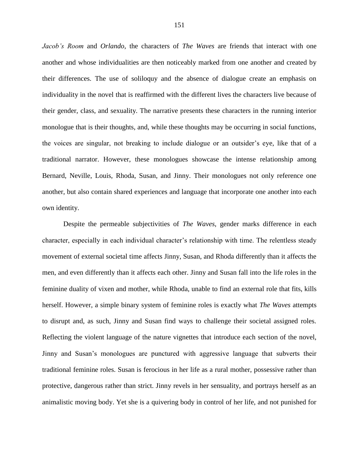*Jacob's Room* and *Orlando*, the characters of *The Waves* are friends that interact with one another and whose individualities are then noticeably marked from one another and created by their differences. The use of soliloquy and the absence of dialogue create an emphasis on individuality in the novel that is reaffirmed with the different lives the characters live because of their gender, class, and sexuality. The narrative presents these characters in the running interior monologue that is their thoughts, and, while these thoughts may be occurring in social functions, the voices are singular, not breaking to include dialogue or an outsider's eye, like that of a traditional narrator. However, these monologues showcase the intense relationship among Bernard, Neville, Louis, Rhoda, Susan, and Jinny. Their monologues not only reference one another, but also contain shared experiences and language that incorporate one another into each own identity.

Despite the permeable subjectivities of *The Waves*, gender marks difference in each character, especially in each individual character's relationship with time. The relentless steady movement of external societal time affects Jinny, Susan, and Rhoda differently than it affects the men, and even differently than it affects each other. Jinny and Susan fall into the life roles in the feminine duality of vixen and mother, while Rhoda, unable to find an external role that fits, kills herself. However, a simple binary system of feminine roles is exactly what *The Waves* attempts to disrupt and, as such, Jinny and Susan find ways to challenge their societal assigned roles. Reflecting the violent language of the nature vignettes that introduce each section of the novel, Jinny and Susan's monologues are punctured with aggressive language that subverts their traditional feminine roles. Susan is ferocious in her life as a rural mother, possessive rather than protective, dangerous rather than strict. Jinny revels in her sensuality, and portrays herself as an animalistic moving body. Yet she is a quivering body in control of her life, and not punished for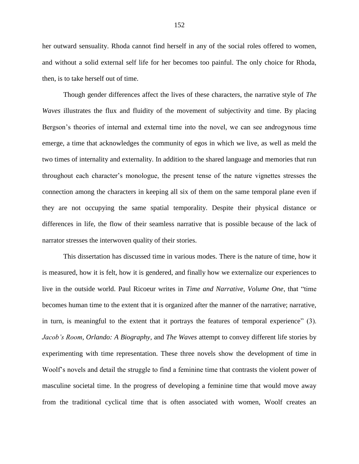her outward sensuality. Rhoda cannot find herself in any of the social roles offered to women, and without a solid external self life for her becomes too painful. The only choice for Rhoda, then, is to take herself out of time.

Though gender differences affect the lives of these characters, the narrative style of *The Waves* illustrates the flux and fluidity of the movement of subjectivity and time. By placing Bergson's theories of internal and external time into the novel, we can see androgynous time emerge, a time that acknowledges the community of egos in which we live, as well as meld the two times of internality and externality. In addition to the shared language and memories that run throughout each character's monologue, the present tense of the nature vignettes stresses the connection among the characters in keeping all six of them on the same temporal plane even if they are not occupying the same spatial temporality. Despite their physical distance or differences in life, the flow of their seamless narrative that is possible because of the lack of narrator stresses the interwoven quality of their stories.

This dissertation has discussed time in various modes. There is the nature of time, how it is measured, how it is felt, how it is gendered, and finally how we externalize our experiences to live in the outside world. Paul Ricoeur writes in *Time and Narrative, Volume One*, that "time becomes human time to the extent that it is organized after the manner of the narrative; narrative, in turn, is meaningful to the extent that it portrays the features of temporal experience" (3). *Jacob's Room*, *Orlando: A Biography*, and *The Waves* attempt to convey different life stories by experimenting with time representation. These three novels show the development of time in Woolf's novels and detail the struggle to find a feminine time that contrasts the violent power of masculine societal time. In the progress of developing a feminine time that would move away from the traditional cyclical time that is often associated with women, Woolf creates an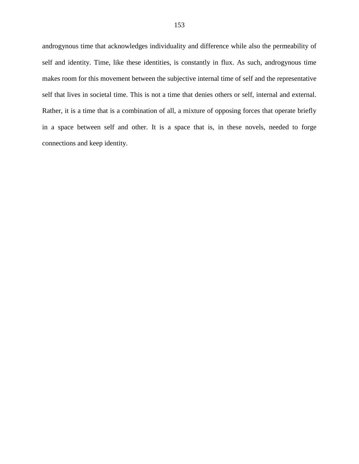androgynous time that acknowledges individuality and difference while also the permeability of self and identity. Time, like these identities, is constantly in flux. As such, androgynous time makes room for this movement between the subjective internal time of self and the representative self that lives in societal time. This is not a time that denies others or self, internal and external. Rather, it is a time that is a combination of all, a mixture of opposing forces that operate briefly in a space between self and other. It is a space that is, in these novels, needed to forge connections and keep identity.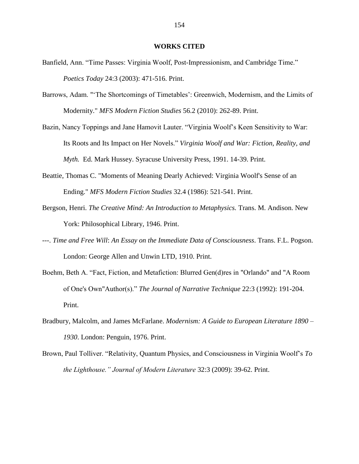## **WORKS CITED**

- Banfield, Ann. "Time Passes: Virginia Woolf, Post-Impressionism, and Cambridge Time." *Poetics Today* 24:3 (2003): 471-516. Print.
- Barrows, Adam. "'The Shortcomings of Timetables': Greenwich, Modernism, and the Limits of Modernity." *MFS Modern Fiction Studies* 56.2 (2010): 262-89. Print.
- Bazin, Nancy Toppings and Jane Hamovit Lauter. "Virginia Woolf's Keen Sensitivity to War: Its Roots and Its Impact on Her Novels." *Virginia Woolf and War: Fiction, Reality, and Myth.* Ed. Mark Hussey. Syracuse University Press, 1991. 14-39. Print.
- Beattie, Thomas C. "Moments of Meaning Dearly Achieved: Virginia Woolf's Sense of an Ending." *MFS Modern Fiction Studies* 32.4 (1986): 521-541. Print.
- Bergson, Henri. *The Creative Mind: An Introduction to Metaphysics.* Trans. M. Andison. New York: Philosophical Library, 1946. Print.
- ---. *Time and Free Will*: *An Essay on the Immediate Data of Consciousness*. Trans. F.L. Pogson. London: George Allen and Unwin LTD, 1910. Print.
- Boehm, Beth A. "Fact, Fiction, and Metafiction: Blurred Gen(d)res in "Orlando" and "A Room of One's Own"Author(s)." *The Journal of Narrative Technique* 22:3 (1992): 191-204. Print.
- Bradbury, Malcolm, and James McFarlane. *Modernism: A Guide to European Literature 1890 – 1930*. London: Penguin, 1976. Print.
- Brown, Paul Tolliver. "Relativity, Quantum Physics, and Consciousness in Virginia Woolf's *To the Lighthouse." Journal of Modern Literature* 32:3 (2009): 39-62. Print.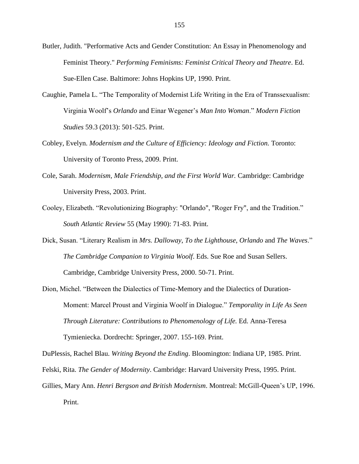- Butler, Judith. "Performative Acts and Gender Constitution: An Essay in Phenomenology and Feminist Theory." *Performing Feminisms: Feminist Critical Theory and Theatre*. Ed. Sue-Ellen Case. Baltimore: Johns Hopkins UP, 1990. Print.
- Caughie, Pamela L. "The Temporality of Modernist Life Writing in the Era of Transsexualism: Virginia Woolf's *Orlando* and Einar Wegener's *Man Into Woman*." *Modern Fiction Studies* 59.3 (2013): 501-525. Print.
- Cobley, Evelyn. *Modernism and the Culture of Efficiency: Ideology and Fiction.* Toronto: University of Toronto Press, 2009. Print.
- Cole, Sarah. *Modernism, Male Friendship, and the First World War.* Cambridge: Cambridge University Press, 2003. Print.
- Cooley, Elizabeth. "Revolutionizing Biography: "Orlando", "Roger Fry", and the Tradition." *South Atlantic Review* 55 (May 1990): 71-83. Print.
- Dick, Susan. "Literary Realism in *Mrs. Dalloway*, *To the Lighthouse*, *Orlando* and *The Waves*." *The Cambridge Companion to Virginia Woolf*. Eds. Sue Roe and Susan Sellers. Cambridge, Cambridge University Press, 2000. 50-71. Print.
- Dion, Michel. "Between the Dialectics of Time-Memory and the Dialectics of Duration-Moment: Marcel Proust and Virginia Woolf in Dialogue." *Temporality in Life As Seen Through Literature: Contributions to Phenomenology of Life.* Ed. Anna-Teresa Tymieniecka. Dordrecht: Springer, 2007. 155-169. Print.

DuPlessis, Rachel Blau. *Writing Beyond the Ending*. Bloomington: Indiana UP, 1985. Print.

Felski, Rita. *The Gender of Modernity*. Cambridge: Harvard University Press, 1995. Print.

Gillies, Mary Ann. *Henri Bergson and British Modernism*. Montreal: McGill-Queen's UP, 1996. Print.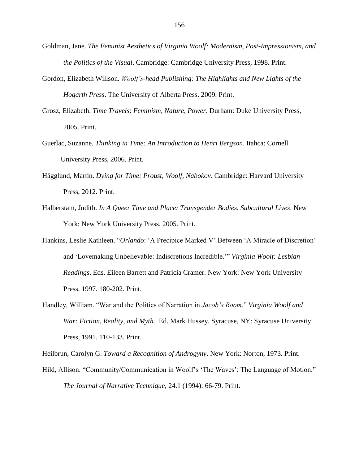- Goldman, Jane. *The Feminist Aesthetics of Virginia Woolf: Modernism, Post-Impressionism, and the Politics of the Visual*. Cambridge: Cambridge University Press, 1998. Print.
- Gordon, Elizabeth Willson. *Woolf's-head Publishing: The Highlights and New Lights of the Hogarth Press*. The University of Alberta Press. 2009. Print.
- Grosz, Elizabeth. *Time Travels*: *Feminism, Nature, Power*. Durham: Duke University Press, 2005. Print.
- Guerlac, Suzanne. *Thinking in Time: An Introduction to Henri Bergson*. Itahca: Cornell University Press, 2006. Print.
- Hägglund, Martin. *Dying for Time: Proust, Woolf, Nabokov*. Cambridge: Harvard University Press, 2012. Print.
- Halberstam, Judith. *In A Queer Time and Place: Transgender Bodies, Subcultural Lives*. New York: New York University Press, 2005. Print.
- Hankins, Leslie Kathleen. "*Orlando*: 'A Precipice Marked V' Between 'A Miracle of Discretion' and 'Lovemaking Unbelievable: Indiscretions Incredible.'" *Virginia Woolf: Lesbian Readings*. Eds. Eileen Barrett and Patricia Cramer. New York: New York University Press, 1997. 180-202. Print.
- Handley, William. "War and the Politics of Narration in *Jacob's Room*." *Virginia Woolf and War: Fiction, Reality, and Myth.* Ed. Mark Hussey. Syracuse, NY: Syracuse University Press, 1991. 110-133. Print.

Heilbrun, Carolyn G. *Toward a Recognition of Androgyny*. New York: Norton, 1973. Print.

Hild, Allison. "Community/Communication in Woolf's 'The Waves': The Language of Motion." *The Journal of Narrative Technique*, 24.1 (1994): 66-79. Print.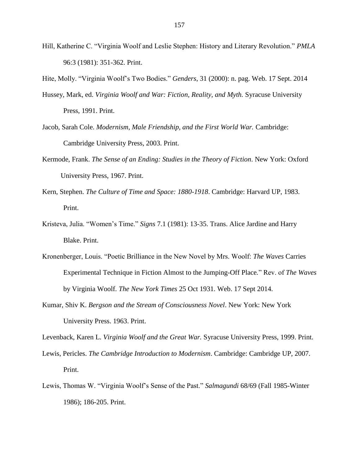- Hill, Katherine C. "Virginia Woolf and Leslie Stephen: History and Literary Revolution." *PMLA* 96:3 (1981): 351-362. Print.
- Hite, Molly. "Virginia Woolf's Two Bodies." *Genders*, 31 (2000): n. pag. Web. 17 Sept. 2014
- Hussey, Mark, ed. *Virginia Woolf and War: Fiction, Reality, and Myth.* Syracuse University Press, 1991. Print.
- Jacob, Sarah Cole. *Modernism, Male Friendship, and the First World War.* Cambridge: Cambridge University Press, 2003. Print.
- Kermode, Frank. *The Sense of an Ending: Studies in the Theory of Fiction*. New York: Oxford University Press, 1967. Print.
- Kern, Stephen. *The Culture of Time and Space: 1880-1918*. Cambridge: Harvard UP, 1983. Print.
- Kristeva, Julia. "Women's Time." *Signs* 7.1 (1981): 13-35. Trans. Alice Jardine and Harry Blake. Print.
- Kronenberger, Louis. "Poetic Brilliance in the New Novel by Mrs. Woolf: *The Waves* Carries Experimental Technique in Fiction Almost to the Jumping-Off Place*.*" Rev. of *The Waves*  by Virginia Woolf. *The New York Times* 25 Oct 1931. Web. 17 Sept 2014.
- Kumar, Shiv K. *Bergson and the Stream of Consciousness Novel*. New York: New York University Press. 1963. Print.

Levenback, Karen L. *Virginia Woolf and the Great War.* Syracuse University Press, 1999. Print.

- Lewis, Pericles. *The Cambridge Introduction to Modernism*. Cambridge: Cambridge UP, 2007. Print.
- Lewis, Thomas W. "Virginia Woolf's Sense of the Past." *Salmagundi* 68/69 (Fall 1985-Winter 1986); 186-205. Print.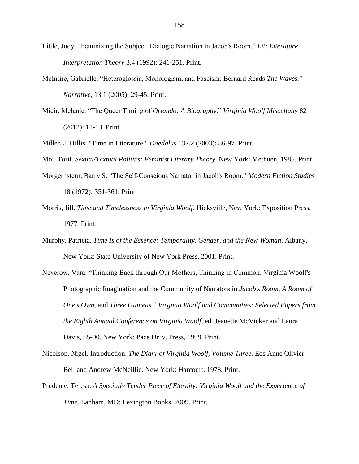- Little, Judy. "Feminizing the Subject: Dialogic Narration in Jacob's Room." *Lit: Literature Interpretation Theory* 3.4 (1992): 241-251. Print.
- McIntire, Gabrielle. "Heteroglossia, Monologism, and Fascism: Bernard Reads *The Waves.*" *Narrative*, 13.1 (2005): 29-45. Print.
- Micir, Melanie. "The Queer Timing of *Orlando: A Biography*." *Virginia Woolf Miscellany* 82 (2012): 11-13. Print.

Miller, J. Hillis. "Time in Literature." *Daedalus* 132.2 (2003): 86-97. Print.

Moi, Toril. *Sexual/Textual Politics: Feminist Literary Theory*. New York: Methuen, 1985. Print.

- Morgernstern, Barry S. "The Self-Conscious Narrator in Jacob's Room." *Modern Fiction Studies* 18 (1972): 351-361. Print.
- Morris, Jill. *Time and Timelessness in Virginia Woolf*. Hicksville, New York: Exposition Press, 1977. Print.
- Murphy, Patricia. *Time Is of the Essence: Temporality, Gender, and the New Woman*. Albany, New York: State University of New York Press, 2001. Print.
- Neverow, Vara. "Thinking Back through Our Mothers, Thinking in Common: Virginia Woolf's Photographic Imagination and the Community of Narrators in *Jacob's Room*, *A Room of One's Own*, and *Three Guineas*." *Virginia Woolf and Communities: Selected Papers from the Eighth Annual Conference on Virginia Woolf*, ed. Jeanette McVicker and Laura Davis, 65-90. New York: Pace Univ. Press, 1999. Print.
- Nicolson, Nigel. Introduction. *The Diary of Virginia Woolf, Volume Three*. Eds Anne Olivier Bell and Andrew McNeillie. New York: Harcourt, 1978. Print.
- Prudente, Teresa. *A Specially Tender Piece of Eternity: Virginia Woolf and the Experience of Time*. Lanham, MD: Lexington Books, 2009. Print.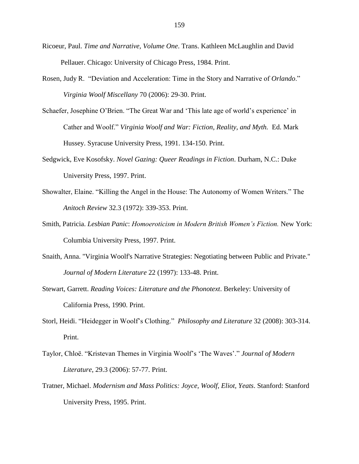- Ricoeur, Paul. *Time and Narrative, Volume One*. Trans. Kathleen McLaughlin and David Pellauer. Chicago: University of Chicago Press, 1984. Print.
- Rosen, Judy R. "Deviation and Acceleration: Time in the Story and Narrative of *Orlando*." *Virginia Woolf Miscellany* 70 (2006): 29-30. Print.
- Schaefer, Josephine O'Brien. "The Great War and 'This late age of world's experience' in Cather and Woolf." *Virginia Woolf and War: Fiction, Reality, and Myth.* Ed. Mark Hussey. Syracuse University Press, 1991. 134-150. Print.
- Sedgwick, Eve Kosofsky. *Novel Gazing: Queer Readings in Fiction*. Durham, N.C.: Duke University Press, 1997. Print.
- Showalter, Elaine. "Killing the Angel in the House: The Autonomy of Women Writers." The *Anitoch Review* 32.3 (1972): 339-353. Print.
- Smith, Patricia. *Lesbian Panic*: *Homoeroticism in Modern British Women's Fiction.* New York: Columbia University Press, 1997. Print.
- Snaith, Anna. "Virginia Woolf's Narrative Strategies: Negotiating between Public and Private." *Journal of Modern Literature* 22 (1997): 133-48. Print.
- Stewart, Garrett. *Reading Voices: Literature and the Phonotext*. Berkeley: University of California Press, 1990. Print.
- Storl, Heidi. "Heidegger in Woolf's Clothing." *Philosophy and Literature* 32 (2008): 303-314. Print.
- Taylor, Chloë. "Kristevan Themes in Virginia Woolf's 'The Waves'." *Journal of Modern Literature*, 29.3 (2006): 57-77. Print.
- Tratner, Michael. *Modernism and Mass Politics: Joyce, Woolf, Eliot, Yeats*. Stanford: Stanford University Press, 1995. Print.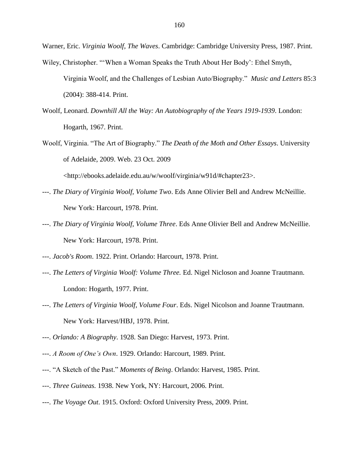Warner, Eric. *Virginia Woolf, The Waves*. Cambridge: Cambridge University Press, 1987. Print.

- Wiley, Christopher. "'When a Woman Speaks the Truth About Her Body': Ethel Smyth, Virginia Woolf, and the Challenges of Lesbian Auto/Biography." *Music and Letters* 85:3 (2004): 388-414. Print.
- Woolf, Leonard. *Downhill All the Way: An Autobiography of the Years 1919-1939*. London: Hogarth, 1967. Print.
- Woolf, Virginia. "The Art of Biography." *The Death of the Moth and Other Essays*. University of Adelaide, 2009. Web. 23 Oct. 2009

<http://ebooks.adelaide.edu.au/w/woolf/virginia/w91d/#chapter23>.

- ---. *The Diary of Virginia Woolf, Volume Two*. Eds Anne Olivier Bell and Andrew McNeillie. New York: Harcourt, 1978. Print.
- ---. *The Diary of Virginia Woolf, Volume Three*. Eds Anne Olivier Bell and Andrew McNeillie. New York: Harcourt, 1978. Print.
- ---. *Jacob's Room*. 1922. Print. Orlando: Harcourt, 1978. Print.
- ---. *The Letters of Virginia Woolf: Volume Three.* Ed. Nigel Nicloson and Joanne Trautmann. London: Hogarth, 1977. Print.
- ---. *The Letters of Virginia Woolf, Volume Four*. Eds. Nigel Nicolson and Joanne Trautmann. New York: Harvest/HBJ, 1978. Print.
- ---. *Orlando: A Biography*. 1928. San Diego: Harvest, 1973. Print.
- ---. *A Room of One's Own*. 1929. Orlando: Harcourt, 1989. Print.
- ---. "A Sketch of the Past." *Moments of Being*. Orlando: Harvest, 1985. Print.
- ---. *Three Guineas.* 1938. New York, NY: Harcourt, 2006. Print.
- ---. *The Voyage Out*. 1915. Oxford: Oxford University Press, 2009. Print.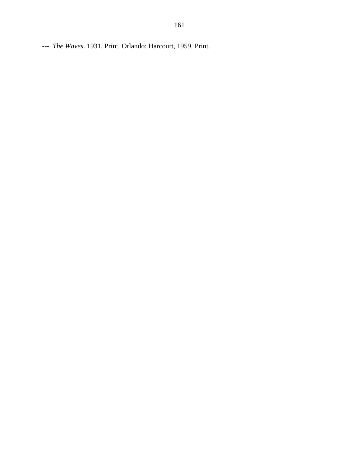---. *The Waves*. 1931. Print. Orlando: Harcourt, 1959. Print.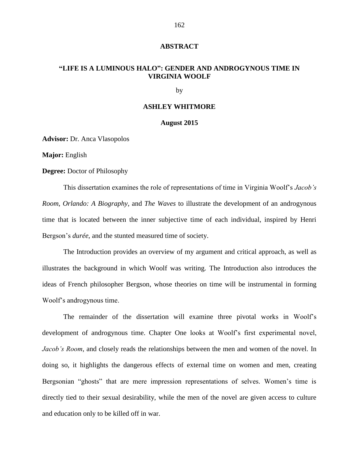## **ABSTRACT**

# **"LIFE IS A LUMINOUS HALO": GENDER AND ANDROGYNOUS TIME IN VIRGINIA WOOLF**

by

## **ASHLEY WHITMORE**

### **August 2015**

**Advisor:** Dr. Anca Vlasopolos

**Major:** English

**Degree:** Doctor of Philosophy

This dissertation examines the role of representations of time in Virginia Woolf's *Jacob's Room*, *Orlando: A Biography*, and *The Waves* to illustrate the development of an androgynous time that is located between the inner subjective time of each individual, inspired by Henri Bergson's *durée*, and the stunted measured time of society.

The Introduction provides an overview of my argument and critical approach, as well as illustrates the background in which Woolf was writing. The Introduction also introduces the ideas of French philosopher Bergson, whose theories on time will be instrumental in forming Woolf's androgynous time.

The remainder of the dissertation will examine three pivotal works in Woolf's development of androgynous time. Chapter One looks at Woolf's first experimental novel, *Jacob's Room*, and closely reads the relationships between the men and women of the novel. In doing so, it highlights the dangerous effects of external time on women and men, creating Bergsonian "ghosts" that are mere impression representations of selves. Women's time is directly tied to their sexual desirability, while the men of the novel are given access to culture and education only to be killed off in war.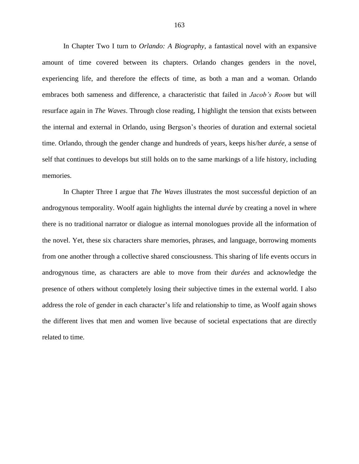In Chapter Two I turn to *Orlando: A Biography*, a fantastical novel with an expansive amount of time covered between its chapters. Orlando changes genders in the novel, experiencing life, and therefore the effects of time, as both a man and a woman. Orlando embraces both sameness and difference, a characteristic that failed in *Jacob's Room* but will resurface again in *The Waves*. Through close reading, I highlight the tension that exists between the internal and external in Orlando, using Bergson's theories of duration and external societal time. Orlando, through the gender change and hundreds of years, keeps his/her *durée*, a sense of self that continues to develops but still holds on to the same markings of a life history, including memories.

In Chapter Three I argue that *The Waves* illustrates the most successful depiction of an androgynous temporality. Woolf again highlights the internal *durée* by creating a novel in where there is no traditional narrator or dialogue as internal monologues provide all the information of the novel. Yet, these six characters share memories, phrases, and language, borrowing moments from one another through a collective shared consciousness. This sharing of life events occurs in androgynous time, as characters are able to move from their *durées* and acknowledge the presence of others without completely losing their subjective times in the external world. I also address the role of gender in each character's life and relationship to time, as Woolf again shows the different lives that men and women live because of societal expectations that are directly related to time.